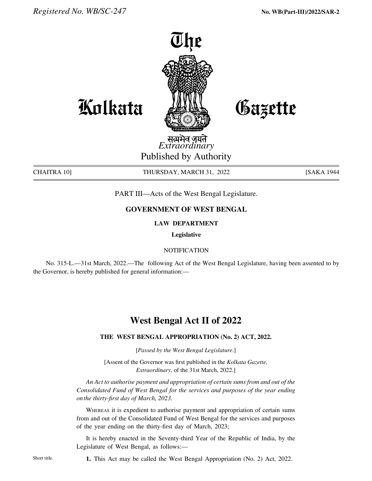

Gazette

**Kolkata** 

*Extraordinary* Published by Authority

CHAITRA 10] THURSDAY, MARCH 31, 2022 [SAKA 1944

PART III—Acts of the West Bengal Legislature.

# **GOVERNMENT OF WEST BENGAL**

### **LAW DEPARTMENT**

**Legislative**

## **NOTIFICATION**

No. 315-L.—31st March, 2022.—The following Act of the West Bengal Legislature, having been assented to by the Governor, is hereby published for general information:—

# **West Bengal Act II of 2022**

### **THE west bengal APPROPRIATION (No. 2) ACT, 2022.**

[*Passed by the West Bengal Legislature*.]

[Assent of the Governor was first published in the *Kolkata Gazette, Extraordinary,* of the 31st March, 2022.]

 *An Act to authorise payment and appropriation of certain sums from and out of the Consolidated Fund of West Bengal for the services and purposes of the year ending on the thirty-first day of March, 2023.*

Whereas it is expedient to authorise payment and appropriation of certain sums from and out of the Consolidated Fund of West Bengal for the services and purposes of the year ending on the thirty-first day of March, 2023;

It is hereby enacted in the Seventy-third Year of the Republic of India, by the Legislature of West Bengal, as follows:—

**1.** This Act may be called the West Bengal Appropriation (No. 2) Act, 2022.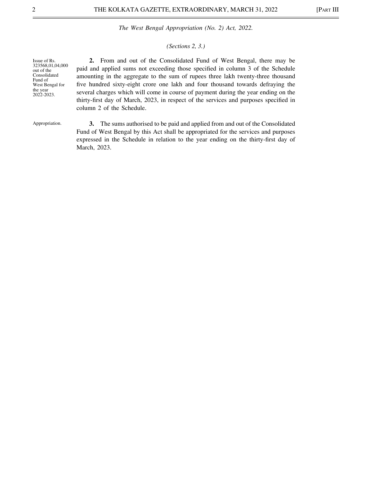### *(Sections 2, 3.)*

| Issue of Rs.                   | 2. From and out of the Consolidated Fund of West Bengal, there may be                 |
|--------------------------------|---------------------------------------------------------------------------------------|
| 323568,01,04,000<br>out of the | paid and applied sums not exceeding those specified in column 3 of the Schedule       |
| Consolidated<br>Fund of        | amounting in the aggregate to the sum of rupees three lakh twenty-three thousand      |
| West Bengal for                | five hundred sixty-eight crore one lakh and four thousand towards defraying the       |
| the year<br>2022-2023.         | several charges which will come in course of payment during the year ending on the    |
|                                | thirty-first day of March, 2023, in respect of the services and purposes specified in |
|                                | column 2 of the Schedule.                                                             |
|                                |                                                                                       |

Appropriation.

 **3.** The sums authorised to be paid and applied from and out of the Consolidated Fund of West Bengal by this Act shall be appropriated for the services and purposes expressed in the Schedule in relation to the year ending on the thirty-first day of March, 2023.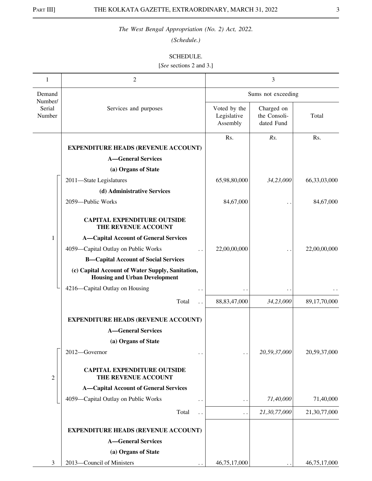*(Schedule.)*

### SCHEDULE.

[*See* sections 2 and 3.]

| 1                           | $\overline{c}$                                                                           |                                         | 3                                        |                 |
|-----------------------------|------------------------------------------------------------------------------------------|-----------------------------------------|------------------------------------------|-----------------|
| Demand                      |                                                                                          |                                         | Sums not exceeding                       |                 |
| Number/<br>Serial<br>Number | Services and purposes                                                                    | Voted by the<br>Legislative<br>Assembly | Charged on<br>the Consoli-<br>dated Fund | Total           |
|                             |                                                                                          | Rs.                                     | Rs.                                      | Rs.             |
|                             | <b>EXPENDITURE HEADS (REVENUE ACCOUNT)</b>                                               |                                         |                                          |                 |
|                             | <b>A-General Services</b>                                                                |                                         |                                          |                 |
|                             | (a) Organs of State                                                                      |                                         |                                          |                 |
|                             | 2011-State Legislatures                                                                  | 65,98,80,000                            | 34,23,000                                | 66, 33, 03, 000 |
|                             | (d) Administrative Services                                                              |                                         |                                          |                 |
|                             | 2059-Public Works                                                                        | 84,67,000                               |                                          | 84,67,000       |
|                             | <b>CAPITAL EXPENDITURE OUTSIDE</b><br>THE REVENUE ACCOUNT                                |                                         |                                          |                 |
| 1                           | <b>A-Capital Account of General Services</b>                                             |                                         |                                          |                 |
|                             | 4059-Capital Outlay on Public Works<br>$\ddot{\phantom{0}}$                              | 22,00,00,000                            |                                          | 22,00,00,000    |
|                             | <b>B-Capital Account of Social Services</b>                                              |                                         |                                          |                 |
|                             | (c) Capital Account of Water Supply, Sanitation,<br><b>Housing and Urban Development</b> |                                         |                                          |                 |
|                             | 4216-Capital Outlay on Housing<br>$\ddot{\phantom{0}}$                                   | $\ddotsc$                               | $\ddot{\phantom{0}}$                     |                 |
|                             | Total<br>$\ddot{\phantom{a}}$                                                            | 88, 83, 47, 000                         | 34,23,000                                | 89,17,70,000    |
|                             | <b>EXPENDITURE HEADS (REVENUE ACCOUNT)</b>                                               |                                         |                                          |                 |
|                             | <b>A-General Services</b>                                                                |                                         |                                          |                 |
|                             | (a) Organs of State                                                                      |                                         |                                          |                 |
|                             | 2012-Governor<br>$\ddot{\phantom{0}}$                                                    | $\ddot{\phantom{0}}$                    | 20,59,37,000                             | 20,59,37,000    |
| $\overline{c}$              | <b>CAPITAL EXPENDITURE OUTSIDE</b><br>THE REVENUE ACCOUNT                                |                                         |                                          |                 |
|                             | <b>A-Capital Account of General Services</b>                                             |                                         |                                          |                 |
|                             | 4059-Capital Outlay on Public Works<br>$\ddot{\phantom{1}}$ .                            | $\ddot{\phantom{1}}$                    | 71,40,000                                | 71,40,000       |
|                             | Total<br>$\ddot{\phantom{0}}$                                                            | $\ddot{\phantom{0}}$                    | 21,30,77,000                             | 21,30,77,000    |
|                             | <b>EXPENDITURE HEADS (REVENUE ACCOUNT)</b>                                               |                                         |                                          |                 |
|                             | <b>A-General Services</b>                                                                |                                         |                                          |                 |
|                             | (a) Organs of State                                                                      |                                         |                                          |                 |
| 3                           | 2013-Council of Ministers                                                                | 46,75,17,000                            |                                          | 46,75,17,000    |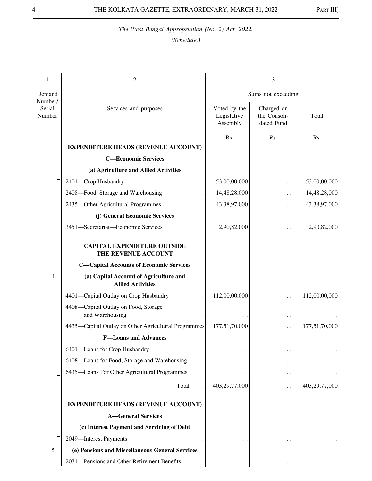| 1                           | 2                                                                  |                                         | 3                                        |               |
|-----------------------------|--------------------------------------------------------------------|-----------------------------------------|------------------------------------------|---------------|
| Demand                      |                                                                    |                                         | Sums not exceeding                       |               |
| Number/<br>Serial<br>Number | Services and purposes                                              | Voted by the<br>Legislative<br>Assembly | Charged on<br>the Consoli-<br>dated Fund | Total         |
|                             | <b>EXPENDITURE HEADS (REVENUE ACCOUNT)</b>                         | Rs.                                     | Rs.                                      | Rs.           |
|                             | <b>C-Economic Services</b>                                         |                                         |                                          |               |
|                             | (a) Agriculture and Allied Activities                              |                                         |                                          |               |
|                             | 2401-Crop Husbandry<br>$\ddot{\phantom{0}}$                        | 53,00,00,000                            | . .                                      | 53,00,00,000  |
|                             | 2408-Food, Storage and Warehousing                                 | 14,48,28,000                            | $\ddot{\phantom{1}}$                     | 14,48,28,000  |
|                             | 2435-Other Agricultural Programmes                                 | 43,38,97,000                            | $\ddot{\phantom{1}}$                     | 43,38,97,000  |
|                             | (j) General Economic Services                                      |                                         |                                          |               |
|                             | 3451-Secretariat-Economic Services                                 | 2,90,82,000                             |                                          | 2,90,82,000   |
|                             | <b>CAPITAL EXPENDITURE OUTSIDE</b><br>THE REVENUE ACCOUNT          |                                         |                                          |               |
|                             | <b>C-Capital Accounts of Economic Services</b>                     |                                         |                                          |               |
| 4                           | (a) Capital Account of Agriculture and<br><b>Allied Activities</b> |                                         |                                          |               |
|                             | 4401-Capital Outlay on Crop Husbandry                              | 112,00,00,000                           |                                          | 112,00,00,000 |
|                             | 4408-Capital Outlay on Food, Storage<br>and Warehousing            |                                         | . .                                      |               |
|                             | 4435-Capital Outlay on Other Agricultural Programmes               | 177,51,70,000                           | . .                                      | 177,51,70,000 |
|                             | <b>F-Loans and Advances</b>                                        |                                         |                                          |               |
|                             | 6401-Loans for Crop Husbandry                                      |                                         |                                          |               |
|                             | 6408-Loans for Food, Storage and Warehousing<br>. .                |                                         | $\bullet$                                |               |
|                             | 6435-Loans For Other Agricultural Programmes<br>. .                |                                         | . .                                      |               |
|                             | Total                                                              | 403,29,77,000                           | $\ddot{\phantom{1}}$                     | 403,29,77,000 |
|                             | <b>EXPENDITURE HEADS (REVENUE ACCOUNT)</b>                         |                                         |                                          |               |
|                             | <b>A-General Services</b>                                          |                                         |                                          |               |
|                             | (c) Interest Payment and Servicing of Debt                         |                                         |                                          |               |
|                             | 2049-Interest Payments                                             |                                         |                                          |               |
| 5                           | (e) Pensions and Miscellaneous General Services                    |                                         |                                          |               |
|                             | 2071-Pensions and Other Retirement Benefits                        |                                         |                                          |               |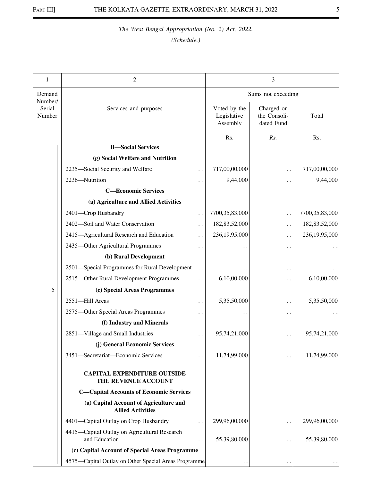| 1                           | 2                                                                  |                      |                                         | 3                                        |                |
|-----------------------------|--------------------------------------------------------------------|----------------------|-----------------------------------------|------------------------------------------|----------------|
| Demand                      |                                                                    |                      |                                         | Sums not exceeding                       |                |
| Number/<br>Serial<br>Number | Services and purposes                                              |                      | Voted by the<br>Legislative<br>Assembly | Charged on<br>the Consoli-<br>dated Fund | Total          |
|                             |                                                                    |                      | Rs.                                     | Rs.                                      | Rs.            |
|                             | <b>B</b> -Social Services                                          |                      |                                         |                                          |                |
|                             | (g) Social Welfare and Nutrition                                   |                      |                                         |                                          |                |
|                             | 2235-Social Security and Welfare                                   |                      | 717,00,00,000                           | . .                                      | 717,00,00,000  |
|                             | 2236-Nutrition                                                     |                      | 9,44,000                                | $\ddot{\phantom{0}}$                     | 9,44,000       |
|                             | <b>C-Economic Services</b>                                         |                      |                                         |                                          |                |
|                             | (a) Agriculture and Allied Activities                              |                      |                                         |                                          |                |
|                             | 2401-Crop Husbandry                                                |                      | 7700,35,83,000                          | . .                                      | 7700,35,83,000 |
|                             | 2402-Soil and Water Conservation                                   | $\ddotsc$            | 182,83,52,000                           | . .                                      | 182,83,52,000  |
|                             | 2415-Agricultural Research and Education                           |                      | 236,19,95,000                           | . .                                      | 236,19,95,000  |
|                             | 2435-Other Agricultural Programmes                                 | $\ddot{\phantom{0}}$ |                                         | $\ddot{\phantom{0}}$                     |                |
|                             | (b) Rural Development                                              |                      |                                         |                                          |                |
|                             | 2501-Special Programmes for Rural Development                      |                      |                                         | $\ddot{\phantom{0}}$                     |                |
|                             | 2515-Other Rural Development Programmes                            |                      | 6,10,00,000                             | $\ddot{\phantom{a}}$                     | 6,10,00,000    |
| 5                           | (c) Special Areas Programmes                                       |                      |                                         |                                          |                |
|                             | 2551-Hill Areas                                                    |                      | 5,35,50,000                             | . .                                      | 5,35,50,000    |
|                             | 2575-Other Special Areas Programmes                                |                      |                                         | $\ddot{\phantom{0}}$                     |                |
|                             | (f) Industry and Minerals                                          |                      |                                         |                                          |                |
|                             | 2851-Village and Small Industries                                  |                      | 95,74,21,000                            |                                          | 95,74,21,000   |
|                             | (j) General Economic Services                                      |                      |                                         |                                          |                |
|                             | 3451-Secretariat-Economic Services                                 |                      | 11,74,99,000                            |                                          | 11,74,99,000   |
|                             | <b>CAPITAL EXPENDITURE OUTSIDE</b><br>THE REVENUE ACCOUNT          |                      |                                         |                                          |                |
|                             | <b>C-Capital Accounts of Economic Services</b>                     |                      |                                         |                                          |                |
|                             | (a) Capital Account of Agriculture and<br><b>Allied Activities</b> |                      |                                         |                                          |                |
|                             | 4401-Capital Outlay on Crop Husbandry                              |                      | 299,96,00,000                           | . .                                      | 299,96,00,000  |
|                             | 4415-Capital Outlay on Agricultural Research<br>and Education      |                      | 55,39,80,000                            |                                          | 55,39,80,000   |
|                             | (c) Capital Account of Special Areas Programme                     |                      |                                         |                                          |                |
|                             | 4575-Capital Outlay on Other Special Areas Programme               |                      |                                         |                                          |                |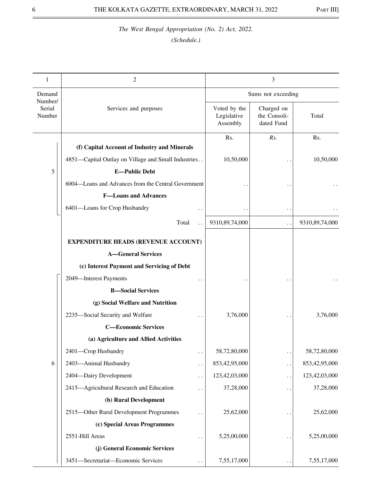| 1                           | 2                                                                           |                                         | 3                                        |                |
|-----------------------------|-----------------------------------------------------------------------------|-----------------------------------------|------------------------------------------|----------------|
| Demand                      |                                                                             |                                         | Sums not exceeding                       |                |
| Number/<br>Serial<br>Number | Services and purposes                                                       | Voted by the<br>Legislative<br>Assembly | Charged on<br>the Consoli-<br>dated Fund | Total          |
|                             | (f) Capital Account of Industry and Minerals                                | Rs.                                     | Rs.                                      | Rs.            |
|                             |                                                                             |                                         |                                          |                |
|                             | 4851-Capital Outlay on Village and Small Industries<br><b>E-Public Debt</b> | 10,50,000                               |                                          | 10,50,000      |
| 5                           |                                                                             |                                         |                                          |                |
|                             | 6004—Loans and Advances from the Central Government                         |                                         |                                          |                |
|                             | <b>F-Loans and Advances</b>                                                 |                                         |                                          |                |
|                             | 6401-Loans for Crop Husbandry                                               |                                         | $\ddot{\phantom{1}}$                     |                |
|                             | Total                                                                       | 9310,89,74,000                          | . .                                      | 9310,89,74,000 |
|                             | <b>EXPENDITURE HEADS (REVENUE ACCOUNT)</b>                                  |                                         |                                          |                |
|                             | <b>A-General Services</b>                                                   |                                         |                                          |                |
|                             | (c) Interest Payment and Servicing of Debt                                  |                                         |                                          |                |
|                             | 2049-Interest Payments                                                      |                                         |                                          |                |
|                             | <b>B-Social Services</b>                                                    |                                         |                                          |                |
|                             | (g) Social Welfare and Nutrition                                            |                                         |                                          |                |
|                             | 2235-Social Security and Welfare                                            | 3,76,000                                |                                          | 3,76,000       |
|                             | <b>C-Economic Services</b>                                                  |                                         |                                          |                |
|                             | (a) Agriculture and Allied Activities                                       |                                         |                                          |                |
|                             | 2401-Crop Husbandry<br>$\ddot{\phantom{0}}$                                 | 58,72,80,000                            | . .                                      | 58,72,80,000   |
| 6                           | 2403-Animal Husbandry<br>$\ddot{\phantom{0}}$                               | 853,42,95,000                           | $\ddot{\phantom{1}}$                     | 853,42,95,000  |
|                             | 2404-Dairy Development<br>$\ddot{\phantom{0}}$                              | 123,42,03,000                           | $\ddot{\phantom{1}}$                     | 123,42,03,000  |
|                             | 2415-Agricultural Research and Education                                    | 37,28,000                               | $\ddot{\phantom{0}}$                     | 37,28,000      |
|                             | (b) Rural Development                                                       |                                         |                                          |                |
|                             | 2515-Other Rural Development Programmes                                     | 25,62,000                               |                                          | 25,62,000      |
|                             | (c) Special Areas Programmes                                                |                                         |                                          |                |
|                             | 2551-Hill Areas                                                             | 5,25,00,000                             | $\ddot{\phantom{0}}$                     | 5,25,00,000    |
|                             | (j) General Economic Services                                               |                                         |                                          |                |
|                             | 3451-Secretariat-Economic Services<br>$\ddotsc$                             | 7,55,17,000                             | $\ddot{\phantom{1}}$                     | 7,55,17,000    |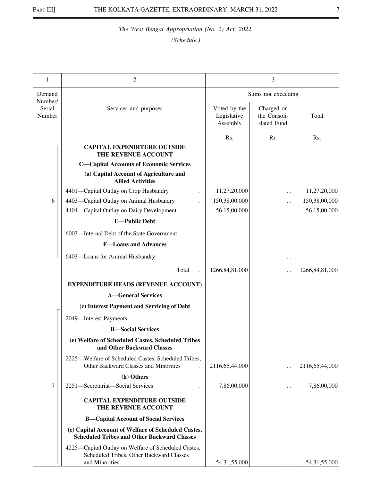| 1                           | 2                                                                                                                 |                                         | 3                                        |                   |
|-----------------------------|-------------------------------------------------------------------------------------------------------------------|-----------------------------------------|------------------------------------------|-------------------|
| Demand                      |                                                                                                                   |                                         | Sums not exceeding                       |                   |
| Number/<br>Serial<br>Number | Services and purposes                                                                                             | Voted by the<br>Legislative<br>Assembly | Charged on<br>the Consoli-<br>dated Fund | Total             |
|                             | <b>CAPITAL EXPENDITURE OUTSIDE</b><br>THE REVENUE ACCOUNT                                                         | Rs.                                     | Rs.                                      | Rs.               |
|                             | <b>C-Capital Accounts of Economic Services</b>                                                                    |                                         |                                          |                   |
|                             | (a) Capital Account of Agriculture and<br><b>Allied Activities</b>                                                |                                         |                                          |                   |
|                             | 4401-Capital Outlay on Crop Husbandry<br>$\ddotsc$                                                                | 11,27,20,000                            | . .                                      | 11,27,20,000      |
| 6                           | 4403-Capital Outlay on Animal Husbandry                                                                           | 150,38,00,000                           | . .                                      | 150,38,00,000     |
|                             | 4404—Capital Outlay on Dairy Development                                                                          | 56,15,00,000                            |                                          | 56,15,00,000      |
|                             | <b>E-Public Debt</b>                                                                                              |                                         |                                          |                   |
|                             | 6003-Internal Debt of the State Government                                                                        |                                         |                                          |                   |
|                             | <b>F-Loans and Advances</b>                                                                                       |                                         |                                          |                   |
|                             | 6403-Loans for Animal Husbandry                                                                                   |                                         | $\ddot{\phantom{a}}$                     |                   |
|                             | Total                                                                                                             | 1266, 84, 81, 000                       | . .                                      | 1266, 84, 81, 000 |
|                             | <b>EXPENDITURE HEADS (REVENUE ACCOUNT)</b>                                                                        |                                         |                                          |                   |
|                             | <b>A-General Services</b>                                                                                         |                                         |                                          |                   |
|                             | (c) Interest Payment and Servicing of Debt                                                                        |                                         |                                          |                   |
|                             | 2049-Interest Payments                                                                                            |                                         |                                          |                   |
|                             | <b>B-Social Services</b>                                                                                          |                                         |                                          |                   |
|                             | (e) Welfare of Scheduled Castes, Scheduled Tribes<br>and Other Backward Classes                                   |                                         |                                          |                   |
|                             | 2225—Welfare of Scheduled Castes, Scheduled Tribes,<br>Other Backward Classes and Minorities                      | 2116,65,44,000                          | . .                                      | 2116,65,44,000    |
|                             | (h) Others                                                                                                        |                                         |                                          |                   |
| 7                           | 2251-Secretariat-Social Services                                                                                  | 7,86,00,000                             | . .                                      | 7,86,00,000       |
|                             | <b>CAPITAL EXPENDITURE OUTSIDE</b><br>THE REVENUE ACCOUNT                                                         |                                         |                                          |                   |
|                             | <b>B-Capital Account of Social Services</b>                                                                       |                                         |                                          |                   |
|                             | (e) Capital Account of Welfare of Scheduled Castes,<br><b>Scheduled Tribes and Other Backward Classes</b>         |                                         |                                          |                   |
|                             | 4225—Capital Outlay on Welfare of Scheduled Castes,<br>Scheduled Tribes, Other Backward Classes<br>and Minorities | 54, 31, 55, 000                         |                                          | 54, 31, 55, 000   |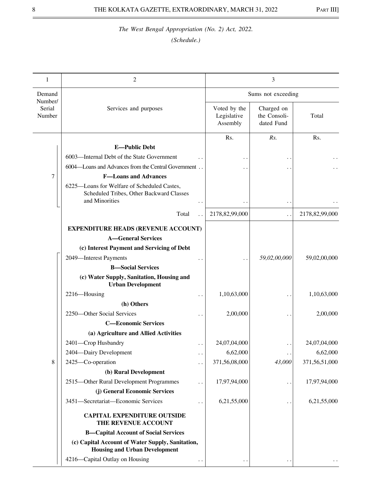*(Schedule.)*

| 1                 | 2                                                                                                         |                                         | 3                                        |                |
|-------------------|-----------------------------------------------------------------------------------------------------------|-----------------------------------------|------------------------------------------|----------------|
| Demand<br>Number/ |                                                                                                           |                                         | Sums not exceeding                       |                |
| Serial<br>Number  | Services and purposes                                                                                     | Voted by the<br>Legislative<br>Assembly | Charged on<br>the Consoli-<br>dated Fund | Total          |
|                   |                                                                                                           | Rs.                                     | Rs.                                      | Rs.            |
|                   | <b>E-Public Debt</b>                                                                                      |                                         |                                          |                |
|                   | 6003—Internal Debt of the State Government                                                                |                                         |                                          |                |
|                   | 6004—Loans and Advances from the Central Government                                                       |                                         |                                          |                |
| 7                 | <b>F-Loans and Advances</b>                                                                               |                                         |                                          |                |
|                   | 6225-Loans for Welfare of Scheduled Castes,<br>Scheduled Tribes, Other Backward Classes<br>and Minorities |                                         |                                          |                |
|                   | Total                                                                                                     | 2178,82,99,000                          | $\ddot{\phantom{0}}$                     | 2178,82,99,000 |
|                   | <b>EXPENDITURE HEADS (REVENUE ACCOUNT)</b>                                                                |                                         |                                          |                |
|                   | <b>A-General Services</b>                                                                                 |                                         |                                          |                |
|                   | (c) Interest Payment and Servicing of Debt                                                                |                                         |                                          |                |
|                   | 2049-Interest Payments                                                                                    |                                         | 59,02,00,000                             | 59,02,00,000   |
|                   | <b>B</b> -Social Services                                                                                 |                                         |                                          |                |
|                   | (c) Water Supply, Sanitation, Housing and<br><b>Urban Development</b>                                     |                                         |                                          |                |
|                   | 2216-Housing                                                                                              | 1,10,63,000                             |                                          | 1,10,63,000    |
|                   | (h) Others                                                                                                |                                         |                                          |                |
|                   | 2250-Other Social Services                                                                                | 2,00,000                                |                                          | 2,00,000       |
|                   | <b>C-Economic Services</b>                                                                                |                                         |                                          |                |
|                   | (a) Agriculture and Allied Activities                                                                     |                                         |                                          |                |
|                   | 2401-Crop Husbandry                                                                                       | 24,07,04,000                            |                                          | 24,07,04,000   |
|                   | 2404-Dairy Development<br>$\ddot{\phantom{0}}$                                                            | 6,62,000                                |                                          | 6,62,000       |
| 8                 | 2425-Co-operation<br>. .                                                                                  | 371,56,08,000                           | 43,000                                   | 371,56,51,000  |
|                   | (b) Rural Development                                                                                     |                                         |                                          |                |
|                   | 2515-Other Rural Development Programmes                                                                   | 17,97,94,000                            |                                          | 17,97,94,000   |
|                   | (j) General Economic Services                                                                             |                                         |                                          |                |
|                   | 3451-Secretariat-Economic Services<br>$\ddot{\phantom{0}}$                                                | 6,21,55,000                             |                                          | 6,21,55,000    |
|                   | <b>CAPITAL EXPENDITURE OUTSIDE</b><br>THE REVENUE ACCOUNT                                                 |                                         |                                          |                |
|                   | <b>B-Capital Account of Social Services</b>                                                               |                                         |                                          |                |
|                   | (c) Capital Account of Water Supply, Sanitation,<br><b>Housing and Urban Development</b>                  |                                         |                                          |                |
|                   | 4216-Capital Outlay on Housing                                                                            |                                         |                                          |                |

 $\overline{a}$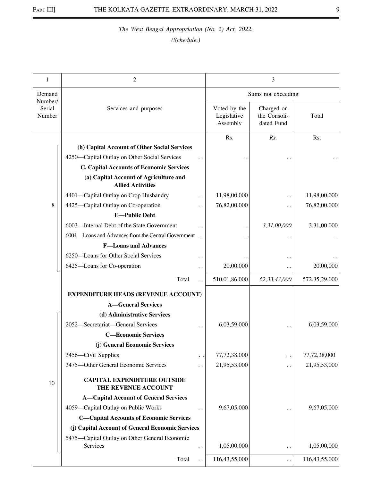| Demand<br>Sums not exceeding<br>Number/<br>Serial<br>Charged on<br>Services and purposes<br>Voted by the<br>Legislative<br>the Consoli-<br>Number<br>Total<br>Assembly<br>dated Fund<br>Rs.<br>Rs.<br>Rs.<br>(h) Capital Account of Other Social Services<br>4250—Capital Outlay on Other Social Services<br><b>C. Capital Accounts of Economic Services</b><br>(a) Capital Account of Agriculture and<br><b>Allied Activities</b><br>4401-Capital Outlay on Crop Husbandry<br>11,98,00,000<br>11,98,00,000<br>8<br>4425-Capital Outlay on Co-operation<br>76,82,00,000<br>76,82,00,000<br>$\ddot{\phantom{0}}$<br><b>E-Public Debt</b><br>3,31,00,000<br>6003-Internal Debt of the State Government<br>3,31,00,000<br>6004—Loans and Advances from the Central Government<br><b>F-Loans and Advances</b><br>6250-Loans for Other Social Services<br>$\cdot$ .<br>6425-Loans for Co-operation<br>20,00,000<br>20,00,000<br>$\ddotsc$<br>$\ddot{\phantom{0}}$<br>510,01,86,000<br>62,33,43,000<br>572,35,29,000<br>Total<br><b>EXPENDITURE HEADS (REVENUE ACCOUNT)</b><br><b>A-General Services</b><br>(d) Administrative Services<br>2052-Secretariat-General Services<br>6,03,59,000<br>6,03,59,000<br><b>C-Economic Services</b><br>(j) General Economic Services<br>3456-Civil Supplies<br>77,72,38,000<br>77,72,38,000<br>. .<br>3475-Other General Economic Services<br>21,95,53,000<br>21,95,53,000<br>. .<br><b>CAPITAL EXPENDITURE OUTSIDE</b><br>10<br>THE REVENUE ACCOUNT<br><b>A-Capital Account of General Services</b><br>4059-Capital Outlay on Public Works<br>9,67,05,000<br>9,67,05,000<br><b>C-Capital Accounts of Economic Services</b><br>(j) Capital Account of General Economic Services<br>5475—Capital Outlay on Other General Economic<br>Services<br>1,05,00,000<br>1,05,00,000<br>$\ddot{\phantom{0}}$<br>. .<br>$\ddot{\phantom{0}}$ | 1 | 2     |               | 3   |               |
|------------------------------------------------------------------------------------------------------------------------------------------------------------------------------------------------------------------------------------------------------------------------------------------------------------------------------------------------------------------------------------------------------------------------------------------------------------------------------------------------------------------------------------------------------------------------------------------------------------------------------------------------------------------------------------------------------------------------------------------------------------------------------------------------------------------------------------------------------------------------------------------------------------------------------------------------------------------------------------------------------------------------------------------------------------------------------------------------------------------------------------------------------------------------------------------------------------------------------------------------------------------------------------------------------------------------------------------------------------------------------------------------------------------------------------------------------------------------------------------------------------------------------------------------------------------------------------------------------------------------------------------------------------------------------------------------------------------------------------------------------------------------------------------------------------------------------------------------------------------|---|-------|---------------|-----|---------------|
|                                                                                                                                                                                                                                                                                                                                                                                                                                                                                                                                                                                                                                                                                                                                                                                                                                                                                                                                                                                                                                                                                                                                                                                                                                                                                                                                                                                                                                                                                                                                                                                                                                                                                                                                                                                                                                                                  |   |       |               |     |               |
|                                                                                                                                                                                                                                                                                                                                                                                                                                                                                                                                                                                                                                                                                                                                                                                                                                                                                                                                                                                                                                                                                                                                                                                                                                                                                                                                                                                                                                                                                                                                                                                                                                                                                                                                                                                                                                                                  |   |       |               |     |               |
|                                                                                                                                                                                                                                                                                                                                                                                                                                                                                                                                                                                                                                                                                                                                                                                                                                                                                                                                                                                                                                                                                                                                                                                                                                                                                                                                                                                                                                                                                                                                                                                                                                                                                                                                                                                                                                                                  |   |       |               |     |               |
|                                                                                                                                                                                                                                                                                                                                                                                                                                                                                                                                                                                                                                                                                                                                                                                                                                                                                                                                                                                                                                                                                                                                                                                                                                                                                                                                                                                                                                                                                                                                                                                                                                                                                                                                                                                                                                                                  |   |       |               |     |               |
|                                                                                                                                                                                                                                                                                                                                                                                                                                                                                                                                                                                                                                                                                                                                                                                                                                                                                                                                                                                                                                                                                                                                                                                                                                                                                                                                                                                                                                                                                                                                                                                                                                                                                                                                                                                                                                                                  |   |       |               |     |               |
|                                                                                                                                                                                                                                                                                                                                                                                                                                                                                                                                                                                                                                                                                                                                                                                                                                                                                                                                                                                                                                                                                                                                                                                                                                                                                                                                                                                                                                                                                                                                                                                                                                                                                                                                                                                                                                                                  |   |       |               |     |               |
|                                                                                                                                                                                                                                                                                                                                                                                                                                                                                                                                                                                                                                                                                                                                                                                                                                                                                                                                                                                                                                                                                                                                                                                                                                                                                                                                                                                                                                                                                                                                                                                                                                                                                                                                                                                                                                                                  |   |       |               |     |               |
|                                                                                                                                                                                                                                                                                                                                                                                                                                                                                                                                                                                                                                                                                                                                                                                                                                                                                                                                                                                                                                                                                                                                                                                                                                                                                                                                                                                                                                                                                                                                                                                                                                                                                                                                                                                                                                                                  |   |       |               |     |               |
|                                                                                                                                                                                                                                                                                                                                                                                                                                                                                                                                                                                                                                                                                                                                                                                                                                                                                                                                                                                                                                                                                                                                                                                                                                                                                                                                                                                                                                                                                                                                                                                                                                                                                                                                                                                                                                                                  |   |       |               |     |               |
|                                                                                                                                                                                                                                                                                                                                                                                                                                                                                                                                                                                                                                                                                                                                                                                                                                                                                                                                                                                                                                                                                                                                                                                                                                                                                                                                                                                                                                                                                                                                                                                                                                                                                                                                                                                                                                                                  |   |       |               |     |               |
|                                                                                                                                                                                                                                                                                                                                                                                                                                                                                                                                                                                                                                                                                                                                                                                                                                                                                                                                                                                                                                                                                                                                                                                                                                                                                                                                                                                                                                                                                                                                                                                                                                                                                                                                                                                                                                                                  |   |       |               |     |               |
|                                                                                                                                                                                                                                                                                                                                                                                                                                                                                                                                                                                                                                                                                                                                                                                                                                                                                                                                                                                                                                                                                                                                                                                                                                                                                                                                                                                                                                                                                                                                                                                                                                                                                                                                                                                                                                                                  |   |       |               |     |               |
|                                                                                                                                                                                                                                                                                                                                                                                                                                                                                                                                                                                                                                                                                                                                                                                                                                                                                                                                                                                                                                                                                                                                                                                                                                                                                                                                                                                                                                                                                                                                                                                                                                                                                                                                                                                                                                                                  |   |       |               |     |               |
|                                                                                                                                                                                                                                                                                                                                                                                                                                                                                                                                                                                                                                                                                                                                                                                                                                                                                                                                                                                                                                                                                                                                                                                                                                                                                                                                                                                                                                                                                                                                                                                                                                                                                                                                                                                                                                                                  |   |       |               |     |               |
|                                                                                                                                                                                                                                                                                                                                                                                                                                                                                                                                                                                                                                                                                                                                                                                                                                                                                                                                                                                                                                                                                                                                                                                                                                                                                                                                                                                                                                                                                                                                                                                                                                                                                                                                                                                                                                                                  |   |       |               |     |               |
|                                                                                                                                                                                                                                                                                                                                                                                                                                                                                                                                                                                                                                                                                                                                                                                                                                                                                                                                                                                                                                                                                                                                                                                                                                                                                                                                                                                                                                                                                                                                                                                                                                                                                                                                                                                                                                                                  |   |       |               |     |               |
|                                                                                                                                                                                                                                                                                                                                                                                                                                                                                                                                                                                                                                                                                                                                                                                                                                                                                                                                                                                                                                                                                                                                                                                                                                                                                                                                                                                                                                                                                                                                                                                                                                                                                                                                                                                                                                                                  |   |       |               |     |               |
|                                                                                                                                                                                                                                                                                                                                                                                                                                                                                                                                                                                                                                                                                                                                                                                                                                                                                                                                                                                                                                                                                                                                                                                                                                                                                                                                                                                                                                                                                                                                                                                                                                                                                                                                                                                                                                                                  |   |       |               |     |               |
|                                                                                                                                                                                                                                                                                                                                                                                                                                                                                                                                                                                                                                                                                                                                                                                                                                                                                                                                                                                                                                                                                                                                                                                                                                                                                                                                                                                                                                                                                                                                                                                                                                                                                                                                                                                                                                                                  |   |       |               |     |               |
|                                                                                                                                                                                                                                                                                                                                                                                                                                                                                                                                                                                                                                                                                                                                                                                                                                                                                                                                                                                                                                                                                                                                                                                                                                                                                                                                                                                                                                                                                                                                                                                                                                                                                                                                                                                                                                                                  |   |       |               |     |               |
|                                                                                                                                                                                                                                                                                                                                                                                                                                                                                                                                                                                                                                                                                                                                                                                                                                                                                                                                                                                                                                                                                                                                                                                                                                                                                                                                                                                                                                                                                                                                                                                                                                                                                                                                                                                                                                                                  |   |       |               |     |               |
|                                                                                                                                                                                                                                                                                                                                                                                                                                                                                                                                                                                                                                                                                                                                                                                                                                                                                                                                                                                                                                                                                                                                                                                                                                                                                                                                                                                                                                                                                                                                                                                                                                                                                                                                                                                                                                                                  |   |       |               |     |               |
|                                                                                                                                                                                                                                                                                                                                                                                                                                                                                                                                                                                                                                                                                                                                                                                                                                                                                                                                                                                                                                                                                                                                                                                                                                                                                                                                                                                                                                                                                                                                                                                                                                                                                                                                                                                                                                                                  |   |       |               |     |               |
|                                                                                                                                                                                                                                                                                                                                                                                                                                                                                                                                                                                                                                                                                                                                                                                                                                                                                                                                                                                                                                                                                                                                                                                                                                                                                                                                                                                                                                                                                                                                                                                                                                                                                                                                                                                                                                                                  |   |       |               |     |               |
|                                                                                                                                                                                                                                                                                                                                                                                                                                                                                                                                                                                                                                                                                                                                                                                                                                                                                                                                                                                                                                                                                                                                                                                                                                                                                                                                                                                                                                                                                                                                                                                                                                                                                                                                                                                                                                                                  |   |       |               |     |               |
|                                                                                                                                                                                                                                                                                                                                                                                                                                                                                                                                                                                                                                                                                                                                                                                                                                                                                                                                                                                                                                                                                                                                                                                                                                                                                                                                                                                                                                                                                                                                                                                                                                                                                                                                                                                                                                                                  |   |       |               |     |               |
|                                                                                                                                                                                                                                                                                                                                                                                                                                                                                                                                                                                                                                                                                                                                                                                                                                                                                                                                                                                                                                                                                                                                                                                                                                                                                                                                                                                                                                                                                                                                                                                                                                                                                                                                                                                                                                                                  |   |       |               |     |               |
|                                                                                                                                                                                                                                                                                                                                                                                                                                                                                                                                                                                                                                                                                                                                                                                                                                                                                                                                                                                                                                                                                                                                                                                                                                                                                                                                                                                                                                                                                                                                                                                                                                                                                                                                                                                                                                                                  |   |       |               |     |               |
|                                                                                                                                                                                                                                                                                                                                                                                                                                                                                                                                                                                                                                                                                                                                                                                                                                                                                                                                                                                                                                                                                                                                                                                                                                                                                                                                                                                                                                                                                                                                                                                                                                                                                                                                                                                                                                                                  |   |       |               |     |               |
|                                                                                                                                                                                                                                                                                                                                                                                                                                                                                                                                                                                                                                                                                                                                                                                                                                                                                                                                                                                                                                                                                                                                                                                                                                                                                                                                                                                                                                                                                                                                                                                                                                                                                                                                                                                                                                                                  |   | Total | 116,43,55,000 | . . | 116,43,55,000 |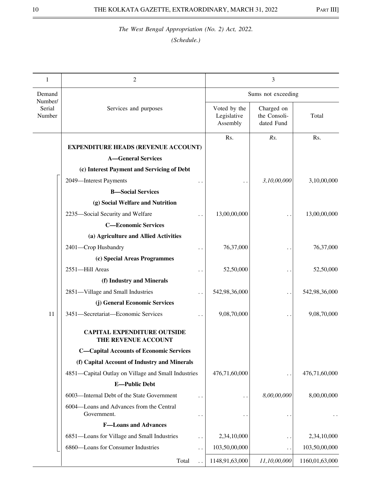| 1                           | 2                                                         |                                         | 3                                        |                |
|-----------------------------|-----------------------------------------------------------|-----------------------------------------|------------------------------------------|----------------|
| Demand                      |                                                           |                                         | Sums not exceeding                       |                |
| Number/<br>Serial<br>Number | Services and purposes                                     | Voted by the<br>Legislative<br>Assembly | Charged on<br>the Consoli-<br>dated Fund | Total          |
|                             |                                                           | Rs.                                     | Rs.                                      | Rs.            |
|                             | <b>EXPENDITURE HEADS (REVENUE ACCOUNT)</b>                |                                         |                                          |                |
|                             | <b>A-General Services</b>                                 |                                         |                                          |                |
|                             | (c) Interest Payment and Servicing of Debt                |                                         |                                          |                |
|                             | 2049-Interest Payments<br>. .                             |                                         | 3,10,00,000                              | 3,10,00,000    |
|                             | <b>B</b> -Social Services                                 |                                         |                                          |                |
|                             | (g) Social Welfare and Nutrition                          |                                         |                                          |                |
|                             | 2235-Social Security and Welfare                          | 13,00,00,000                            |                                          | 13,00,00,000   |
|                             | <b>C-Economic Services</b>                                |                                         |                                          |                |
|                             | (a) Agriculture and Allied Activities                     |                                         |                                          |                |
|                             | 2401-Crop Husbandry                                       | 76,37,000                               |                                          | 76,37,000      |
|                             | (c) Special Areas Programmes                              |                                         |                                          |                |
|                             | 2551-Hill Areas                                           | 52,50,000                               |                                          | 52,50,000      |
|                             | (f) Industry and Minerals                                 |                                         |                                          |                |
|                             | 2851-Village and Small Industries                         | 542,98,36,000                           | $\ddot{\phantom{0}}$                     | 542,98,36,000  |
|                             | (j) General Economic Services                             |                                         |                                          |                |
| 11                          | 3451-Secretariat-Economic Services                        | 9,08,70,000                             |                                          | 9,08,70,000    |
|                             | <b>CAPITAL EXPENDITURE OUTSIDE</b><br>THE REVENUE ACCOUNT |                                         |                                          |                |
|                             | <b>C-Capital Accounts of Economic Services</b>            |                                         |                                          |                |
|                             | (f) Capital Account of Industry and Minerals              |                                         |                                          |                |
|                             | 4851-Capital Outlay on Village and Small Industries       | 476,71,60,000                           |                                          | 476,71,60,000  |
|                             | <b>E-Public Debt</b>                                      |                                         |                                          |                |
|                             | 6003-Internal Debt of the State Government                |                                         | 8,00,00,000                              | 8,00,00,000    |
|                             | 6004-Loans and Advances from the Central<br>Government.   |                                         |                                          |                |
|                             | <b>F-Loans and Advances</b>                               |                                         |                                          |                |
|                             | 6851-Loans for Village and Small Industries<br>. .        | 2,34,10,000                             | . .                                      | 2,34,10,000    |
|                             | 6860-Loans for Consumer Industries<br>. .                 | 103,50,00,000                           | $\cdot$ .                                | 103,50,00,000  |
|                             | Total                                                     | 1148,91,63,000                          | 11,10,00,000                             | 1160,01,63,000 |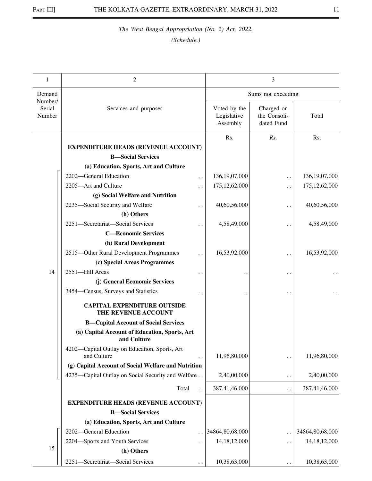| 1                           | 2                                                            |                                         | 3                                        |                      |
|-----------------------------|--------------------------------------------------------------|-----------------------------------------|------------------------------------------|----------------------|
| Demand                      |                                                              |                                         | Sums not exceeding                       |                      |
| Number/<br>Serial<br>Number | Services and purposes                                        | Voted by the<br>Legislative<br>Assembly | Charged on<br>the Consoli-<br>dated Fund | Total                |
|                             |                                                              | Rs.                                     | Rs.                                      | Rs.                  |
|                             | <b>EXPENDITURE HEADS (REVENUE ACCOUNT)</b>                   |                                         |                                          |                      |
|                             | <b>B</b> -Social Services                                    |                                         |                                          |                      |
|                             | (a) Education, Sports, Art and Culture                       |                                         |                                          |                      |
|                             | 2202-General Education<br>$\ddot{\phantom{0}}$               | 136, 19, 07, 000                        | . .                                      | 136, 19, 07, 000     |
|                             | 2205-Art and Culture                                         | 175, 12, 62, 000                        | $\ddot{\phantom{0}}$                     | 175, 12, 62, 000     |
|                             | (g) Social Welfare and Nutrition                             |                                         |                                          |                      |
|                             | 2235-Social Security and Welfare                             | 40,60,56,000                            | $\ddot{\phantom{0}}$                     | 40,60,56,000         |
|                             | (h) Others                                                   |                                         |                                          |                      |
|                             | 2251-Secretariat-Social Services                             | 4,58,49,000                             |                                          | 4,58,49,000          |
|                             | <b>C-Economic Services</b>                                   |                                         |                                          |                      |
|                             | (b) Rural Development                                        |                                         |                                          |                      |
|                             | 2515-Other Rural Development Programmes                      | 16,53,92,000                            | . .                                      | 16,53,92,000         |
|                             | (c) Special Areas Programmes                                 |                                         |                                          |                      |
| 14                          | 2551-Hill Areas                                              |                                         | $\ddot{\phantom{1}}$                     |                      |
|                             | (j) General Economic Services                                |                                         |                                          |                      |
|                             | 3454–Census, Surveys and Statistics                          |                                         |                                          | $\ddot{\phantom{0}}$ |
|                             | <b>CAPITAL EXPENDITURE OUTSIDE</b><br>THE REVENUE ACCOUNT    |                                         |                                          |                      |
|                             | <b>B-Capital Account of Social Services</b>                  |                                         |                                          |                      |
|                             | (a) Capital Account of Education, Sports, Art<br>and Culture |                                         |                                          |                      |
|                             | 4202-Capital Outlay on Education, Sports, Art<br>and Culture | 11,96,80,000                            |                                          | 11,96,80,000         |
|                             | (g) Capital Account of Social Welfare and Nutrition          |                                         |                                          |                      |
|                             | 4235—Capital Outlay on Social Security and Welfare           | 2,40,00,000                             | $\ddot{\phantom{1}}$                     | 2,40,00,000          |
|                             | Total                                                        | 387,41,46,000                           | . .                                      | 387,41,46,000        |
|                             | <b>EXPENDITURE HEADS (REVENUE ACCOUNT)</b>                   |                                         |                                          |                      |
|                             | <b>B-Social Services</b>                                     |                                         |                                          |                      |
|                             | (a) Education, Sports, Art and Culture                       |                                         |                                          |                      |
|                             | 2202-General Education                                       | 34864,80,68,000                         |                                          | 34864,80,68,000      |
|                             | 2204-Sports and Youth Services                               | 14, 18, 12, 000                         | . .                                      | 14, 18, 12, 000      |
| 15                          | (h) Others                                                   |                                         |                                          |                      |
|                             | 2251-Secretariat-Social Services                             | 10,38,63,000                            |                                          | 10,38,63,000         |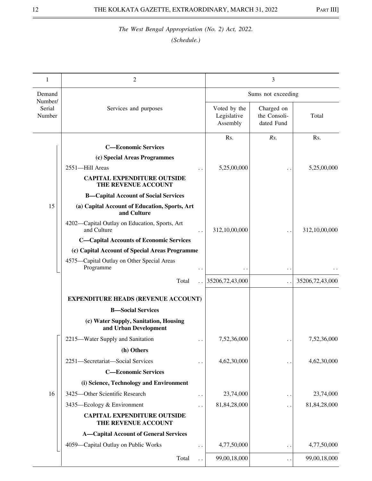| 1                           | $\mathfrak{2}$                                                       |                                         | 3                                        |                 |
|-----------------------------|----------------------------------------------------------------------|-----------------------------------------|------------------------------------------|-----------------|
| Demand                      |                                                                      |                                         | Sums not exceeding                       |                 |
| Number/<br>Serial<br>Number | Services and purposes                                                | Voted by the<br>Legislative<br>Assembly | Charged on<br>the Consoli-<br>dated Fund | Total           |
|                             | <b>C-Economic Services</b>                                           | Rs.                                     | Rs.                                      | Rs.             |
|                             |                                                                      |                                         |                                          |                 |
|                             | (c) Special Areas Programmes<br>2551-Hill Areas                      | 5,25,00,000                             |                                          | 5,25,00,000     |
|                             | <b>CAPITAL EXPENDITURE OUTSIDE</b><br>THE REVENUE ACCOUNT            |                                         |                                          |                 |
|                             | <b>B-Capital Account of Social Services</b>                          |                                         |                                          |                 |
| 15                          | (a) Capital Account of Education, Sports, Art<br>and Culture         |                                         |                                          |                 |
|                             | 4202-Capital Outlay on Education, Sports, Art<br>and Culture         | 312,10,00,000                           |                                          | 312,10,00,000   |
|                             | <b>C-Capital Accounts of Economic Services</b>                       |                                         |                                          |                 |
|                             | (c) Capital Account of Special Areas Programme                       |                                         |                                          |                 |
|                             | 4575-Capital Outlay on Other Special Areas<br>Programme<br>$\ddotsc$ |                                         | $\cdot$ .                                |                 |
|                             | Total                                                                | 35206,72,43,000                         | $\ddotsc$                                | 35206,72,43,000 |
|                             | <b>EXPENDITURE HEADS (REVENUE ACCOUNT)</b>                           |                                         |                                          |                 |
|                             | <b>B-Social Services</b>                                             |                                         |                                          |                 |
|                             | (c) Water Supply, Sanitation, Housing<br>and Urban Development       |                                         |                                          |                 |
|                             | 2215-Water Supply and Sanitation<br>$\ddot{\phantom{0}}$             | 7,52,36,000                             |                                          | 7,52,36,000     |
|                             | (h) Others                                                           |                                         |                                          |                 |
|                             | 2251-Secretariat-Social Services<br>$\ddot{\phantom{0}}$             | 4,62,30,000                             | $\ddot{\phantom{1}}$                     | 4,62,30,000     |
|                             | <b>C-Economic Services</b>                                           |                                         |                                          |                 |
|                             | (i) Science, Technology and Environment                              |                                         |                                          |                 |
| 16                          | 3425-Other Scientific Research<br>$\ddot{\phantom{0}}$               | 23,74,000                               | $\ddot{\phantom{1}}$                     | 23,74,000       |
|                             | 3435-Ecology & Environment<br>. .                                    | 81,84,28,000                            | $\ddot{\phantom{0}}$                     | 81,84,28,000    |
|                             | <b>CAPITAL EXPENDITURE OUTSIDE</b><br>THE REVENUE ACCOUNT            |                                         |                                          |                 |
|                             | <b>A-Capital Account of General Services</b>                         |                                         |                                          |                 |
|                             | 4059-Capital Outlay on Public Works<br>$\ddot{\phantom{0}}$          | 4,77,50,000                             | $\ddot{\phantom{0}}$                     | 4,77,50,000     |
|                             | Total                                                                | 99,00,18,000                            | $\ddotsc$                                | 99,00,18,000    |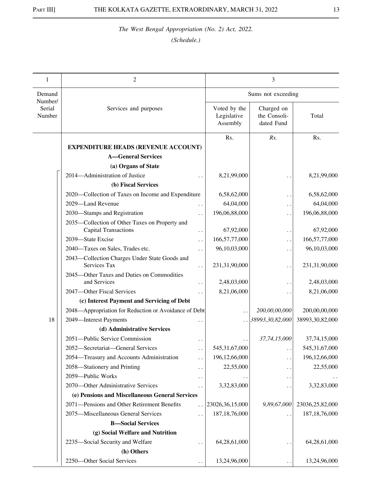| 1                           | $\mathfrak{2}$                                                |                      |                                         | 3                                        |                  |
|-----------------------------|---------------------------------------------------------------|----------------------|-----------------------------------------|------------------------------------------|------------------|
| Demand                      |                                                               |                      |                                         | Sums not exceeding                       |                  |
| Number/<br>Serial<br>Number | Services and purposes                                         |                      | Voted by the<br>Legislative<br>Assembly | Charged on<br>the Consoli-<br>dated Fund | Total            |
|                             |                                                               |                      | Rs.                                     | Rs.                                      | Rs.              |
|                             | <b>EXPENDITURE HEADS (REVENUE ACCOUNT)</b>                    |                      |                                         |                                          |                  |
|                             | <b>A-General Services</b>                                     |                      |                                         |                                          |                  |
|                             | (a) Organs of State                                           |                      |                                         |                                          |                  |
|                             | 2014-Administration of Justice                                |                      | 8,21,99,000                             |                                          | 8,21,99,000      |
|                             | (b) Fiscal Services                                           |                      |                                         |                                          |                  |
|                             | 2020—Collection of Taxes on Income and Expenditure            |                      | 6,58,62,000                             | . .                                      | 6,58,62,000      |
|                             | 2029-Land Revenue                                             | . .                  | 64,04,000                               | $\ddot{\phantom{1}}$                     | 64,04,000        |
|                             | 2030—Stamps and Registration                                  |                      | 196,06,88,000                           | $\ddot{\phantom{0}}$                     | 196,06,88,000    |
|                             | 2035—Collection of Other Taxes on Property and                |                      |                                         |                                          |                  |
|                             | <b>Capital Transactions</b>                                   | $\ddot{\phantom{1}}$ | 67,92,000                               | $\ddotsc$                                | 67,92,000        |
|                             | 2039-State Excise                                             | $\ddot{\phantom{0}}$ | 166,57,77,000                           | $\ddot{\phantom{0}}$                     | 166,57,77,000    |
|                             | 2040-Taxes on Sales, Trades etc.                              |                      | 96,10,03,000                            | $\ddot{\phantom{1}}$                     | 96,10,03,000     |
|                             | 2043-Collection Charges Under State Goods and<br>Services Tax |                      | 231,31,90,000                           | $\ddot{\phantom{0}}$                     | 231,31,90,000    |
|                             | 2045-Other Taxes and Duties on Commodities<br>and Services    | $\ddot{\phantom{a}}$ | 2,48,03,000                             | $\ddot{\phantom{0}}$                     | 2,48,03,000      |
|                             | 2047-Other Fiscal Services                                    | . .                  | 8,21,06,000                             |                                          | 8,21,06,000      |
|                             | (c) Interest Payment and Servicing of Debt                    |                      |                                         |                                          |                  |
|                             | 2048—Appropriation for Reduction or Avoidance of Debt         |                      | $\ddot{\phantom{0}}$                    | 200,00,00,000                            | 200,00,00,000    |
| 18                          | 2049-Interest Payments                                        |                      |                                         | .  38993, 30, 82, 000                    | 38993,30,82,000  |
|                             | (d) Administrative Services                                   |                      |                                         |                                          |                  |
|                             | 2051-Public Service Commission                                | $\ddot{\phantom{0}}$ | $\ddot{\phantom{0}}$                    | 37,74,15,000                             | 37,74,15,000     |
|                             | 2052-Secretariat-General Services                             | $\ddot{\phantom{0}}$ | 545,31,67,000                           | $\ddot{\phantom{0}}$                     | 545, 31, 67, 000 |
|                             | 2054—Treasury and Accounts Administration                     | $\ddot{\phantom{0}}$ | 196,12,66,000                           | $\ddot{\phantom{0}}$                     | 196, 12, 66, 000 |
|                             | 2058—Stationery and Printing                                  | $\ddot{\phantom{0}}$ | 22,55,000                               | . .                                      | 22,55,000        |
|                             | 2059-Public Works                                             | . .                  |                                         | $\cdot$ .                                |                  |
|                             | 2070-Other Administrative Services                            | . .                  | 3,32,83,000                             | $\ddot{\phantom{0}}$                     | 3,32,83,000      |
|                             | (e) Pensions and Miscellaneous General Services               |                      |                                         |                                          |                  |
|                             | 2071-Pensions and Other Retirement Benefits                   | $\ddot{\phantom{0}}$ | 23026, 36, 15, 000                      | 9,89,67,000                              | 23036,25,82,000  |
|                             | 2075-Miscellaneous General Services                           | $\ddot{\phantom{0}}$ | 187, 18, 76, 000                        |                                          | 187, 18, 76, 000 |
|                             | <b>B-Social Services</b>                                      |                      |                                         |                                          |                  |
|                             | (g) Social Welfare and Nutrition                              |                      |                                         |                                          |                  |
|                             | 2235-Social Security and Welfare                              |                      | 64,28,61,000                            | $\ddot{\phantom{0}}$                     | 64,28,61,000     |
|                             | (h) Others                                                    |                      |                                         |                                          |                  |
|                             | 2250-Other Social Services                                    |                      | 13,24,96,000                            |                                          | 13,24,96,000     |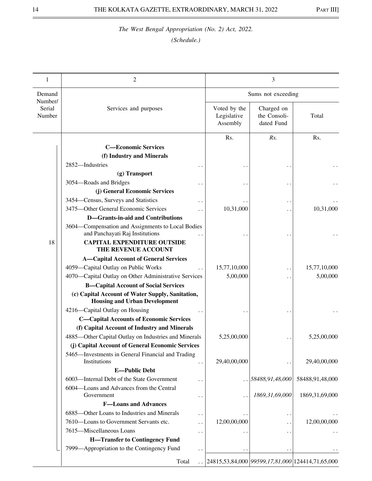| 1                           | 2                                                                                        |                                         | 3                                        |                                                  |
|-----------------------------|------------------------------------------------------------------------------------------|-----------------------------------------|------------------------------------------|--------------------------------------------------|
| Demand                      |                                                                                          |                                         | Sums not exceeding                       |                                                  |
| Number/<br>Serial<br>Number | Services and purposes                                                                    | Voted by the<br>Legislative<br>Assembly | Charged on<br>the Consoli-<br>dated Fund | Total                                            |
|                             |                                                                                          | Rs.                                     | Rs.                                      | Rs.                                              |
|                             | <b>C-Economic Services</b>                                                               |                                         |                                          |                                                  |
|                             | (f) Industry and Minerals                                                                |                                         |                                          |                                                  |
|                             | 2852-Industries                                                                          |                                         |                                          |                                                  |
|                             | (g) Transport                                                                            |                                         |                                          |                                                  |
|                             | 3054—Roads and Bridges                                                                   |                                         | $\ddot{\phantom{0}}$                     |                                                  |
|                             | (j) General Economic Services                                                            |                                         |                                          |                                                  |
|                             | 3454–Census, Surveys and Statistics                                                      |                                         | $\ddot{\phantom{1}}$                     |                                                  |
|                             | 3475-Other General Economic Services                                                     | 10,31,000                               |                                          | 10,31,000                                        |
|                             | <b>D-Grants-in-aid and Contributions</b>                                                 |                                         |                                          |                                                  |
|                             | 3604—Compensation and Assignments to Local Bodies<br>and Panchayati Raj Institutions     |                                         |                                          |                                                  |
| 18                          | <b>CAPITAL EXPENDITURE OUTSIDE</b><br>THE REVENUE ACCOUNT                                |                                         |                                          |                                                  |
|                             | <b>A-Capital Account of General Services</b>                                             |                                         |                                          |                                                  |
|                             | 4059-Capital Outlay on Public Works                                                      | 15,77,10,000                            | . .                                      | 15,77,10,000                                     |
|                             | 4070—Capital Outlay on Other Administrative Services                                     | 5,00,000                                |                                          | 5,00,000                                         |
|                             | <b>B-Capital Account of Social Services</b>                                              |                                         |                                          |                                                  |
|                             | (c) Capital Account of Water Supply, Sanitation,<br><b>Housing and Urban Development</b> |                                         |                                          |                                                  |
|                             | 4216-Capital Outlay on Housing                                                           |                                         |                                          |                                                  |
|                             | <b>C-Capital Accounts of Economic Services</b>                                           |                                         |                                          |                                                  |
|                             | (f) Capital Account of Industry and Minerals                                             |                                         |                                          |                                                  |
|                             | 4885-Other Capital Outlay on Industries and Minerals                                     | 5,25,00,000                             |                                          | 5,25,00,000                                      |
|                             | (j) Capital Account of General Economic Services                                         |                                         |                                          |                                                  |
|                             | 5465—Investments in General Financial and Trading                                        |                                         |                                          |                                                  |
|                             | Institutions                                                                             | 29,40,00,000                            | . .                                      | 29,40,00,000                                     |
|                             | <b>E-Public Debt</b>                                                                     |                                         |                                          |                                                  |
|                             | 6003—Internal Debt of the State Government                                               |                                         | $\ldots$ 58488,91,48,000                 | 58488,91,48,000                                  |
|                             | 6004-Loans and Advances from the Central                                                 |                                         |                                          |                                                  |
|                             | Government<br>$\cdot$ .                                                                  |                                         | 1869,31,69,000                           | 1869, 31, 69, 000                                |
|                             | <b>F-Loans and Advances</b>                                                              |                                         |                                          |                                                  |
|                             | 6885-Other Loans to Industries and Minerals<br>$\cdot$ .                                 |                                         | . .                                      |                                                  |
|                             | 7610-Loans to Government Servants etc.                                                   | 12,00,00,000                            |                                          | 12,00,00,000                                     |
|                             | 7615-Miscellaneous Loans<br>$\ddot{\phantom{0}}$                                         |                                         | $\ddotsc$                                |                                                  |
|                             | <b>H-Transfer to Contingency Fund</b>                                                    |                                         |                                          |                                                  |
|                             | 7999—Appropriation to the Contingency Fund                                               |                                         | $\bullet$ .                              |                                                  |
|                             | Total                                                                                    |                                         |                                          | 24815,53,84,000 99599,17,81,000 124414,71,65,000 |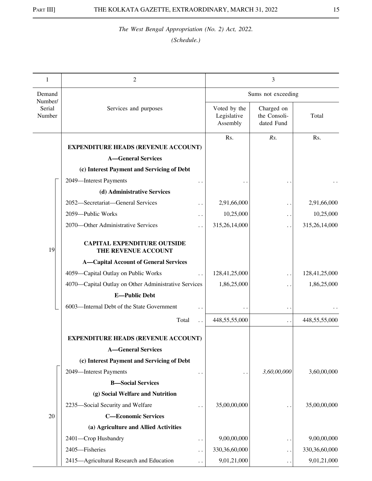| 1                           | 2                                                         |                                         | 3                                        |               |
|-----------------------------|-----------------------------------------------------------|-----------------------------------------|------------------------------------------|---------------|
| Demand                      |                                                           |                                         | Sums not exceeding                       |               |
| Number/<br>Serial<br>Number | Services and purposes                                     | Voted by the<br>Legislative<br>Assembly | Charged on<br>the Consoli-<br>dated Fund | Total         |
|                             | <b>EXPENDITURE HEADS (REVENUE ACCOUNT)</b>                | Rs.                                     | Rs.                                      | Rs.           |
|                             | <b>A</b> —General Services                                |                                         |                                          |               |
|                             | (c) Interest Payment and Servicing of Debt                |                                         |                                          |               |
|                             | 2049-Interest Payments                                    |                                         |                                          |               |
|                             | (d) Administrative Services                               |                                         |                                          |               |
|                             | 2052-Secretariat-General Services                         | 2,91,66,000                             | . .                                      | 2,91,66,000   |
|                             | 2059-Public Works                                         | 10,25,000                               | $\ddot{\phantom{0}}$                     | 10,25,000     |
|                             | 2070—Other Administrative Services                        | 315,26,14,000                           | $\ddot{\phantom{0}}$                     | 315,26,14,000 |
| 19                          | <b>CAPITAL EXPENDITURE OUTSIDE</b><br>THE REVENUE ACCOUNT |                                         |                                          |               |
|                             | <b>A-Capital Account of General Services</b>              |                                         |                                          |               |
|                             | 4059-Capital Outlay on Public Works                       | 128,41,25,000                           | . .                                      | 128,41,25,000 |
|                             | 4070-Capital Outlay on Other Administrative Services      | 1,86,25,000                             | $\cdot$                                  | 1,86,25,000   |
|                             | <b>E-Public Debt</b>                                      |                                         |                                          |               |
|                             | 6003-Internal Debt of the State Government                |                                         | $\ddot{\phantom{1}}$                     |               |
|                             | Total                                                     | 448,55,55,000                           | . .                                      | 448,55,55,000 |
|                             | <b>EXPENDITURE HEADS (REVENUE ACCOUNT)</b>                |                                         |                                          |               |
|                             | <b>A-General Services</b>                                 |                                         |                                          |               |
|                             | (c) Interest Payment and Servicing of Debt                |                                         |                                          |               |
|                             | 2049-Interest Payments                                    |                                         | 3,60,00,000                              | 3,60,00,000   |
|                             | <b>B-Social Services</b>                                  |                                         |                                          |               |
|                             | (g) Social Welfare and Nutrition                          |                                         |                                          |               |
|                             | 2235-Social Security and Welfare<br>$\ddotsc$             | 35,00,00,000                            | . .                                      | 35,00,00,000  |
| 20                          | <b>C-Economic Services</b>                                |                                         |                                          |               |
|                             | (a) Agriculture and Allied Activities                     |                                         |                                          |               |
|                             | 2401-Crop Husbandry<br>. .                                | 9,00,00,000                             |                                          | 9,00,00,000   |
|                             | 2405-Fisheries                                            | 330,36,60,000                           | . .                                      | 330,36,60,000 |
|                             | 2415-Agricultural Research and Education                  | 9,01,21,000                             | $\ddot{\phantom{0}}$                     | 9,01,21,000   |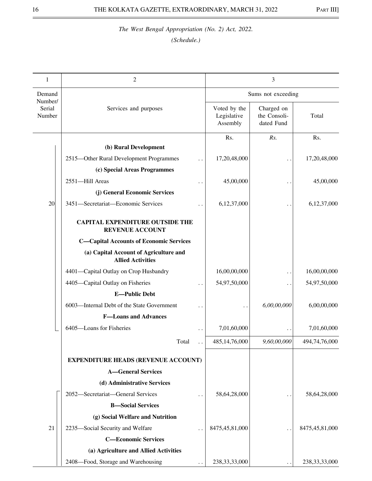| 1                           | 2                                                                  |                                         | 3                                        |                  |
|-----------------------------|--------------------------------------------------------------------|-----------------------------------------|------------------------------------------|------------------|
| Demand                      |                                                                    | Sums not exceeding                      |                                          |                  |
| Number/<br>Serial<br>Number | Services and purposes                                              | Voted by the<br>Legislative<br>Assembly | Charged on<br>the Consoli-<br>dated Fund | Total            |
|                             |                                                                    | Rs.                                     | Rs.                                      | Rs.              |
|                             | (b) Rural Development                                              |                                         |                                          |                  |
|                             | 2515-Other Rural Development Programmes                            | 17,20,48,000                            |                                          | 17,20,48,000     |
|                             | (c) Special Areas Programmes                                       |                                         |                                          |                  |
|                             | 2551-Hill Areas                                                    | 45,00,000                               |                                          | 45,00,000        |
|                             | (j) General Economic Services                                      |                                         |                                          |                  |
| 20                          | 3451-Secretariat-Economic Services                                 | 6,12,37,000                             |                                          | 6,12,37,000      |
|                             | <b>CAPITAL EXPENDITURE OUTSIDE THE</b><br><b>REVENUE ACCOUNT</b>   |                                         |                                          |                  |
|                             | <b>C-Capital Accounts of Economic Services</b>                     |                                         |                                          |                  |
|                             | (a) Capital Account of Agriculture and<br><b>Allied Activities</b> |                                         |                                          |                  |
|                             | 4401-Capital Outlay on Crop Husbandry                              | 16,00,00,000                            | $\ddot{\phantom{1}}$                     | 16,00,00,000     |
|                             | 4405-Capital Outlay on Fisheries                                   | 54,97,50,000                            |                                          | 54,97,50,000     |
|                             | <b>E-Public Debt</b>                                               |                                         |                                          |                  |
|                             | 6003-Internal Debt of the State Government                         |                                         | 6,00,00,000                              | 6,00,00,000      |
|                             | <b>F-Loans and Advances</b>                                        |                                         |                                          |                  |
|                             | 6405-Loans for Fisheries                                           | 7,01,60,000                             |                                          | 7,01,60,000      |
|                             | Total                                                              | 485, 14, 76, 000                        | 9,60,00,000                              | 494,74,76,000    |
|                             | <b>EXPENDITURE HEADS (REVENUE ACCOUNT)</b>                         |                                         |                                          |                  |
|                             | <b>A-General Services</b>                                          |                                         |                                          |                  |
|                             | (d) Administrative Services                                        |                                         |                                          |                  |
|                             | 2052-Secretariat-General Services                                  | 58,64,28,000                            |                                          | 58,64,28,000     |
|                             | <b>B-Social Services</b>                                           |                                         |                                          |                  |
|                             | (g) Social Welfare and Nutrition                                   |                                         |                                          |                  |
| 21                          | 2235-Social Security and Welfare                                   | 8475,45,81,000                          | . .                                      | 8475,45,81,000   |
|                             | <b>C-Economic Services</b>                                         |                                         |                                          |                  |
|                             | (a) Agriculture and Allied Activities                              |                                         |                                          |                  |
|                             | 2408-Food, Storage and Warehousing                                 | 238, 33, 33, 000                        |                                          | 238, 33, 33, 000 |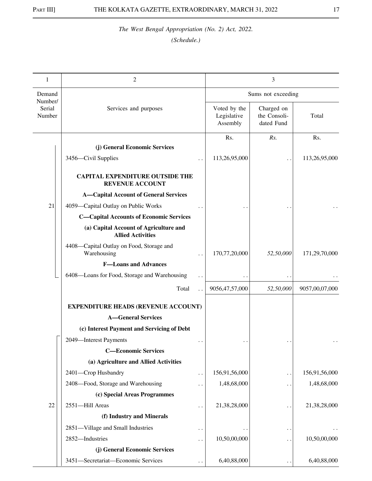| 1                           | 2                                                                  |                                         | 3                                        |                |
|-----------------------------|--------------------------------------------------------------------|-----------------------------------------|------------------------------------------|----------------|
| Demand                      |                                                                    |                                         | Sums not exceeding                       |                |
| Number/<br>Serial<br>Number | Services and purposes                                              | Voted by the<br>Legislative<br>Assembly | Charged on<br>the Consoli-<br>dated Fund | Total          |
|                             |                                                                    | Rs.                                     | Rs.                                      | Rs.            |
|                             | (j) General Economic Services                                      |                                         |                                          |                |
|                             | 3456-Civil Supplies                                                | 113,26,95,000                           |                                          | 113,26,95,000  |
|                             | <b>CAPITAL EXPENDITURE OUTSIDE THE</b><br><b>REVENUE ACCOUNT</b>   |                                         |                                          |                |
|                             | <b>A-Capital Account of General Services</b>                       |                                         |                                          |                |
| 21                          | 4059-Capital Outlay on Public Works                                |                                         |                                          |                |
|                             | <b>C-Capital Accounts of Economic Services</b>                     |                                         |                                          |                |
|                             | (a) Capital Account of Agriculture and<br><b>Allied Activities</b> |                                         |                                          |                |
|                             | 4408-Capital Outlay on Food, Storage and<br>Warehousing            | 170,77,20,000                           | 52,50,000                                | 171,29,70,000  |
|                             | <b>F-Loans and Advances</b>                                        |                                         |                                          |                |
|                             | 6408-Loans for Food, Storage and Warehousing                       |                                         |                                          |                |
|                             | Total                                                              | 9056,47,57,000                          | 52,50,000                                | 9057,00,07,000 |
|                             | <b>EXPENDITURE HEADS (REVENUE ACCOUNT)</b>                         |                                         |                                          |                |
|                             | <b>A-General Services</b>                                          |                                         |                                          |                |
|                             | (c) Interest Payment and Servicing of Debt                         |                                         |                                          |                |
|                             | 2049-Interest Payments                                             |                                         |                                          |                |
|                             | <b>C-Economic Services</b>                                         |                                         |                                          |                |
|                             | (a) Agriculture and Allied Activities                              |                                         |                                          |                |
|                             | 2401-Crop Husbandry<br>$\ddot{\phantom{0}}$                        | 156,91,56,000                           | . .                                      | 156,91,56,000  |
|                             | 2408-Food, Storage and Warehousing                                 | 1,48,68,000                             | . .                                      | 1,48,68,000    |
|                             | (c) Special Areas Programmes                                       |                                         |                                          |                |
| 22                          | 2551-Hill Areas                                                    | 21,38,28,000                            | . .                                      | 21,38,28,000   |
|                             | (f) Industry and Minerals                                          |                                         |                                          |                |
|                             | 2851-Village and Small Industries<br>$\ddot{\phantom{0}}$          |                                         | $\ddot{\phantom{0}}$                     |                |
|                             | 2852-Industries                                                    | 10,50,00,000                            | $\ddot{\phantom{1}}$                     | 10,50,00,000   |
|                             | (j) General Economic Services                                      |                                         |                                          |                |
|                             | 3451-Secretariat-Economic Services                                 | 6,40,88,000                             |                                          | 6,40,88,000    |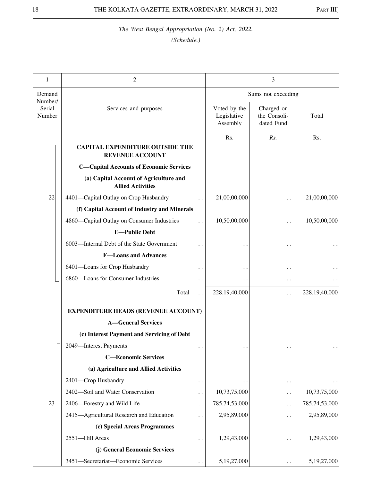| 1                           | 2                                                                  |                      | 3                                       |                                          |               |
|-----------------------------|--------------------------------------------------------------------|----------------------|-----------------------------------------|------------------------------------------|---------------|
| Demand                      |                                                                    |                      | Sums not exceeding                      |                                          |               |
| Number/<br>Serial<br>Number | Services and purposes                                              |                      | Voted by the<br>Legislative<br>Assembly | Charged on<br>the Consoli-<br>dated Fund | Total         |
|                             | <b>CAPITAL EXPENDITURE OUTSIDE THE</b><br><b>REVENUE ACCOUNT</b>   |                      | Rs.                                     | Rs.                                      | Rs.           |
|                             | <b>C-Capital Accounts of Economic Services</b>                     |                      |                                         |                                          |               |
|                             | (a) Capital Account of Agriculture and<br><b>Allied Activities</b> |                      |                                         |                                          |               |
| 22                          | 4401-Capital Outlay on Crop Husbandry                              |                      | 21,00,00,000                            |                                          | 21,00,00,000  |
|                             | (f) Capital Account of Industry and Minerals                       |                      |                                         |                                          |               |
|                             | 4860—Capital Outlay on Consumer Industries                         |                      | 10,50,00,000                            |                                          | 10,50,00,000  |
|                             | <b>E-Public Debt</b>                                               |                      |                                         |                                          |               |
|                             | 6003—Internal Debt of the State Government                         |                      |                                         |                                          |               |
|                             | <b>F-Loans and Advances</b>                                        |                      |                                         |                                          |               |
|                             | 6401-Loans for Crop Husbandry                                      |                      |                                         |                                          |               |
|                             | 6860-Loans for Consumer Industries                                 | $\ddot{\phantom{0}}$ |                                         | $\ddot{\phantom{1}}$                     |               |
|                             | Total                                                              | $\ddot{\phantom{0}}$ | 228,19,40,000                           | $\ddot{\phantom{0}}$                     | 228,19,40,000 |
|                             | <b>EXPENDITURE HEADS (REVENUE ACCOUNT)</b>                         |                      |                                         |                                          |               |
|                             | <b>A-General Services</b>                                          |                      |                                         |                                          |               |
|                             | (c) Interest Payment and Servicing of Debt                         |                      |                                         |                                          |               |
|                             | 2049-Interest Payments                                             |                      |                                         |                                          |               |
|                             | <b>C-Economic Services</b>                                         |                      |                                         |                                          |               |
|                             | (a) Agriculture and Allied Activities                              |                      |                                         |                                          |               |
|                             | 2401-Crop Husbandry                                                | $\ddot{\phantom{0}}$ |                                         |                                          |               |
|                             | 2402-Soil and Water Conservation                                   | . .                  | 10,73,75,000                            | $\ddot{\phantom{0}}$                     | 10,73,75,000  |
| 23                          | 2406-Forestry and Wild Life                                        | . .                  | 785,74,53,000                           | $\ddot{\phantom{0}}$                     | 785,74,53,000 |
|                             | 2415-Agricultural Research and Education                           | . .                  | 2,95,89,000                             | $\ddot{\phantom{0}}$                     | 2,95,89,000   |
|                             | (c) Special Areas Programmes                                       |                      |                                         |                                          |               |
|                             | 2551-Hill Areas                                                    |                      | 1,29,43,000                             |                                          | 1,29,43,000   |
|                             | (j) General Economic Services                                      |                      |                                         |                                          |               |
|                             | 3451-Secretariat-Economic Services                                 |                      | 5,19,27,000                             |                                          | 5,19,27,000   |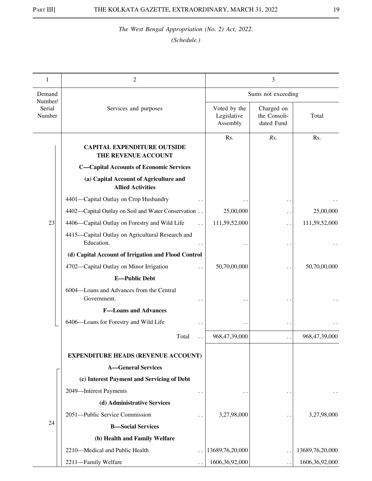| 1                 | 2                                                                  |                                         | 3                                        |                   |  |
|-------------------|--------------------------------------------------------------------|-----------------------------------------|------------------------------------------|-------------------|--|
| Demand<br>Number/ |                                                                    | Sums not exceeding                      |                                          |                   |  |
| Serial<br>Number  | Services and purposes                                              | Voted by the<br>Legislative<br>Assembly | Charged on<br>the Consoli-<br>dated Fund | Total             |  |
|                   | <b>CAPITAL EXPENDITURE OUTSIDE</b><br>THE REVENUE ACCOUNT          | Rs.                                     | Rs.                                      | Rs.               |  |
|                   | <b>C-Capital Accounts of Economic Services</b>                     |                                         |                                          |                   |  |
|                   | (a) Capital Account of Agriculture and<br><b>Allied Activities</b> |                                         |                                          |                   |  |
|                   | 4401-Capital Outlay on Crop Husbandry                              |                                         | $\ddot{\phantom{1}}$                     |                   |  |
|                   | 4402-Capital Outlay on Soil and Water Conservation                 | 25,00,000                               | $\ddot{\phantom{0}}$                     | 25,00,000         |  |
| 23                | 4406-Capital Outlay on Forestry and Wild Life                      | 111,59,52,000                           | . .                                      | 111,59,52,000     |  |
|                   | 4415-Capital Outlay on Agricultural Research and<br>Education.     |                                         |                                          |                   |  |
|                   | (d) Capital Account of Irrigation and Flood Control                |                                         |                                          |                   |  |
|                   | 4702-Capital Outlay on Minor Irrigation                            | 50,70,00,000                            |                                          | 50,70,00,000      |  |
|                   | <b>E-Public Debt</b>                                               |                                         |                                          |                   |  |
|                   | 6004-Loans and Advances from the Central<br>Government.            |                                         |                                          |                   |  |
|                   | <b>F-Loans and Advances</b>                                        |                                         |                                          |                   |  |
|                   | 6406-Loans for Forestry and Wild Life                              |                                         | $\ddot{\phantom{1}}$                     |                   |  |
|                   | Total                                                              | 968,47,39,000                           | . .                                      | 968,47,39,000     |  |
|                   | <b>EXPENDITURE HEADS (REVENUE ACCOUNT)</b>                         |                                         |                                          |                   |  |
|                   | <b>A-General Services</b>                                          |                                         |                                          |                   |  |
|                   | (c) Interest Payment and Servicing of Debt                         |                                         |                                          |                   |  |
|                   | 2049-Interest Payments<br>$\ddotsc$                                | $\ddot{\phantom{0}}$                    | . .                                      | $\ddotsc$         |  |
|                   | (d) Administrative Services                                        |                                         |                                          |                   |  |
|                   | 2051-Public Service Commission                                     | 3,27,98,000                             |                                          | 3,27,98,000       |  |
| 24                | <b>B</b> -Social Services                                          |                                         |                                          |                   |  |
|                   | (b) Health and Family Welfare                                      |                                         |                                          |                   |  |
|                   | 2210-Medical and Public Health                                     | 13689,76,20,000                         |                                          | 13689,76,20,000   |  |
|                   | 2211-Family Welfare                                                | 1606, 36, 92, 000                       |                                          | 1606, 36, 92, 000 |  |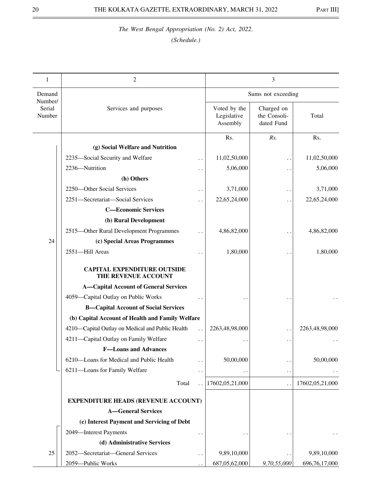| 1                           | 2                                                         |                      |                                         | 3                                        |                 |
|-----------------------------|-----------------------------------------------------------|----------------------|-----------------------------------------|------------------------------------------|-----------------|
| Demand                      |                                                           |                      |                                         | Sums not exceeding                       |                 |
| Number/<br>Serial<br>Number | Services and purposes                                     |                      | Voted by the<br>Legislative<br>Assembly | Charged on<br>the Consoli-<br>dated Fund | Total           |
|                             |                                                           |                      | Rs.                                     | Rs.                                      | Rs.             |
|                             | (g) Social Welfare and Nutrition                          |                      |                                         |                                          |                 |
|                             | 2235-Social Security and Welfare                          | . .                  | 11,02,50,000                            | . .                                      | 11,02,50,000    |
|                             | 2236-Nutrition                                            |                      | 5,06,000                                | $\cdot$ .                                | 5,06,000        |
|                             | (h) Others                                                |                      |                                         |                                          |                 |
|                             | 2250-Other Social Services                                |                      | 3,71,000                                | . .                                      | 3,71,000        |
|                             | 2251-Secretariat-Social Services                          | $\ddot{\phantom{0}}$ | 22,65,24,000                            | . .                                      | 22,65,24,000    |
|                             | <b>C-Economic Services</b>                                |                      |                                         |                                          |                 |
|                             | (b) Rural Development                                     |                      |                                         |                                          |                 |
|                             | 2515-Other Rural Development Programmes                   |                      | 4,86,82,000                             |                                          | 4,86,82,000     |
| 24                          | (c) Special Areas Programmes                              |                      |                                         |                                          |                 |
|                             | 2551-Hill Areas                                           |                      | 1,80,000                                |                                          | 1,80,000        |
|                             | <b>CAPITAL EXPENDITURE OUTSIDE</b><br>THE REVENUE ACCOUNT |                      |                                         |                                          |                 |
|                             | <b>A-Capital Account of General Services</b>              |                      |                                         |                                          |                 |
|                             | 4059-Capital Outlay on Public Works                       |                      |                                         |                                          |                 |
|                             | <b>B-Capital Account of Social Services</b>               |                      |                                         |                                          |                 |
|                             | (b) Capital Account of Health and Family Welfare          |                      |                                         |                                          |                 |
|                             | 4210-Capital Outlay on Medical and Public Health          | $\ddot{\phantom{0}}$ | 2263,48,98,000                          | $\ddot{\phantom{0}}$                     | 2263,48,98,000  |
|                             | 4211-Capital Outlay on Family Welfare                     | . .                  |                                         | $\ddot{\phantom{1}}$                     |                 |
|                             | <b>F-Loans and Advances</b>                               |                      |                                         |                                          |                 |
|                             | 6210-Loans for Medical and Public Health                  | . .                  | 50,00,000                               | $\ddot{\phantom{0}}$                     | 50,00,000       |
|                             | 6211-Loans for Family Welfare                             | . .                  |                                         | $\ddot{\phantom{0}}$                     |                 |
|                             | Total                                                     |                      | 17602,05,21,000                         | $\ddot{\phantom{0}}$                     | 17602,05,21,000 |
|                             |                                                           |                      |                                         |                                          |                 |
|                             | <b>EXPENDITURE HEADS (REVENUE ACCOUNT)</b>                |                      |                                         |                                          |                 |
|                             | <b>A-General Services</b>                                 |                      |                                         |                                          |                 |
|                             | (c) Interest Payment and Servicing of Debt                |                      |                                         |                                          |                 |
|                             | 2049-Interest Payments                                    |                      |                                         |                                          |                 |
|                             | (d) Administrative Services                               |                      |                                         |                                          |                 |
| 25                          | 2052-Secretariat-General Services                         | . .                  | 9,89,10,000                             |                                          | 9,89,10,000     |
|                             | 2059-Public Works                                         |                      | 687,05,62,000                           | 9,70,55,000                              | 696,76,17,000   |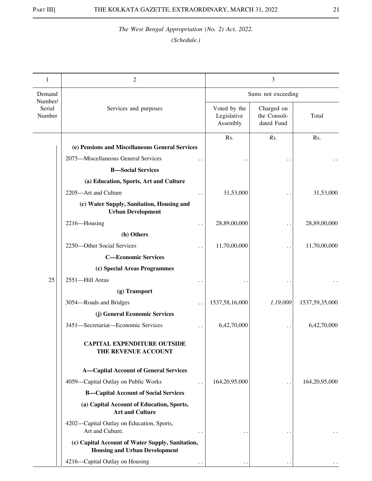| 1                           | 2                                                                                        |                                         | 3                                        |                  |
|-----------------------------|------------------------------------------------------------------------------------------|-----------------------------------------|------------------------------------------|------------------|
| Demand                      |                                                                                          |                                         | Sums not exceeding                       |                  |
| Number/<br>Serial<br>Number | Services and purposes                                                                    | Voted by the<br>Legislative<br>Assembly | Charged on<br>the Consoli-<br>dated Fund | Total            |
|                             |                                                                                          | Rs.                                     | Rs.                                      | Rs.              |
|                             | (e) Pensions and Miscellaneous General Services                                          |                                         |                                          |                  |
|                             | 2075-Miscellaneous General Services                                                      |                                         |                                          |                  |
|                             | <b>B</b> -Social Services                                                                |                                         |                                          |                  |
|                             | (a) Education, Sports, Art and Culture                                                   |                                         |                                          |                  |
|                             | 2205-Art and Culture                                                                     | 31,53,000                               |                                          | 31,53,000        |
|                             | (c) Water Supply, Sanitation, Housing and<br><b>Urban Development</b>                    |                                         |                                          |                  |
|                             | 2216-Housing                                                                             | 28,89,00,000                            |                                          | 28,89,00,000     |
|                             | (h) Others                                                                               |                                         |                                          |                  |
|                             | 2250-Other Social Services                                                               | 11,70,00,000                            |                                          | 11,70,00,000     |
|                             | <b>C-Economic Services</b>                                                               |                                         |                                          |                  |
|                             | (c) Special Areas Programmes                                                             |                                         |                                          |                  |
| 25                          | 2551-Hill Areas                                                                          |                                         |                                          |                  |
|                             | (g) Transport                                                                            |                                         |                                          |                  |
|                             | 3054-Roads and Bridges                                                                   | 1537,58,16,000                          | 1,19,000                                 | 1537,59,35,000   |
|                             | (j) General Economic Services                                                            |                                         |                                          |                  |
|                             | 3451-Secretariat-Economic Services                                                       | 6,42,70,000                             |                                          | 6,42,70,000      |
|                             | <b>CAPITAL EXPENDITURE OUTSIDE</b><br>THE REVENUE ACCOUNT                                |                                         |                                          |                  |
|                             | <b>A-Capital Account of General Services</b>                                             |                                         |                                          |                  |
|                             | 4059-Capital Outlay on Public Works                                                      | 164, 20, 95, 000                        |                                          | 164, 20, 95, 000 |
|                             | <b>B-Capital Account of Social Services</b>                                              |                                         |                                          |                  |
|                             | (a) Capital Account of Education, Sports,<br><b>Art and Culture</b>                      |                                         |                                          |                  |
|                             | 4202-Capital Outlay on Education, Sports,<br>Art and Culture.                            |                                         |                                          |                  |
|                             | (c) Capital Account of Water Supply, Sanitation,<br><b>Housing and Urban Development</b> |                                         |                                          |                  |
|                             | 4216-Capital Outlay on Housing                                                           |                                         |                                          |                  |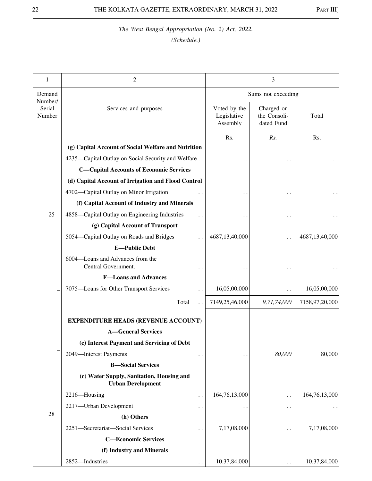| 1                           | 2                                                                     |                                         | 3                                        |                |
|-----------------------------|-----------------------------------------------------------------------|-----------------------------------------|------------------------------------------|----------------|
| Demand                      |                                                                       |                                         | Sums not exceeding                       |                |
| Number/<br>Serial<br>Number | Services and purposes                                                 | Voted by the<br>Legislative<br>Assembly | Charged on<br>the Consoli-<br>dated Fund | Total          |
|                             | (g) Capital Account of Social Welfare and Nutrition                   | Rs.                                     | Rs.                                      | Rs.            |
|                             |                                                                       |                                         |                                          |                |
|                             | 4235-Capital Outlay on Social Security and Welfare                    |                                         |                                          |                |
|                             | <b>C-Capital Accounts of Economic Services</b>                        |                                         |                                          |                |
|                             | (d) Capital Account of Irrigation and Flood Control                   |                                         |                                          |                |
|                             | 4702—Capital Outlay on Minor Irrigation                               |                                         |                                          |                |
|                             | (f) Capital Account of Industry and Minerals                          |                                         |                                          |                |
| 25                          | 4858—Capital Outlay on Engineering Industries                         |                                         |                                          |                |
|                             | (g) Capital Account of Transport                                      |                                         |                                          |                |
|                             | 5054-Capital Outlay on Roads and Bridges                              | 4687,13,40,000                          |                                          | 4687,13,40,000 |
|                             | <b>E-Public Debt</b>                                                  |                                         |                                          |                |
|                             | 6004-Loans and Advances from the<br>Central Government.               |                                         |                                          |                |
|                             | <b>F-Loans and Advances</b>                                           |                                         |                                          |                |
|                             | 7075-Loans for Other Transport Services<br>$\ddot{\phantom{0}}$       | 16,05,00,000                            |                                          | 16,05,00,000   |
|                             | Total                                                                 | 7149,25,46,000                          | 9,71,74,000                              | 7158,97,20,000 |
|                             | <b>EXPENDITURE HEADS (REVENUE ACCOUNT)</b>                            |                                         |                                          |                |
|                             | <b>A-General Services</b>                                             |                                         |                                          |                |
|                             | (c) Interest Payment and Servicing of Debt                            |                                         |                                          |                |
|                             | 2049-Interest Payments                                                |                                         | 80,000                                   | 80,000         |
|                             | <b>B-Social Services</b>                                              |                                         |                                          |                |
|                             | (c) Water Supply, Sanitation, Housing and<br><b>Urban Development</b> |                                         |                                          |                |
|                             | 2216-Housing<br>. .                                                   | 164,76,13,000                           | . .                                      | 164,76,13,000  |
|                             | 2217-Urban Development                                                |                                         | $\ddot{\phantom{0}}$                     |                |
| 28                          | (h) Others                                                            |                                         |                                          |                |
|                             | 2251-Secretariat-Social Services                                      | 7,17,08,000                             |                                          | 7,17,08,000    |
|                             | <b>C-Economic Services</b>                                            |                                         |                                          |                |
|                             | (f) Industry and Minerals                                             |                                         |                                          |                |
|                             | 2852-Industries                                                       | 10,37,84,000                            |                                          | 10,37,84,000   |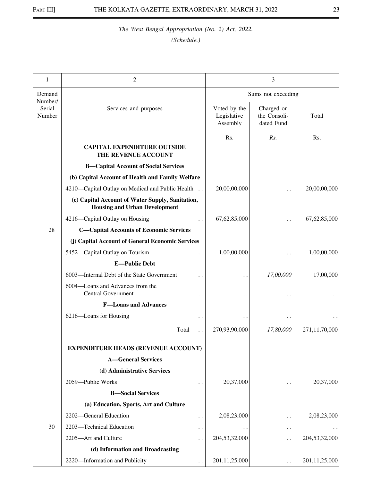| 1                 | 2                                                                                        |                                         | 3                                        |                  |  |
|-------------------|------------------------------------------------------------------------------------------|-----------------------------------------|------------------------------------------|------------------|--|
| Demand<br>Number/ |                                                                                          | Sums not exceeding                      |                                          |                  |  |
| Serial<br>Number  | Services and purposes                                                                    | Voted by the<br>Legislative<br>Assembly | Charged on<br>the Consoli-<br>dated Fund | Total            |  |
|                   | <b>CAPITAL EXPENDITURE OUTSIDE</b><br>THE REVENUE ACCOUNT                                | Rs.                                     | Rs.                                      | Rs.              |  |
|                   | <b>B-Capital Account of Social Services</b>                                              |                                         |                                          |                  |  |
|                   | (b) Capital Account of Health and Family Welfare                                         |                                         |                                          |                  |  |
|                   | 4210—Capital Outlay on Medical and Public Health                                         | 20,00,00,000                            |                                          | 20,00,00,000     |  |
|                   | (c) Capital Account of Water Supply, Sanitation,<br><b>Housing and Urban Development</b> |                                         |                                          |                  |  |
|                   | 4216-Capital Outlay on Housing                                                           | 67, 62, 85, 000                         |                                          | 67, 62, 85, 000  |  |
| 28                | <b>C-Capital Accounts of Economic Services</b>                                           |                                         |                                          |                  |  |
|                   | (j) Capital Account of General Economic Services                                         |                                         |                                          |                  |  |
|                   | 5452-Capital Outlay on Tourism                                                           | 1,00,00,000                             |                                          | 1,00,00,000      |  |
|                   | <b>E-Public Debt</b>                                                                     |                                         |                                          |                  |  |
|                   | 6003-Internal Debt of the State Government                                               |                                         | 17,00,000                                | 17,00,000        |  |
|                   | 6004-Loans and Advances from the<br><b>Central Government</b>                            |                                         |                                          |                  |  |
|                   | <b>F-Loans and Advances</b>                                                              |                                         |                                          |                  |  |
|                   | 6216-Loans for Housing                                                                   |                                         |                                          |                  |  |
|                   | Total                                                                                    | 270,93,90,000                           | 17,80,000                                | 271,11,70,000    |  |
|                   | <b>EXPENDITURE HEADS (REVENUE ACCOUNT)</b>                                               |                                         |                                          |                  |  |
|                   | <b>A-General Services</b>                                                                |                                         |                                          |                  |  |
|                   | (d) Administrative Services                                                              |                                         |                                          |                  |  |
|                   | 2059-Public Works                                                                        | 20,37,000                               |                                          | 20,37,000        |  |
|                   | <b>B-Social Services</b>                                                                 |                                         |                                          |                  |  |
|                   | (a) Education, Sports, Art and Culture                                                   |                                         |                                          |                  |  |
|                   | 2202-General Education<br>. .                                                            | 2,08,23,000                             | $\ddot{\phantom{0}}$                     | 2,08,23,000      |  |
| 30                | 2203-Technical Education<br>. .                                                          |                                         | $\cdot$ .                                |                  |  |
|                   | 2205-Art and Culture                                                                     | 204,53,32,000                           | . .                                      | 204,53,32,000    |  |
|                   | (d) Information and Broadcasting                                                         |                                         |                                          |                  |  |
|                   | 2220-Information and Publicity                                                           | 201, 11, 25, 000                        |                                          | 201, 11, 25, 000 |  |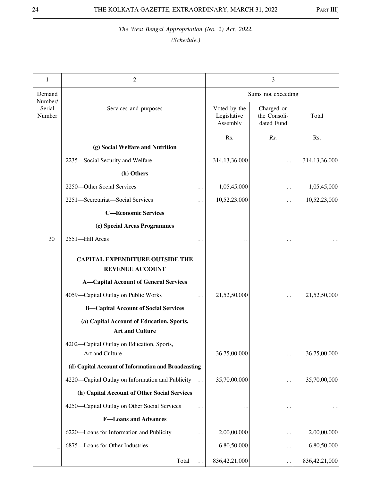| 1                           | 2                                                                   |                      |                                         | 3                                        |                  |
|-----------------------------|---------------------------------------------------------------------|----------------------|-----------------------------------------|------------------------------------------|------------------|
| Demand                      |                                                                     |                      |                                         | Sums not exceeding                       |                  |
| Number/<br>Serial<br>Number | Services and purposes                                               |                      | Voted by the<br>Legislative<br>Assembly | Charged on<br>the Consoli-<br>dated Fund | Total            |
|                             | (g) Social Welfare and Nutrition                                    |                      | Rs.                                     | Rs.                                      | Rs.              |
|                             | 2235-Social Security and Welfare                                    | $\ddot{\phantom{0}}$ | 314,13,36,000                           |                                          | 314,13,36,000    |
|                             | (h) Others                                                          |                      |                                         |                                          |                  |
|                             | 2250-Other Social Services                                          | $\ddot{\phantom{0}}$ | 1,05,45,000                             |                                          | 1,05,45,000      |
|                             | 2251-Secretariat-Social Services                                    |                      | 10,52,23,000                            | $\ddot{\phantom{0}}$                     | 10,52,23,000     |
|                             | <b>C-Economic Services</b>                                          |                      |                                         |                                          |                  |
|                             | (c) Special Areas Programmes                                        |                      |                                         |                                          |                  |
| 30                          | 2551-Hill Areas                                                     |                      |                                         |                                          |                  |
|                             | <b>CAPITAL EXPENDITURE OUTSIDE THE</b><br><b>REVENUE ACCOUNT</b>    |                      |                                         |                                          |                  |
|                             | <b>A-Capital Account of General Services</b>                        |                      |                                         |                                          |                  |
|                             | 4059-Capital Outlay on Public Works                                 | $\ddot{\phantom{0}}$ | 21,52,50,000                            |                                          | 21,52,50,000     |
|                             | <b>B-Capital Account of Social Services</b>                         |                      |                                         |                                          |                  |
|                             | (a) Capital Account of Education, Sports,<br><b>Art and Culture</b> |                      |                                         |                                          |                  |
|                             | 4202-Capital Outlay on Education, Sports,<br>Art and Culture        | $\cdot$ .            | 36,75,00,000                            | $\ddot{\phantom{1}}$                     | 36,75,00,000     |
|                             | (d) Capital Account of Information and Broadcasting                 |                      |                                         |                                          |                  |
|                             | 4220—Capital Outlay on Information and Publicity                    | $\ddot{\phantom{a}}$ | 35,70,00,000                            | $\ddot{\phantom{a}}$                     | 35,70,00,000     |
|                             | (h) Capital Account of Other Social Services                        |                      |                                         |                                          |                  |
|                             | 4250-Capital Outlay on Other Social Services                        | $\ddotsc$            |                                         |                                          |                  |
|                             | <b>F-Loans and Advances</b>                                         |                      |                                         |                                          |                  |
|                             | 6220-Loans for Information and Publicity                            | $\ddot{\phantom{0}}$ | 2,00,00,000                             | $\ddot{\phantom{0}}$                     | 2,00,00,000      |
|                             | 6875-Loans for Other Industries                                     | $\ddotsc$            | 6,80,50,000                             | . .                                      | 6,80,50,000      |
|                             | Total                                                               |                      | 836, 42, 21, 000                        | $\ddot{\phantom{1}}$                     | 836, 42, 21, 000 |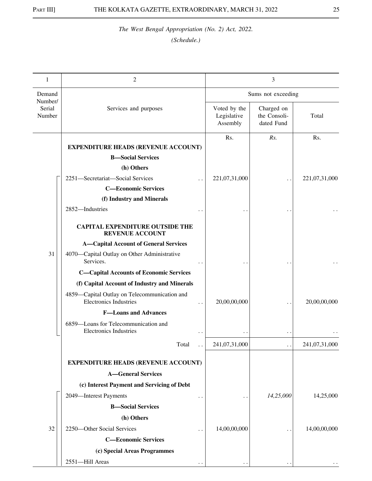| 1                           | 2                                                                             |                                         | 3                                        |               |
|-----------------------------|-------------------------------------------------------------------------------|-----------------------------------------|------------------------------------------|---------------|
| Demand                      |                                                                               |                                         | Sums not exceeding                       |               |
| Number/<br>Serial<br>Number | Services and purposes                                                         | Voted by the<br>Legislative<br>Assembly | Charged on<br>the Consoli-<br>dated Fund | Total         |
|                             |                                                                               | Rs.                                     | Rs.                                      | Rs.           |
|                             | <b>EXPENDITURE HEADS (REVENUE ACCOUNT)</b>                                    |                                         |                                          |               |
|                             | <b>B</b> -Social Services                                                     |                                         |                                          |               |
|                             | (h) Others                                                                    |                                         |                                          |               |
|                             | 2251-Secretariat-Social Services                                              | 221,07,31,000                           |                                          | 221,07,31,000 |
|                             | <b>C-Economic Services</b>                                                    |                                         |                                          |               |
|                             | (f) Industry and Minerals                                                     |                                         |                                          |               |
|                             | 2852-Industries                                                               |                                         |                                          |               |
|                             | <b>CAPITAL EXPENDITURE OUTSIDE THE</b><br><b>REVENUE ACCOUNT</b>              |                                         |                                          |               |
|                             | <b>A-Capital Account of General Services</b>                                  |                                         |                                          |               |
| 31                          | 4070—Capital Outlay on Other Administrative<br>Services.                      |                                         |                                          |               |
|                             | <b>C-Capital Accounts of Economic Services</b>                                |                                         |                                          |               |
|                             | (f) Capital Account of Industry and Minerals                                  |                                         |                                          |               |
|                             | 4859-Capital Outlay on Telecommunication and<br><b>Electronics Industries</b> | 20,00,00,000                            |                                          | 20,00,00,000  |
|                             | <b>F-Loans and Advances</b>                                                   |                                         |                                          |               |
|                             | 6859-Loans for Telecommunication and<br><b>Electronics Industries</b>         |                                         | . .                                      |               |
|                             | Total                                                                         | 241,07,31,000                           |                                          | 241,07,31,000 |
|                             | <b>EXPENDITURE HEADS (REVENUE ACCOUNT)</b>                                    |                                         |                                          |               |
|                             | <b>A-General Services</b>                                                     |                                         |                                          |               |
|                             | (c) Interest Payment and Servicing of Debt                                    |                                         |                                          |               |
|                             | 2049-Interest Payments                                                        |                                         | 14,25,000                                | 14,25,000     |
|                             | $\ddot{\phantom{0}}$                                                          |                                         |                                          |               |
|                             | <b>B-Social Services</b><br>(h) Others                                        |                                         |                                          |               |
| 32                          | 2250-Other Social Services                                                    |                                         |                                          |               |
|                             | <b>C-Economic Services</b>                                                    | 14,00,00,000                            | . .                                      | 14,00,00,000  |
|                             |                                                                               |                                         |                                          |               |
|                             | (c) Special Areas Programmes                                                  |                                         |                                          |               |
|                             | 2551-Hill Areas                                                               |                                         |                                          |               |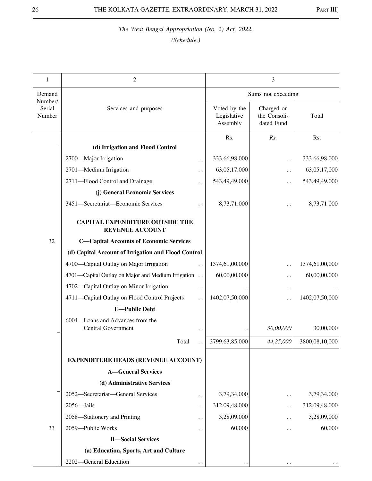| 1                           | 2                                                                |                                         |                                          | 3                    |                |
|-----------------------------|------------------------------------------------------------------|-----------------------------------------|------------------------------------------|----------------------|----------------|
| Demand                      |                                                                  |                                         |                                          | Sums not exceeding   |                |
| Number/<br>Serial<br>Number | Services and purposes                                            | Voted by the<br>Legislative<br>Assembly | Charged on<br>the Consoli-<br>dated Fund | Total                |                |
|                             | (d) Irrigation and Flood Control                                 |                                         | Rs.                                      | Rs.                  | Rs.            |
|                             | 2700-Major Irrigation                                            |                                         | 333,66,98,000                            |                      | 333,66,98,000  |
|                             | 2701-Medium Irrigation                                           | . .                                     | 63,05,17,000                             | $\ddot{\phantom{0}}$ | 63,05,17,000   |
|                             | 2711-Flood Control and Drainage                                  | . .                                     | 543,49,49,000                            | . .                  | 543,49,49,000  |
|                             | (j) General Economic Services                                    |                                         |                                          | . .                  |                |
|                             | 3451-Secretariat-Economic Services                               |                                         | 8,73,71,000                              |                      | 8,73,71 000    |
|                             | <b>CAPITAL EXPENDITURE OUTSIDE THE</b><br><b>REVENUE ACCOUNT</b> |                                         |                                          |                      |                |
| 32                          | <b>C-Capital Accounts of Economic Services</b>                   |                                         |                                          |                      |                |
|                             | (d) Capital Account of Irrigation and Flood Control              |                                         |                                          |                      |                |
|                             | 4700-Capital Outlay on Major Irrigation                          |                                         | 1374,61,00,000                           | $\ddot{\phantom{0}}$ | 1374,61,00,000 |
|                             | 4701—Capital Outlay on Major and Medium Irrigation               |                                         | 60,00,00,000                             | . .                  | 60,00,00,000   |
|                             | 4702-Capital Outlay on Minor Irrigation                          | $\ddot{\phantom{0}}$                    |                                          | . .                  |                |
|                             | 4711-Capital Outlay on Flood Control Projects                    | $\ddot{\phantom{0}}$                    | 1402,07,50,000                           | $\ddot{\phantom{1}}$ | 1402,07,50,000 |
|                             | <b>E-Public Debt</b>                                             |                                         |                                          |                      |                |
|                             | 6004-Loans and Advances from the<br><b>Central Government</b>    |                                         |                                          | 30,00,000            | 30,00,000      |
|                             | Total                                                            |                                         | 3799,63,85,000                           | 44,25,000            | 3800,08,10,000 |
|                             | <b>EXPENDITURE HEADS (REVENUE ACCOUNT)</b>                       |                                         |                                          |                      |                |
|                             | <b>A-General Services</b>                                        |                                         |                                          |                      |                |
|                             | (d) Administrative Services                                      |                                         |                                          |                      |                |
|                             | 2052-Secretariat-General Services                                | . .                                     | 3,79,34,000                              | $\ddot{\phantom{0}}$ | 3,79,34,000    |
|                             | 2056-Jails                                                       |                                         | 312,09,48,000                            | . .                  | 312,09,48,000  |
|                             | 2058—Stationery and Printing                                     | . .                                     | 3,28,09,000                              | $\ddot{\phantom{0}}$ | 3,28,09,000    |
| 33                          | 2059-Public Works                                                | . .                                     | 60,000                                   | . .                  | 60,000         |
|                             | <b>B-Social Services</b>                                         |                                         |                                          |                      |                |
|                             | (a) Education, Sports, Art and Culture                           |                                         |                                          |                      |                |
|                             | 2202-General Education                                           |                                         |                                          |                      |                |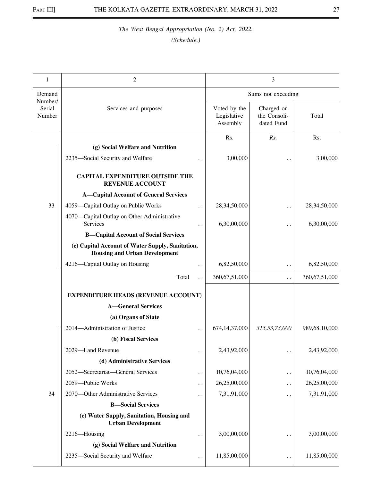| 1                           | 2                                                                                        |                                         |                                          | 3                  |                  |
|-----------------------------|------------------------------------------------------------------------------------------|-----------------------------------------|------------------------------------------|--------------------|------------------|
| Demand                      |                                                                                          |                                         |                                          | Sums not exceeding |                  |
| Number/<br>Serial<br>Number | Services and purposes                                                                    | Voted by the<br>Legislative<br>Assembly | Charged on<br>the Consoli-<br>dated Fund | Total              |                  |
|                             | (g) Social Welfare and Nutrition                                                         |                                         | Rs.                                      | Rs.                | Rs.              |
|                             | 2235-Social Security and Welfare                                                         |                                         | 3,00,000                                 |                    | 3,00,000         |
|                             | <b>CAPITAL EXPENDITURE OUTSIDE THE</b><br><b>REVENUE ACCOUNT</b>                         |                                         |                                          |                    |                  |
|                             | <b>A-Capital Account of General Services</b>                                             |                                         |                                          |                    |                  |
| 33                          | 4059-Capital Outlay on Public Works                                                      |                                         | 28,34,50,000                             | $\cdot$ .          | 28,34,50,000     |
|                             | 4070—Capital Outlay on Other Administrative<br>Services                                  |                                         | 6,30,00,000                              |                    | 6,30,00,000      |
|                             | <b>B-Capital Account of Social Services</b>                                              |                                         |                                          |                    |                  |
|                             | (c) Capital Account of Water Supply, Sanitation,<br><b>Housing and Urban Development</b> |                                         |                                          |                    |                  |
|                             | 4216-Capital Outlay on Housing                                                           |                                         | 6,82,50,000                              | . .                | 6,82,50,000      |
|                             | Total                                                                                    |                                         | 360,67,51,000                            | . .                | 360, 67, 51, 000 |
|                             | <b>EXPENDITURE HEADS (REVENUE ACCOUNT)</b>                                               |                                         |                                          |                    |                  |
|                             | <b>A-General Services</b>                                                                |                                         |                                          |                    |                  |
|                             | (a) Organs of State                                                                      |                                         |                                          |                    |                  |
|                             | 2014-Administration of Justice                                                           |                                         | 674, 14, 37, 000                         | 315,53,73,000      | 989,68,10,000    |
|                             | (b) Fiscal Services                                                                      |                                         |                                          |                    |                  |
|                             | 2029-Land Revenue                                                                        | $\ddot{\phantom{0}}$                    | 2,43,92,000                              | . .                | 2,43,92,000      |
|                             | (d) Administrative Services                                                              |                                         |                                          |                    |                  |
|                             | 2052-Secretariat-General Services                                                        | $\ddot{\phantom{0}}$                    | 10,76,04,000                             | . .                | 10,76,04,000     |
|                             | 2059-Public Works                                                                        | $\ddot{\phantom{0}}$                    | 26,25,00,000                             | . .                | 26,25,00,000     |
| 34                          | 2070-Other Administrative Services                                                       |                                         | 7,31,91,000                              | . .                | 7,31,91,000      |
|                             | <b>B</b> -Social Services                                                                |                                         |                                          |                    |                  |
|                             | (c) Water Supply, Sanitation, Housing and<br><b>Urban Development</b>                    |                                         |                                          |                    |                  |
|                             | 2216-Housing                                                                             | $\ddot{\phantom{0}}$                    | 3,00,00,000                              | . .                | 3,00,00,000      |
|                             | (g) Social Welfare and Nutrition                                                         |                                         |                                          |                    |                  |
|                             | 2235-Social Security and Welfare                                                         | $\ddot{\phantom{1}}$                    | 11,85,00,000                             | . .                | 11,85,00,000     |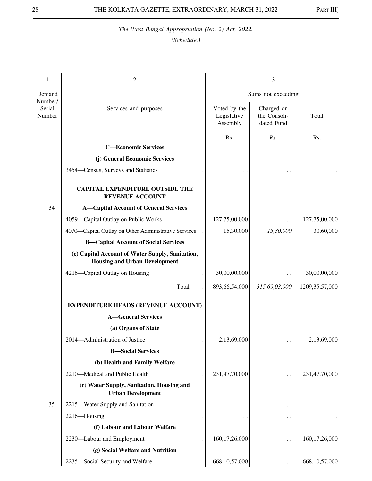| 1                           | $\overline{2}$                                                                           | 3                                       |                                          |                   |
|-----------------------------|------------------------------------------------------------------------------------------|-----------------------------------------|------------------------------------------|-------------------|
| Demand                      |                                                                                          | Sums not exceeding                      |                                          |                   |
| Number/<br>Serial<br>Number | Services and purposes                                                                    | Voted by the<br>Legislative<br>Assembly | Charged on<br>the Consoli-<br>dated Fund | Total             |
|                             | <b>C-Economic Services</b>                                                               | Rs.                                     | Rs.                                      | Rs.               |
|                             | (j) General Economic Services                                                            |                                         |                                          |                   |
|                             | 3454–Census, Surveys and Statistics                                                      |                                         |                                          |                   |
|                             | <b>CAPITAL EXPENDITURE OUTSIDE THE</b><br><b>REVENUE ACCOUNT</b>                         |                                         |                                          |                   |
| 34                          | <b>A-Capital Account of General Services</b>                                             |                                         |                                          |                   |
|                             | 4059-Capital Outlay on Public Works                                                      | 127,75,00,000                           |                                          | 127,75,00,000     |
|                             | 4070—Capital Outlay on Other Administrative Services                                     | 15,30,000                               | 15,30,000                                | 30,60,000         |
|                             | <b>B-Capital Account of Social Services</b>                                              |                                         |                                          |                   |
|                             | (c) Capital Account of Water Supply, Sanitation,<br><b>Housing and Urban Development</b> |                                         |                                          |                   |
|                             | 4216-Capital Outlay on Housing                                                           | 30,00,00,000                            | $\ddot{\phantom{0}}$                     | 30,00,00,000      |
|                             | Total                                                                                    | 893,66,54,000                           | 315,69,03,000                            | 1209, 35, 57, 000 |
|                             | <b>EXPENDITURE HEADS (REVENUE ACCOUNT)</b>                                               |                                         |                                          |                   |
|                             | <b>A</b> —General Services                                                               |                                         |                                          |                   |
|                             | (a) Organs of State                                                                      |                                         |                                          |                   |
|                             | 2014-Administration of Justice<br>$\ddot{\phantom{0}}$                                   | 2,13,69,000                             |                                          | 2,13,69,000       |
|                             | <b>B-Social Services</b>                                                                 |                                         |                                          |                   |
|                             | (b) Health and Family Welfare                                                            |                                         |                                          |                   |
|                             | 2210-Medical and Public Health<br>$\ddot{\phantom{0}}$                                   | 231,47,70,000                           | $\ddot{\phantom{0}}$                     | 231,47,70,000     |
|                             | (c) Water Supply, Sanitation, Housing and<br><b>Urban Development</b>                    |                                         |                                          |                   |
| 35                          | 2215-Water Supply and Sanitation<br>. .                                                  | $\ddot{\phantom{0}}$                    | $\ddot{\phantom{1}}$                     |                   |
|                             | 2216-Housing                                                                             |                                         |                                          |                   |
|                             | (f) Labour and Labour Welfare                                                            |                                         |                                          |                   |
|                             | 2230-Labour and Employment                                                               | 160, 17, 26, 000                        |                                          | 160, 17, 26, 000  |
|                             | (g) Social Welfare and Nutrition                                                         |                                         |                                          |                   |
|                             | 2235-Social Security and Welfare                                                         | 668, 10, 57, 000                        |                                          | 668, 10, 57, 000  |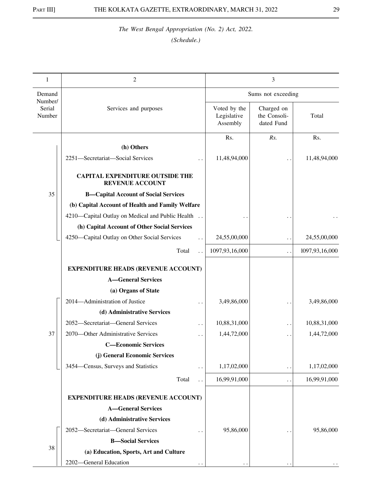| 1                           | 2                                                                |                                         | 3                                        |                |  |
|-----------------------------|------------------------------------------------------------------|-----------------------------------------|------------------------------------------|----------------|--|
| Demand                      |                                                                  |                                         | Sums not exceeding                       |                |  |
| Number/<br>Serial<br>Number | Services and purposes                                            | Voted by the<br>Legislative<br>Assembly | Charged on<br>the Consoli-<br>dated Fund | Total          |  |
|                             | (h) Others                                                       | Rs.                                     | Rs.                                      | Rs.            |  |
|                             | 2251-Secretariat-Social Services                                 | 11,48,94,000                            |                                          | 11,48,94,000   |  |
|                             | <b>CAPITAL EXPENDITURE OUTSIDE THE</b><br><b>REVENUE ACCOUNT</b> |                                         |                                          |                |  |
| 35                          | <b>B-Capital Account of Social Services</b>                      |                                         |                                          |                |  |
|                             | (b) Capital Account of Health and Family Welfare                 |                                         |                                          |                |  |
|                             | 4210-Capital Outlay on Medical and Public Health                 |                                         |                                          |                |  |
|                             | (h) Capital Account of Other Social Services                     |                                         |                                          |                |  |
|                             | 4250-Capital Outlay on Other Social Services                     | 24,55,00,000                            | . .                                      | 24,55,00,000   |  |
|                             | Total                                                            | 1097, 93, 16, 000                       | . .                                      | 1097,93,16,000 |  |
|                             | <b>EXPENDITURE HEADS (REVENUE ACCOUNT)</b>                       |                                         |                                          |                |  |
|                             | <b>A-General Services</b>                                        |                                         |                                          |                |  |
|                             | (a) Organs of State                                              |                                         |                                          |                |  |
|                             | 2014—Administration of Justice                                   | 3,49,86,000                             | . .                                      | 3,49,86,000    |  |
|                             | (d) Administrative Services                                      |                                         |                                          |                |  |
|                             | 2052-Secretariat-General Services                                | 10,88,31,000                            | . .                                      | 10,88,31,000   |  |
| 37                          | 2070-Other Administrative Services                               | 1,44,72,000                             | $\ddot{\phantom{0}}$                     | 1,44,72,000    |  |
|                             | —Economic Services                                               |                                         |                                          |                |  |
|                             | (j) General Economic Services                                    |                                         |                                          |                |  |
|                             | 3454–Census, Surveys and Statistics                              | 1,17,02,000                             | . .                                      | 1,17,02,000    |  |
|                             | Total                                                            | 16,99,91,000                            | $\ddotsc$                                | 16,99,91,000   |  |
|                             | <b>EXPENDITURE HEADS (REVENUE ACCOUNT)</b>                       |                                         |                                          |                |  |
|                             | <b>A-General Services</b>                                        |                                         |                                          |                |  |
|                             | (d) Administrative Services                                      |                                         |                                          |                |  |
|                             | 2052-Secretariat-General Services                                | 95,86,000                               |                                          | 95,86,000      |  |
|                             | <b>B</b> -Social Services                                        |                                         |                                          |                |  |
| 38                          | (a) Education, Sports, Art and Culture                           |                                         |                                          |                |  |
|                             | 2202-General Education                                           |                                         |                                          |                |  |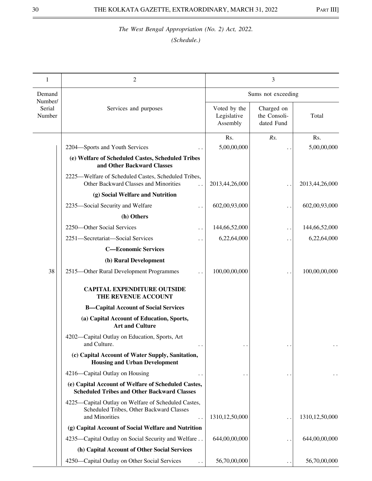| 1                           | 2                                                                                                                                         | 3                                       |                                          |                   |
|-----------------------------|-------------------------------------------------------------------------------------------------------------------------------------------|-----------------------------------------|------------------------------------------|-------------------|
| Demand                      |                                                                                                                                           |                                         | Sums not exceeding                       |                   |
| Number/<br>Serial<br>Number | Services and purposes                                                                                                                     | Voted by the<br>Legislative<br>Assembly | Charged on<br>the Consoli-<br>dated Fund | Total             |
|                             |                                                                                                                                           | Rs.                                     | Rs.                                      | Rs.               |
|                             | 2204-Sports and Youth Services                                                                                                            | 5,00,00,000                             |                                          | 5,00,00,000       |
|                             | (e) Welfare of Scheduled Castes, Scheduled Tribes<br>and Other Backward Classes                                                           |                                         |                                          |                   |
|                             | 2225—Welfare of Scheduled Castes, Scheduled Tribes,<br>Other Backward Classes and Minorities                                              | 2013,44,26,000                          |                                          | 2013,44,26,000    |
|                             | (g) Social Welfare and Nutrition                                                                                                          |                                         |                                          |                   |
|                             | 2235-Social Security and Welfare                                                                                                          | 602,00,93,000                           | . .                                      | 602,00,93,000     |
|                             | (h) Others                                                                                                                                |                                         |                                          |                   |
|                             | 2250-Other Social Services                                                                                                                | 144,66,52,000                           | $\ddot{\phantom{0}}$                     | 144,66,52,000     |
|                             | 2251-Secretariat-Social Services                                                                                                          | 6,22,64,000                             | . .                                      | 6,22,64,000       |
|                             | <b>C-Economic Services</b>                                                                                                                |                                         |                                          |                   |
|                             | (b) Rural Development                                                                                                                     |                                         |                                          |                   |
| 38                          | 2515-Other Rural Development Programmes                                                                                                   | 100,00,00,000                           |                                          | 100,00,00,000     |
|                             | <b>CAPITAL EXPENDITURE OUTSIDE</b><br>THE REVENUE ACCOUNT                                                                                 |                                         |                                          |                   |
|                             | <b>B-Capital Account of Social Services</b>                                                                                               |                                         |                                          |                   |
|                             | (a) Capital Account of Education, Sports,<br><b>Art and Culture</b>                                                                       |                                         |                                          |                   |
|                             | 4202-Capital Outlay on Education, Sports, Art<br>and Culture.                                                                             |                                         |                                          | $\ddotsc$         |
|                             | (c) Capital Account of Water Supply, Sanitation,<br><b>Housing and Urban Development</b>                                                  |                                         |                                          |                   |
|                             | 4216—Capital Outlay on Housing                                                                                                            |                                         |                                          |                   |
|                             | (e) Capital Account of Welfare of Scheduled Castes,<br><b>Scheduled Tribes and Other Backward Classes</b>                                 |                                         |                                          |                   |
|                             | 4225—Capital Outlay on Welfare of Scheduled Castes,<br>Scheduled Tribes, Other Backward Classes<br>and Minorities<br>$\ddot{\phantom{0}}$ | 1310, 12, 50, 000                       | . .                                      | 1310, 12, 50, 000 |
|                             | (g) Capital Account of Social Welfare and Nutrition                                                                                       |                                         |                                          |                   |
|                             | 4235—Capital Outlay on Social Security and Welfare                                                                                        | 644,00,00,000                           |                                          | 644,00,00,000     |
|                             | (h) Capital Account of Other Social Services                                                                                              |                                         |                                          |                   |
|                             | 4250—Capital Outlay on Other Social Services                                                                                              | 56,70,00,000                            |                                          | 56,70,00,000      |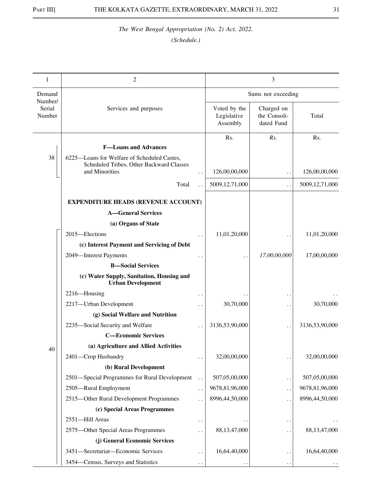| 1                           | 2                                                                                       |                      |                                         | 3                                        |                |
|-----------------------------|-----------------------------------------------------------------------------------------|----------------------|-----------------------------------------|------------------------------------------|----------------|
| Demand                      |                                                                                         |                      |                                         | Sums not exceeding                       |                |
| Number/<br>Serial<br>Number | Services and purposes                                                                   |                      | Voted by the<br>Legislative<br>Assembly | Charged on<br>the Consoli-<br>dated Fund | Total          |
|                             | <b>F-Loans and Advances</b>                                                             |                      | Rs.                                     | Rs.                                      | Rs.            |
| 38                          | 6225-Loans for Welfare of Scheduled Castes,<br>Scheduled Tribes, Other Backward Classes |                      |                                         |                                          |                |
|                             | and Minorities                                                                          | . .                  | 126,00,00,000                           | . .                                      | 126,00,00,000  |
|                             | Total                                                                                   |                      | 5009,12,71,000                          | . .                                      | 5009,12,71,000 |
|                             | <b>EXPENDITURE HEADS (REVENUE ACCOUNT)</b>                                              |                      |                                         |                                          |                |
|                             | <b>A-General Services</b>                                                               |                      |                                         |                                          |                |
|                             | (a) Organs of State                                                                     |                      |                                         |                                          |                |
|                             | 2015-Elections                                                                          |                      | 11,01,20,000                            |                                          | 11,01,20,000   |
|                             | (c) Interest Payment and Servicing of Debt                                              |                      |                                         |                                          |                |
|                             | 2049-Interest Payments                                                                  |                      |                                         | 17,00,00,000                             | 17,00,00,000   |
|                             | <b>B</b> -Social Services                                                               |                      |                                         |                                          |                |
|                             | (c) Water Supply, Sanitation, Housing and<br><b>Urban Development</b>                   |                      |                                         |                                          |                |
|                             | 2216-Housing                                                                            | . .                  |                                         | $\ddot{\phantom{0}}$                     |                |
|                             | 2217-Urban Development                                                                  | . .                  | 30,70,000                               | $\ddot{\phantom{0}}$                     | 30,70,000      |
|                             | (g) Social Welfare and Nutrition                                                        |                      |                                         |                                          |                |
|                             | 2235-Social Security and Welfare                                                        | $\ddot{\phantom{0}}$ | 3136,53,90,000                          | . .                                      | 3136,53,90,000 |
|                             | <b>C-Economic Services</b>                                                              |                      |                                         |                                          |                |
| 40                          | (a) Agriculture and Allied Activities                                                   |                      |                                         |                                          |                |
|                             | 2401-Crop Husbandry                                                                     | . .                  | 32,00,00,000                            | $\ddot{\phantom{1}}$                     | 32,00,00,000   |
|                             | (b) Rural Development                                                                   |                      |                                         |                                          |                |
|                             | 2501-Special Programmes for Rural Development                                           | $\ddot{\phantom{0}}$ | 507,05,00,000                           | . .                                      | 507,05,00,000  |
|                             | 2505-Rural Employment                                                                   | $\ddotsc$            | 9678,81,96,000                          | $\ddot{\phantom{0}}$                     | 9678,81,96,000 |
|                             | 2515-Other Rural Development Programmes                                                 |                      | 8996,44,50,000                          | . .                                      | 8996,44,50,000 |
|                             | (c) Special Areas Programmes                                                            |                      |                                         |                                          |                |
|                             | 2551-Hill Areas                                                                         | $\ddot{\phantom{0}}$ |                                         | $\cdot$ .                                |                |
|                             | 2575-Other Special Areas Programmes                                                     |                      | 88,13,47,000                            | . .                                      | 88,13,47,000   |
|                             | (j) General Economic Services                                                           |                      |                                         |                                          |                |
|                             | 3451-Secretariat-Economic Services                                                      | . .                  | 16,64,40,000                            | . .                                      | 16,64,40,000   |
|                             | 3454–Census, Surveys and Statistics                                                     | . .                  |                                         | $\ddot{\phantom{0}}$                     |                |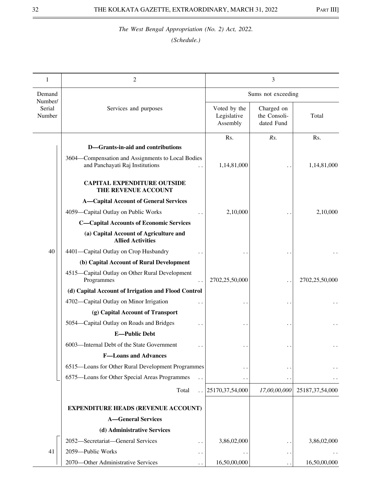| 1                 | 2                                                                  |                                         | 3                                        |                    |
|-------------------|--------------------------------------------------------------------|-----------------------------------------|------------------------------------------|--------------------|
| Demand<br>Number/ |                                                                    |                                         | Sums not exceeding                       |                    |
| Serial<br>Number  | Services and purposes                                              | Voted by the<br>Legislative<br>Assembly | Charged on<br>the Consoli-<br>dated Fund | Total              |
|                   | D-Grants-in-aid and contributions                                  | Rs.                                     | Rs.                                      | Rs.                |
|                   | 3604-Compensation and Assignments to Local Bodies                  |                                         |                                          |                    |
|                   | and Panchayati Raj Institutions                                    | 1,14,81,000                             |                                          | 1,14,81,000        |
|                   | <b>CAPITAL EXPENDITURE OUTSIDE</b><br>THE REVENUE ACCOUNT          |                                         |                                          |                    |
|                   | <b>A-Capital Account of General Services</b>                       |                                         |                                          |                    |
|                   | 4059-Capital Outlay on Public Works                                | 2,10,000                                |                                          | 2,10,000           |
|                   | <b>C-Capital Accounts of Economic Services</b>                     |                                         |                                          |                    |
|                   | (a) Capital Account of Agriculture and<br><b>Allied Activities</b> |                                         |                                          |                    |
| 40                | 4401-Capital Outlay on Crop Husbandry                              |                                         |                                          |                    |
|                   | (b) Capital Account of Rural Development                           |                                         |                                          |                    |
|                   | 4515-Capital Outlay on Other Rural Development<br>Programmes       | 2702,25,50,000                          |                                          | 2702,25,50,000     |
|                   | (d) Capital Account of Irrigation and Flood Control                |                                         |                                          |                    |
|                   | 4702-Capital Outlay on Minor Irrigation                            |                                         |                                          |                    |
|                   | (g) Capital Account of Transport                                   |                                         |                                          |                    |
|                   | 5054—Capital Outlay on Roads and Bridges                           |                                         |                                          |                    |
|                   | <b>E-Public Debt</b>                                               |                                         |                                          |                    |
|                   | 6003-Internal Debt of the State Government                         |                                         |                                          |                    |
|                   | <b>F-Loans and Advances</b>                                        |                                         |                                          |                    |
|                   | 6515-Loans for Other Rural Development Programmes                  |                                         |                                          |                    |
|                   | 6575-Loans for Other Special Areas Programmes                      |                                         | $\bullet$                                |                    |
|                   | Total                                                              | 25170,37,54,000                         | 17,00,00,000                             | 25187, 37, 54, 000 |
|                   | <b>EXPENDITURE HEADS (REVENUE ACCOUNT)</b>                         |                                         |                                          |                    |
|                   | <b>A-General Services</b>                                          |                                         |                                          |                    |
|                   | (d) Administrative Services                                        |                                         |                                          |                    |
|                   | 2052-Secretariat-General Services<br>. .                           | 3,86,02,000                             | $\cdot$ .                                | 3,86,02,000        |
| 41                | 2059-Public Works<br>. .                                           |                                         | $\cdot$ .                                |                    |
|                   | 2070-Other Administrative Services                                 | 16,50,00,000                            |                                          | 16,50,00,000       |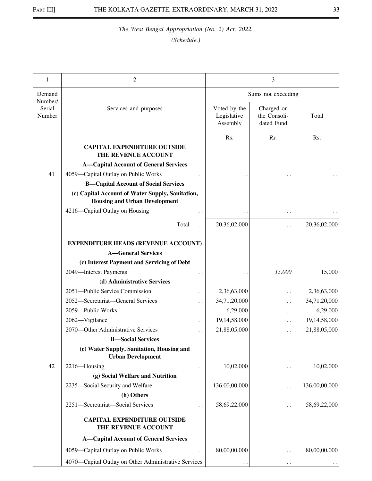| 1                           | $\mathfrak{2}$                                                                           |                                         | 3                                        |               |
|-----------------------------|------------------------------------------------------------------------------------------|-----------------------------------------|------------------------------------------|---------------|
| Demand                      |                                                                                          |                                         | Sums not exceeding                       |               |
| Number/<br>Serial<br>Number | Services and purposes                                                                    | Voted by the<br>Legislative<br>Assembly | Charged on<br>the Consoli-<br>dated Fund | Total         |
|                             | <b>CAPITAL EXPENDITURE OUTSIDE</b><br>THE REVENUE ACCOUNT                                | Rs.                                     | Rs.                                      | Rs.           |
|                             | <b>A-Capital Account of General Services</b>                                             |                                         |                                          |               |
| 41                          | 4059-Capital Outlay on Public Works                                                      |                                         |                                          |               |
|                             | <b>B-Capital Account of Social Services</b>                                              |                                         |                                          |               |
|                             | (c) Capital Account of Water Supply, Sanitation,<br><b>Housing and Urban Development</b> |                                         |                                          |               |
|                             | 4216-Capital Outlay on Housing                                                           |                                         | . .                                      |               |
|                             | Total<br>$\ddot{\phantom{0}}$                                                            | 20,36,02,000                            | $\ddot{\phantom{0}}$                     | 20,36,02,000  |
|                             | <b>EXPENDITURE HEADS (REVENUE ACCOUNT)</b><br><b>A-General Services</b>                  |                                         |                                          |               |
|                             | (c) Interest Payment and Servicing of Debt                                               |                                         |                                          |               |
|                             | 2049-Interest Payments                                                                   |                                         | 15,000                                   | 15,000        |
|                             | (d) Administrative Services                                                              |                                         |                                          |               |
|                             | 2051-Public Service Commission<br>. .                                                    | 2,36,63,000                             | . .                                      | 2,36,63,000   |
|                             | 2052-Secretariat-General Services<br>. .                                                 | 34,71,20,000                            | . .                                      | 34,71,20,000  |
|                             | 2059-Public Works<br>. .                                                                 | 6,29,000                                | . .                                      | 6,29,000      |
|                             | 2062-Vigilance<br>. .                                                                    | 19,14,58,000                            | $\ddot{\phantom{1}}$                     | 19,14,58,000  |
|                             | 2070—Other Administrative Services<br>. .                                                | 21,88,05,000                            | . .                                      | 21,88,05,000  |
|                             | <b>B</b> -Social Services                                                                |                                         |                                          |               |
|                             | (c) Water Supply, Sanitation, Housing and<br><b>Urban Development</b>                    |                                         |                                          |               |
| 42                          | 2216-Housing<br>. .                                                                      | 10,02,000                               |                                          | 10,02,000     |
|                             | (g) Social Welfare and Nutrition                                                         |                                         |                                          |               |
|                             | 2235-Social Security and Welfare                                                         | 136,00,00,000                           | . .                                      | 136,00,00,000 |
|                             | (h) Others                                                                               |                                         |                                          |               |
|                             | 2251-Secretariat-Social Services                                                         | 58,69,22,000                            | . .                                      | 58,69,22,000  |
|                             | <b>CAPITAL EXPENDITURE OUTSIDE</b><br>THE REVENUE ACCOUNT                                |                                         |                                          |               |
|                             | <b>A-Capital Account of General Services</b>                                             |                                         |                                          |               |
|                             | 4059-Capital Outlay on Public Works                                                      | 80,00,00,000                            | . .                                      | 80,00,00,000  |
|                             | 4070—Capital Outlay on Other Administrative Services                                     |                                         | . .                                      |               |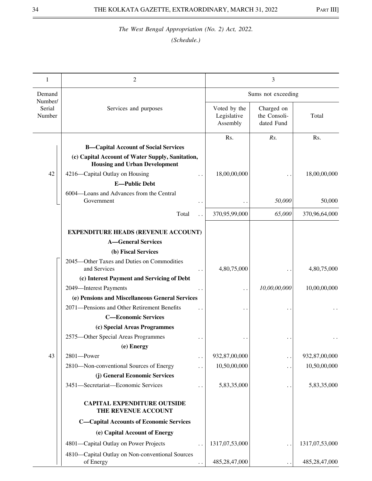| 1                           | 2                                                                                        |                                         | 3                                        |                |
|-----------------------------|------------------------------------------------------------------------------------------|-----------------------------------------|------------------------------------------|----------------|
| Demand                      |                                                                                          |                                         | Sums not exceeding                       |                |
| Number/<br>Serial<br>Number | Services and purposes                                                                    | Voted by the<br>Legislative<br>Assembly | Charged on<br>the Consoli-<br>dated Fund | Total          |
|                             |                                                                                          | Rs.                                     | Rs.                                      | Rs.            |
|                             | <b>B-Capital Account of Social Services</b>                                              |                                         |                                          |                |
|                             | (c) Capital Account of Water Supply, Sanitation,<br><b>Housing and Urban Development</b> |                                         |                                          |                |
| 42                          | 4216-Capital Outlay on Housing<br>. .                                                    | 18,00,00,000                            |                                          | 18,00,00,000   |
|                             | <b>E-Public Debt</b>                                                                     |                                         |                                          |                |
|                             | 6004—Loans and Advances from the Central<br>Government                                   |                                         | 50,000                                   | 50,000         |
|                             | Total                                                                                    | 370,95,99,000                           | 65,000                                   | 370,96,64,000  |
|                             |                                                                                          |                                         |                                          |                |
|                             | <b>EXPENDITURE HEADS (REVENUE ACCOUNT)</b><br><b>A-General Services</b>                  |                                         |                                          |                |
|                             | (b) Fiscal Services                                                                      |                                         |                                          |                |
|                             | 2045—Other Taxes and Duties on Commodities                                               |                                         |                                          |                |
|                             | and Services                                                                             | 4,80,75,000                             |                                          | 4,80,75,000    |
|                             | (c) Interest Payment and Servicing of Debt                                               |                                         |                                          |                |
|                             | 2049-Interest Payments                                                                   |                                         | 10,00,00,000                             | 10,00,00,000   |
|                             | (e) Pensions and Miscellaneous General Services                                          |                                         |                                          |                |
|                             | 2071-Pensions and Other Retirement Benefits                                              |                                         |                                          |                |
|                             | <b>C-Economic Services</b>                                                               |                                         |                                          |                |
|                             | (c) Special Areas Programmes                                                             |                                         |                                          |                |
|                             | 2575-Other Special Areas Programmes                                                      |                                         |                                          |                |
|                             | (e) Energy                                                                               |                                         |                                          |                |
| 43                          | 2801-Power<br>$\ddot{\phantom{0}}$                                                       | 932,87,00,000                           | $\ddot{\phantom{0}}$                     | 932,87,00,000  |
|                             | 2810-Non-conventional Sources of Energy                                                  | 10,50,00,000                            | . .                                      | 10,50,00,000   |
|                             | (j) General Economic Services                                                            |                                         |                                          |                |
|                             | 3451-Secretariat-Economic Services<br>. .                                                | 5,83,35,000                             | $\ddot{\phantom{1}}$                     | 5,83,35,000    |
|                             | <b>CAPITAL EXPENDITURE OUTSIDE</b><br>THE REVENUE ACCOUNT                                |                                         |                                          |                |
|                             | <b>C-Capital Accounts of Economic Services</b>                                           |                                         |                                          |                |
|                             | (e) Capital Account of Energy                                                            |                                         |                                          |                |
|                             | 4801-Capital Outlay on Power Projects                                                    | 1317,07,53,000                          | $\ddot{\phantom{0}}$                     | 1317,07,53,000 |
|                             | 4810-Capital Outlay on Non-conventional Sources<br>of Energy                             | 485,28,47,000                           |                                          | 485,28,47,000  |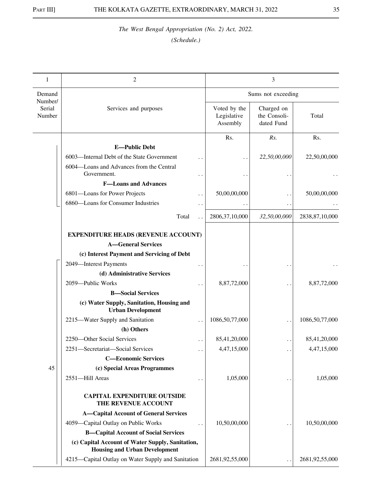| 1                           | 2                                                                                        |                                         | 3                                        |                   |
|-----------------------------|------------------------------------------------------------------------------------------|-----------------------------------------|------------------------------------------|-------------------|
| Demand                      |                                                                                          |                                         | Sums not exceeding                       |                   |
| Number/<br>Serial<br>Number | Services and purposes                                                                    | Voted by the<br>Legislative<br>Assembly | Charged on<br>the Consoli-<br>dated Fund | Total             |
|                             |                                                                                          | Rs.                                     | Rs.                                      | Rs.               |
|                             | <b>E-Public Debt</b>                                                                     |                                         |                                          |                   |
|                             | 6003-Internal Debt of the State Government                                               |                                         | 22,50,00,000                             | 22,50,00,000      |
|                             | 6004-Loans and Advances from the Central<br>Government.                                  |                                         |                                          |                   |
|                             | <b>F-Loans and Advances</b>                                                              |                                         |                                          |                   |
|                             | 6801-Loans for Power Projects                                                            | 50,00,00,000                            |                                          | 50,00,00,000      |
|                             | 6860-Loans for Consumer Industries                                                       |                                         | $\ddot{\phantom{1}}$                     |                   |
|                             | Total                                                                                    | 2806, 37, 10, 000                       | 32,50,00,000                             | 2838, 87, 10, 000 |
|                             | <b>EXPENDITURE HEADS (REVENUE ACCOUNT)</b>                                               |                                         |                                          |                   |
|                             | <b>A-General Services</b>                                                                |                                         |                                          |                   |
|                             | (c) Interest Payment and Servicing of Debt                                               |                                         |                                          |                   |
|                             | 2049-Interest Payments                                                                   |                                         |                                          |                   |
|                             | (d) Administrative Services                                                              |                                         |                                          |                   |
|                             | 2059-Public Works                                                                        | 8,87,72,000                             |                                          | 8,87,72,000       |
|                             | <b>B</b> -Social Services                                                                |                                         |                                          |                   |
|                             | (c) Water Supply, Sanitation, Housing and<br><b>Urban Development</b>                    |                                         |                                          |                   |
|                             | 2215-Water Supply and Sanitation                                                         | 1086,50,77,000                          |                                          | 1086,50,77,000    |
|                             | (h) Others                                                                               |                                         |                                          |                   |
|                             | 2250-Other Social Services                                                               | 85,41,20,000                            | . .                                      | 85,41,20,000      |
|                             | 2251-Secretariat-Social Services                                                         | 4,47,15,000                             |                                          | 4, 47, 15, 000    |
|                             | <b>C-Economic Services</b>                                                               |                                         |                                          |                   |
| 45                          | (c) Special Areas Programmes                                                             |                                         |                                          |                   |
|                             | 2551-Hill Areas                                                                          | 1,05,000                                |                                          | 1,05,000          |
|                             | <b>CAPITAL EXPENDITURE OUTSIDE</b><br>THE REVENUE ACCOUNT                                |                                         |                                          |                   |
|                             | <b>A-Capital Account of General Services</b>                                             |                                         |                                          |                   |
|                             | 4059-Capital Outlay on Public Works                                                      | 10,50,00,000                            |                                          | 10,50,00,000      |
|                             | <b>B-Capital Account of Social Services</b>                                              |                                         |                                          |                   |
|                             | (c) Capital Account of Water Supply, Sanitation,<br><b>Housing and Urban Development</b> |                                         |                                          |                   |
|                             | 4215—Capital Outlay on Water Supply and Sanitation                                       | 2681,92,55,000                          |                                          | 2681,92,55,000    |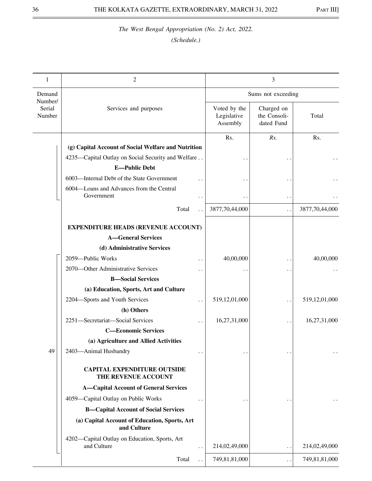| 1                           | $\mathfrak{2}$                                                                       |                                         | 3                                        |                |
|-----------------------------|--------------------------------------------------------------------------------------|-----------------------------------------|------------------------------------------|----------------|
| Demand                      |                                                                                      |                                         | Sums not exceeding                       |                |
| Number/<br>Serial<br>Number | Services and purposes                                                                | Voted by the<br>Legislative<br>Assembly | Charged on<br>the Consoli-<br>dated Fund | Total          |
|                             |                                                                                      | Rs.                                     | Rs.                                      | Rs.            |
|                             | (g) Capital Account of Social Welfare and Nutrition                                  |                                         |                                          |                |
|                             | 4235-Capital Outlay on Social Security and Welfare                                   |                                         |                                          |                |
|                             | <b>E-Public Debt</b>                                                                 |                                         |                                          |                |
|                             | 6003-Internal Debt of the State Government                                           |                                         |                                          |                |
|                             | 6004-Loans and Advances from the Central<br>Government                               |                                         | $\ddot{\phantom{1}}$                     |                |
|                             | Total                                                                                | 3877,70,44,000                          | . .                                      | 3877,70,44,000 |
|                             | <b>EXPENDITURE HEADS (REVENUE ACCOUNT)</b>                                           |                                         |                                          |                |
|                             | <b>A-General Services</b>                                                            |                                         |                                          |                |
|                             | (d) Administrative Services                                                          |                                         |                                          |                |
|                             | 2059-Public Works                                                                    | 40,00,000                               | $\cdot$ .                                | 40,00,000      |
|                             | 2070—Other Administrative Services                                                   |                                         | $\ddot{\phantom{0}}$                     |                |
|                             | <b>B</b> -Social Services                                                            |                                         |                                          |                |
|                             | (a) Education, Sports, Art and Culture                                               |                                         |                                          |                |
|                             | 2204-Sports and Youth Services                                                       | 519,12,01,000                           | $\ddot{\phantom{0}}$                     | 519,12,01,000  |
|                             | (h) Others                                                                           |                                         |                                          |                |
|                             | 2251-Secretariat-Social Services                                                     | 16,27,31,000                            | $\ddot{\phantom{0}}$                     | 16,27,31,000   |
|                             | <b>C-Economic Services</b>                                                           |                                         |                                          |                |
|                             | (a) Agriculture and Allied Activities                                                |                                         |                                          |                |
| 49                          | 2403-Animal Husbandry<br>. .                                                         |                                         |                                          |                |
|                             | <b>CAPITAL EXPENDITURE OUTSIDE</b><br>THE REVENUE ACCOUNT                            |                                         |                                          |                |
|                             | <b>A-Capital Account of General Services</b>                                         |                                         |                                          |                |
|                             | 4059-Capital Outlay on Public Works                                                  |                                         |                                          |                |
|                             | <b>B-Capital Account of Social Services</b>                                          |                                         |                                          |                |
|                             | (a) Capital Account of Education, Sports, Art<br>and Culture                         |                                         |                                          |                |
|                             | 4202-Capital Outlay on Education, Sports, Art<br>and Culture<br>$\ddot{\phantom{0}}$ | 214,02,49,000                           | . .                                      | 214,02,49,000  |
|                             |                                                                                      |                                         |                                          |                |
|                             | Total<br>$\ddot{\phantom{0}}$                                                        | 749,81,81,000                           | . .                                      | 749,81,81,000  |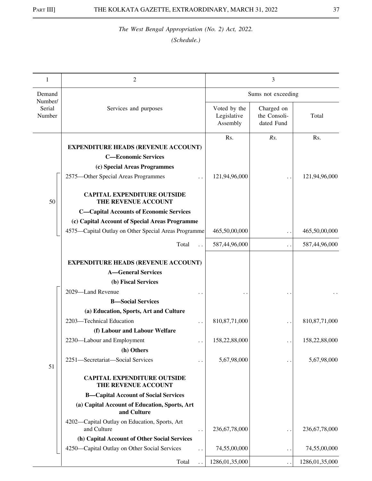| 1                           | $\overline{2}$                                               |                                         | 3                                        |                  |
|-----------------------------|--------------------------------------------------------------|-----------------------------------------|------------------------------------------|------------------|
| Demand                      |                                                              |                                         | Sums not exceeding                       |                  |
| Number/<br>Serial<br>Number | Services and purposes                                        | Voted by the<br>Legislative<br>Assembly | Charged on<br>the Consoli-<br>dated Fund | Total            |
|                             | <b>EXPENDITURE HEADS (REVENUE ACCOUNT)</b>                   | Rs.                                     | Rs.                                      | Rs.              |
|                             | <b>C-Economic Services</b>                                   |                                         |                                          |                  |
|                             | (c) Special Areas Programmes                                 |                                         |                                          |                  |
|                             | 2575-Other Special Areas Programmes                          | 121,94,96,000                           |                                          | 121,94,96,000    |
| 50                          | <b>CAPITAL EXPENDITURE OUTSIDE</b><br>THE REVENUE ACCOUNT    |                                         |                                          |                  |
|                             | <b>C-Capital Accounts of Economic Services</b>               |                                         |                                          |                  |
|                             | (c) Capital Account of Special Areas Programme               |                                         |                                          |                  |
|                             | 4575—Capital Outlay on Other Special Areas Programme         | 465,50,00,000                           |                                          | 465,50,00,000    |
|                             | Total                                                        | 587,44,96,000                           | . .                                      | 587,44,96,000    |
|                             | <b>EXPENDITURE HEADS (REVENUE ACCOUNT)</b>                   |                                         |                                          |                  |
|                             | <b>A-General Services</b>                                    |                                         |                                          |                  |
|                             | (b) Fiscal Services                                          |                                         |                                          |                  |
|                             | 2029-Land Revenue                                            |                                         |                                          |                  |
|                             | <b>B</b> -Social Services                                    |                                         |                                          |                  |
|                             | (a) Education, Sports, Art and Culture                       |                                         |                                          |                  |
|                             | 2203-Technical Education                                     | 810, 87, 71, 000                        |                                          | 810, 87, 71, 000 |
|                             | (f) Labour and Labour Welfare                                |                                         |                                          |                  |
|                             | 2230-Labour and Employment                                   | 158,22,88,000                           |                                          | 158,22,88,000    |
|                             | (h) Others                                                   |                                         |                                          |                  |
| 51                          | 2251-Secretariat-Social Services                             | 5,67,98,000                             |                                          | 5,67,98,000      |
|                             | <b>CAPITAL EXPENDITURE OUTSIDE</b><br>THE REVENUE ACCOUNT    |                                         |                                          |                  |
|                             | <b>B-Capital Account of Social Services</b>                  |                                         |                                          |                  |
|                             | (a) Capital Account of Education, Sports, Art<br>and Culture |                                         |                                          |                  |
|                             | 4202-Capital Outlay on Education, Sports, Art<br>and Culture | 236, 67, 78, 000                        | $\ddot{\phantom{0}}$                     | 236, 67, 78, 000 |
|                             | (h) Capital Account of Other Social Services                 |                                         |                                          |                  |
|                             | 4250—Capital Outlay on Other Social Services                 | 74,55,00,000                            | . .                                      | 74,55,00,000     |
|                             | Total                                                        | 1286,01,35,000                          |                                          | 1286,01,35,000   |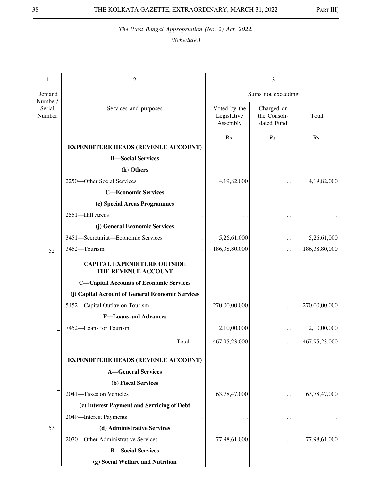| 1                           | 2                                                          |                                         | 3                                        |               |
|-----------------------------|------------------------------------------------------------|-----------------------------------------|------------------------------------------|---------------|
| Demand                      |                                                            |                                         | Sums not exceeding                       |               |
| Number/<br>Serial<br>Number | Services and purposes                                      | Voted by the<br>Legislative<br>Assembly | Charged on<br>the Consoli-<br>dated Fund | Total         |
|                             | <b>EXPENDITURE HEADS (REVENUE ACCOUNT)</b>                 | Rs.                                     | Rs.                                      | Rs.           |
|                             | <b>B-Social Services</b>                                   |                                         |                                          |               |
|                             | (h) Others                                                 |                                         |                                          |               |
|                             | 2250-Other Social Services                                 | 4,19,82,000                             |                                          | 4,19,82,000   |
|                             | <b>C-Economic Services</b>                                 |                                         |                                          |               |
|                             | (c) Special Areas Programmes                               |                                         |                                          |               |
|                             | 2551-Hill Areas                                            |                                         |                                          |               |
|                             | (j) General Economic Services                              |                                         |                                          |               |
|                             | 3451-Secretariat-Economic Services<br>. .                  | 5,26,61,000                             |                                          | 5,26,61,000   |
| 52                          | 3452-Tourism                                               | 186,38,80,000                           | $\ddot{\phantom{1}}$                     | 186,38,80,000 |
|                             | <b>CAPITAL EXPENDITURE OUTSIDE</b>                         |                                         |                                          |               |
|                             | THE REVENUE ACCOUNT                                        |                                         |                                          |               |
|                             | <b>C-Capital Accounts of Economic Services</b>             |                                         |                                          |               |
|                             | (j) Capital Account of General Economic Services           |                                         |                                          |               |
|                             | 5452-Capital Outlay on Tourism<br>$\ddot{\phantom{0}}$     | 270,00,00,000                           |                                          | 270,00,00,000 |
|                             | <b>F-Loans and Advances</b>                                |                                         |                                          |               |
|                             | 7452-Loans for Tourism                                     | 2,10,00,000                             | $\ddot{\phantom{0}}$                     | 2,10,00,000   |
|                             | Total                                                      | 467,95,23,000                           |                                          | 467,95,23,000 |
|                             | <b>EXPENDITURE HEADS (REVENUE ACCOUNT)</b>                 |                                         |                                          |               |
|                             | <b>A-General Services</b>                                  |                                         |                                          |               |
|                             | (b) Fiscal Services                                        |                                         |                                          |               |
|                             | 2041-Taxes on Vehicles<br>$\ddot{\phantom{0}}$             | 63,78,47,000                            | . .                                      | 63,78,47,000  |
|                             | (c) Interest Payment and Servicing of Debt                 |                                         |                                          |               |
|                             | 2049-Interest Payments                                     |                                         |                                          |               |
| 53                          | (d) Administrative Services                                |                                         |                                          |               |
|                             | 2070-Other Administrative Services<br>$\ddot{\phantom{0}}$ | 77,98,61,000                            |                                          | 77,98,61,000  |
|                             | <b>B-Social Services</b>                                   |                                         |                                          |               |
|                             | (g) Social Welfare and Nutrition                           |                                         |                                          |               |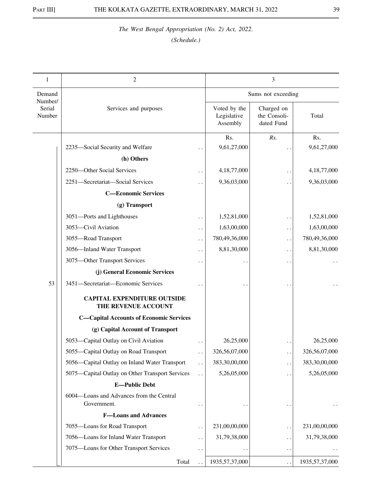| 1                           | $\overline{c}$                                            |                        | 3                                       |                                          |                   |
|-----------------------------|-----------------------------------------------------------|------------------------|-----------------------------------------|------------------------------------------|-------------------|
| Demand                      |                                                           |                        |                                         | Sums not exceeding                       |                   |
| Number/<br>Serial<br>Number | Services and purposes                                     |                        | Voted by the<br>Legislative<br>Assembly | Charged on<br>the Consoli-<br>dated Fund | Total             |
|                             |                                                           |                        | Rs.                                     | Rs.                                      | Rs.               |
|                             | 2235-Social Security and Welfare                          |                        | 9,61,27,000                             |                                          | 9,61,27,000       |
|                             | (h) Others                                                |                        |                                         |                                          |                   |
|                             | 2250-Other Social Services                                |                        | 4,18,77,000                             |                                          | 4,18,77,000       |
|                             | 2251-Secretariat-Social Services                          |                        | 9,36,03,000                             | $\ddot{\phantom{a}}$                     | 9,36,03,000       |
|                             | <b>C-Economic Services</b>                                |                        |                                         |                                          |                   |
|                             | (g) Transport                                             |                        |                                         |                                          |                   |
|                             | 3051-Ports and Lighthouses                                |                        | 1,52,81,000                             | . .                                      | 1,52,81,000       |
|                             | 3053-Civil Aviation                                       |                        | 1,63,00,000                             | $\ddot{\phantom{1}}$                     | 1,63,00,000       |
|                             | 3055-Road Transport                                       |                        | 780,49,36,000                           | . .                                      | 780,49,36,000     |
|                             | 3056-Inland Water Transport                               | $\ddot{\phantom{0}}$   | 8,81,30,000                             | $\ddot{\phantom{0}}$                     | 8,81,30,000       |
|                             | 3075-Other Transport Services                             |                        |                                         | $\ddot{\phantom{0}}$                     |                   |
|                             | (j) General Economic Services                             |                        |                                         |                                          |                   |
| 53                          | 3451-Secretariat-Economic Services                        |                        |                                         |                                          |                   |
|                             | <b>CAPITAL EXPENDITURE OUTSIDE</b><br>THE REVENUE ACCOUNT |                        |                                         |                                          |                   |
|                             | <b>C-Capital Accounts of Economic Services</b>            |                        |                                         |                                          |                   |
|                             | (g) Capital Account of Transport                          |                        |                                         |                                          |                   |
|                             | 5053-Capital Outlay on Civil Aviation                     |                        | 26,25,000                               |                                          | 26,25,000         |
|                             | 5055-Capital Outlay on Road Transport                     | $\ddot{\phantom{1}}$ . | 326,56,07,000                           | . .                                      | 326,56,07,000     |
|                             | 5056-Capital Outlay on Inland Water Transport             | $\ddot{\phantom{0}}$   | 383,30,00,000                           | . .                                      | 383,30,00,000     |
|                             | 5075—Capital Outlay on Other Transport Services           | $\ddot{\phantom{0}}$   | 5,26,05,000                             | . .                                      | 5,26,05,000       |
|                             | <b>E-Public Debt</b>                                      |                        |                                         |                                          |                   |
|                             | 6004-Loans and Advances from the Central<br>Government.   |                        |                                         |                                          |                   |
|                             | <b>F-Loans and Advances</b>                               |                        |                                         |                                          |                   |
|                             | 7055-Loans for Road Transport                             |                        | 231,00,00,000                           | $\ddot{\phantom{1}}$                     | 231,00,00,000     |
|                             | 7056-Loans for Inland Water Transport                     |                        | 31,79,38,000                            | . .                                      | 31,79,38,000      |
|                             | 7075-Loans for Other Transport Services                   | $\ddot{\phantom{0}}$   |                                         | $\ddot{\phantom{0}}$                     |                   |
|                             | Total                                                     |                        | 1935, 57, 37, 000                       |                                          | 1935, 57, 37, 000 |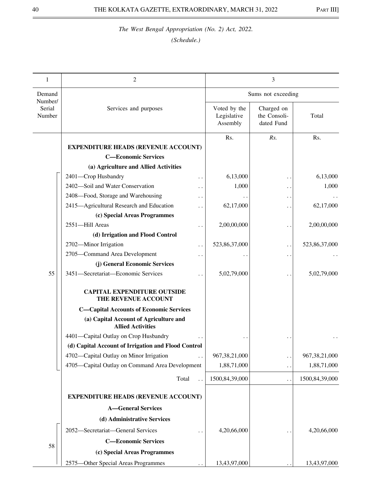| 1                           | 2                                                                  |                                         | 3                                        |                  |
|-----------------------------|--------------------------------------------------------------------|-----------------------------------------|------------------------------------------|------------------|
| Demand                      |                                                                    |                                         | Sums not exceeding                       |                  |
| Number/<br>Serial<br>Number | Services and purposes                                              | Voted by the<br>Legislative<br>Assembly | Charged on<br>the Consoli-<br>dated Fund | Total            |
|                             |                                                                    | Rs.                                     | Rs.                                      | Rs.              |
|                             | <b>EXPENDITURE HEADS (REVENUE ACCOUNT)</b>                         |                                         |                                          |                  |
|                             | <b>C-Economic Services</b>                                         |                                         |                                          |                  |
|                             | (a) Agriculture and Allied Activities                              |                                         |                                          |                  |
|                             | 2401-Crop Husbandry<br>. .                                         | 6,13,000                                | $\ddot{\phantom{0}}$                     | 6,13,000         |
|                             | 2402-Soil and Water Conservation<br>. .                            | 1,000                                   | $\ddot{\phantom{1}}$                     | 1,000            |
|                             | 2408-Food, Storage and Warehousing<br>. .                          |                                         | $\ddot{\phantom{1}}$                     |                  |
|                             | 2415-Agricultural Research and Education                           | 62,17,000                               | . .                                      | 62,17,000        |
|                             | (c) Special Areas Programmes                                       |                                         |                                          |                  |
|                             | 2551-Hill Areas<br>. .                                             | 2,00,00,000                             | $\ddot{\phantom{0}}$                     | 2,00,00,000      |
|                             | (d) Irrigation and Flood Control                                   |                                         |                                          |                  |
|                             | 2702-Minor Irrigation<br>. .                                       | 523,86,37,000                           | . .                                      | 523,86,37,000    |
|                             | 2705-Command Area Development<br>. .                               |                                         | $\ddot{\phantom{1}}$                     |                  |
|                             | (j) General Economic Services                                      |                                         |                                          |                  |
| 55                          | 3451-Secretariat-Economic Services<br>. .                          | 5,02,79,000                             |                                          | 5,02,79,000      |
|                             | <b>CAPITAL EXPENDITURE OUTSIDE</b><br>THE REVENUE ACCOUNT          |                                         |                                          |                  |
|                             | <b>C-Capital Accounts of Economic Services</b>                     |                                         |                                          |                  |
|                             | (a) Capital Account of Agriculture and<br><b>Allied Activities</b> |                                         |                                          |                  |
|                             | 4401-Capital Outlay on Crop Husbandry                              |                                         |                                          |                  |
|                             | (d) Capital Account of Irrigation and Flood Control                |                                         |                                          |                  |
|                             | 4702-Capital Outlay on Minor Irrigation                            | 967, 38, 21, 000                        | . .                                      | 967, 38, 21, 000 |
|                             | 4705-Capital Outlay on Command Area Development                    | 1,88,71,000                             | . .                                      | 1,88,71,000      |
|                             | Total                                                              | 1500,84,39,000                          | $\ddot{\phantom{1}}$                     | 1500,84,39,000   |
|                             | <b>EXPENDITURE HEADS (REVENUE ACCOUNT)</b>                         |                                         |                                          |                  |
|                             | <b>A-General Services</b>                                          |                                         |                                          |                  |
|                             | (d) Administrative Services                                        |                                         |                                          |                  |
|                             | 2052-Secretariat-General Services                                  | 4,20,66,000                             |                                          | 4,20,66,000      |
|                             | <b>C-Economic Services</b>                                         |                                         |                                          |                  |
| 58                          | (c) Special Areas Programmes                                       |                                         |                                          |                  |
|                             | 2575-Other Special Areas Programmes                                | 13,43,97,000                            |                                          | 13,43,97,000     |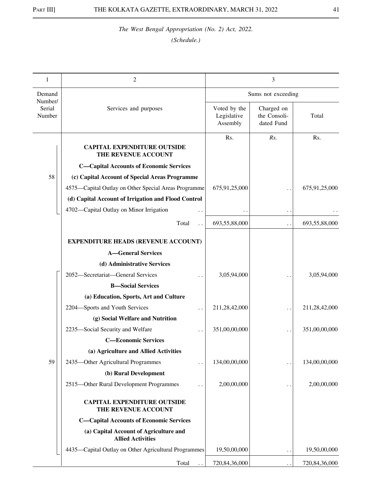| 1                           | 2                                                                  |                                         | 3                                        |               |
|-----------------------------|--------------------------------------------------------------------|-----------------------------------------|------------------------------------------|---------------|
| Demand                      |                                                                    |                                         | Sums not exceeding                       |               |
| Number/<br>Serial<br>Number | Services and purposes                                              | Voted by the<br>Legislative<br>Assembly | Charged on<br>the Consoli-<br>dated Fund | Total         |
|                             | <b>CAPITAL EXPENDITURE OUTSIDE</b><br>THE REVENUE ACCOUNT          | Rs.                                     | Rs.                                      | Rs.           |
|                             | <b>C-Capital Accounts of Economic Services</b>                     |                                         |                                          |               |
| 58                          | (c) Capital Account of Special Areas Programme                     |                                         |                                          |               |
|                             | 4575—Capital Outlay on Other Special Areas Programme               | 675,91,25,000                           |                                          | 675,91,25,000 |
|                             | (d) Capital Account of Irrigation and Flood Control                |                                         |                                          |               |
|                             | 4702-Capital Outlay on Minor Irrigation                            |                                         | $\ddot{\phantom{1}}$                     |               |
|                             | Total                                                              | 693,55,88,000                           | . .                                      | 693,55,88,000 |
|                             | <b>EXPENDITURE HEADS (REVENUE ACCOUNT)</b>                         |                                         |                                          |               |
|                             | <b>A-General Services</b>                                          |                                         |                                          |               |
|                             | (d) Administrative Services                                        |                                         |                                          |               |
|                             | 2052-Secretariat-General Services                                  | 3,05,94,000                             |                                          | 3,05,94,000   |
|                             | <b>B</b> -Social Services                                          |                                         |                                          |               |
|                             | (a) Education, Sports, Art and Culture                             |                                         |                                          |               |
|                             | 2204-Sports and Youth Services                                     | 211,28,42,000                           | $\cdot$ .                                | 211,28,42,000 |
|                             | (g) Social Welfare and Nutrition                                   |                                         |                                          |               |
|                             | 2235-Social Security and Welfare                                   | 351,00,00,000                           | $\ddot{\phantom{0}}$                     | 351,00,00,000 |
|                             | <b>C-Economic Services</b>                                         |                                         |                                          |               |
|                             | (a) Agriculture and Allied Activities                              |                                         |                                          |               |
| 59                          | 2435-Other Agricultural Programmes                                 | 134,00,00,000                           | $\ddot{\phantom{0}}$                     | 134,00,00,000 |
|                             | (b) Rural Development                                              |                                         |                                          |               |
|                             | 2515-Other Rural Development Programmes                            | 2,00,00,000                             | $\ddot{\phantom{1}}$                     | 2,00,00,000   |
|                             | <b>CAPITAL EXPENDITURE OUTSIDE</b><br>THE REVENUE ACCOUNT          |                                         |                                          |               |
|                             | <b>C-Capital Accounts of Economic Services</b>                     |                                         |                                          |               |
|                             | (a) Capital Account of Agriculture and<br><b>Allied Activities</b> |                                         |                                          |               |
|                             | 4435—Capital Outlay on Other Agricultural Programmes               | 19,50,00,000                            | . .                                      | 19,50,00,000  |
|                             | Total                                                              | 720,84,36,000                           | $\ddot{\phantom{a}}$                     | 720,84,36,000 |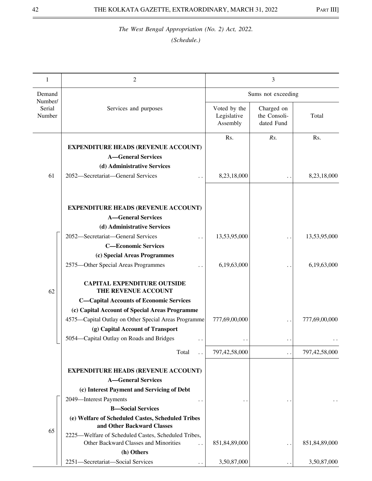| 1                           | $\overline{2}$                                                                                                                                                                                                                                                                                                                |                                         | 3                                        |                    |
|-----------------------------|-------------------------------------------------------------------------------------------------------------------------------------------------------------------------------------------------------------------------------------------------------------------------------------------------------------------------------|-----------------------------------------|------------------------------------------|--------------------|
| Demand                      |                                                                                                                                                                                                                                                                                                                               |                                         | Sums not exceeding                       |                    |
| Number/<br>Serial<br>Number | Services and purposes                                                                                                                                                                                                                                                                                                         | Voted by the<br>Legislative<br>Assembly | Charged on<br>the Consoli-<br>dated Fund | Total              |
| 61                          | <b>EXPENDITURE HEADS (REVENUE ACCOUNT)</b><br><b>A-General Services</b><br>(d) Administrative Services<br>2052-Secretariat-General Services                                                                                                                                                                                   | Rs.<br>8,23,18,000                      | Rs.<br>$\ddot{\phantom{0}}$              | Rs.<br>8,23,18,000 |
|                             | <b>EXPENDITURE HEADS (REVENUE ACCOUNT)</b><br><b>A-General Services</b><br>(d) Administrative Services<br>2052-Secretariat-General Services                                                                                                                                                                                   | 13,53,95,000                            |                                          | 13,53,95,000       |
|                             | <b>C-Economic Services</b><br>(c) Special Areas Programmes<br>2575-Other Special Areas Programmes                                                                                                                                                                                                                             | 6,19,63,000                             |                                          | 6,19,63,000        |
| 62                          | <b>CAPITAL EXPENDITURE OUTSIDE</b><br>THE REVENUE ACCOUNT<br><b>C-Capital Accounts of Economic Services</b><br>(c) Capital Account of Special Areas Programme<br>4575-Capital Outlay on Other Special Areas Programme<br>(g) Capital Account of Transport<br>5054-Capital Outlay on Roads and Bridges<br>$\ddot{\phantom{0}}$ | 777,69,00,000                           | $\ddot{\phantom{0}}$                     | 777,69,00,000      |
|                             | Total                                                                                                                                                                                                                                                                                                                         | 797,42,58,000                           |                                          | 797,42,58,000      |
|                             | <b>EXPENDITURE HEADS (REVENUE ACCOUNT)</b><br><b>A</b> —General Services<br>(c) Interest Payment and Servicing of Debt<br>2049-Interest Payments<br><b>B</b> -Social Services                                                                                                                                                 |                                         |                                          |                    |
| 65                          | (e) Welfare of Scheduled Castes, Scheduled Tribes<br>and Other Backward Classes<br>2225—Welfare of Scheduled Castes, Scheduled Tribes,<br>Other Backward Classes and Minorities<br>(h) Others                                                                                                                                 | 851,84,89,000                           | $\cdot$ .                                | 851,84,89,000      |
|                             | 2251-Secretariat-Social Services                                                                                                                                                                                                                                                                                              | 3,50,87,000                             |                                          | 3,50,87,000        |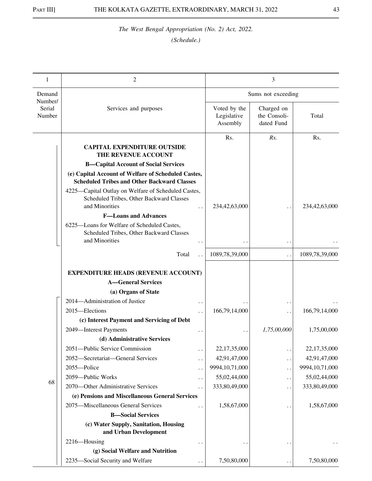| 1                           | 2                                                                                                                 |                                         | 3                                        |                   |
|-----------------------------|-------------------------------------------------------------------------------------------------------------------|-----------------------------------------|------------------------------------------|-------------------|
| Demand                      |                                                                                                                   |                                         | Sums not exceeding                       |                   |
| Number/<br>Serial<br>Number | Services and purposes                                                                                             | Voted by the<br>Legislative<br>Assembly | Charged on<br>the Consoli-<br>dated Fund | Total             |
|                             | <b>CAPITAL EXPENDITURE OUTSIDE</b><br>THE REVENUE ACCOUNT                                                         | Rs.                                     | Rs.                                      | Rs.               |
|                             | <b>B-Capital Account of Social Services</b>                                                                       |                                         |                                          |                   |
|                             | (e) Capital Account of Welfare of Scheduled Castes,<br><b>Scheduled Tribes and Other Backward Classes</b>         |                                         |                                          |                   |
|                             | 4225—Capital Outlay on Welfare of Scheduled Castes,<br>Scheduled Tribes, Other Backward Classes<br>and Minorities | 234,42,63,000                           |                                          | 234,42,63,000     |
|                             | <b>F-Loans and Advances</b>                                                                                       |                                         |                                          |                   |
|                             | 6225-Loans for Welfare of Scheduled Castes,<br>Scheduled Tribes, Other Backward Classes<br>and Minorities         |                                         | $\ddot{\phantom{0}}$                     |                   |
|                             | Total                                                                                                             | 1089,78,39,000                          | μ.                                       | 1089,78,39,000    |
|                             | <b>EXPENDITURE HEADS (REVENUE ACCOUNT)</b>                                                                        |                                         |                                          |                   |
|                             | <b>A-General Services</b>                                                                                         |                                         |                                          |                   |
|                             | (a) Organs of State                                                                                               |                                         |                                          |                   |
|                             | 2014—Administration of Justice                                                                                    |                                         |                                          |                   |
|                             | 2015—Elections                                                                                                    | 166,79,14,000                           |                                          | 166,79,14,000     |
|                             | (c) Interest Payment and Servicing of Debt                                                                        |                                         | ρ.,                                      |                   |
|                             | 2049-Interest Payments                                                                                            |                                         | 1,75,00,000                              | 1,75,00,000       |
|                             | (d) Administrative Services                                                                                       |                                         |                                          |                   |
|                             | 2051-Public Service Commission<br>$\ddot{\phantom{0}}$                                                            | 22,17,35,000                            | . .                                      | 22,17,35,000      |
|                             | 2052-Secretariat-General Services<br>. .                                                                          | 42,91,47,000                            | . .                                      | 42,91,47,000      |
|                             | 2055-Police<br>$\ddot{\phantom{0}}$                                                                               | 9994, 10, 71, 000                       | $\ddot{\phantom{0}}$                     | 9994, 10, 71, 000 |
|                             | 2059-Public Works<br>$\ddot{\phantom{0}}$                                                                         | 55,02,44,000                            | . .                                      | 55,02,44,000      |
| 68                          | 2070-Other Administrative Services                                                                                | 333,80,49,000                           | . .                                      | 333,80,49,000     |
|                             | (e) Pensions and Miscellaneous General Services                                                                   |                                         |                                          |                   |
|                             | 2075-Miscellaneous General Services                                                                               | 1,58,67,000                             | . .                                      | 1,58,67,000       |
|                             | <b>B</b> -Social Services                                                                                         |                                         |                                          |                   |
|                             | (c) Water Supply, Sanitation, Housing<br>and Urban Development                                                    |                                         |                                          |                   |
|                             | 2216-Housing<br>$\ddot{\phantom{0}}$                                                                              |                                         | $\ddot{\phantom{1}}$                     |                   |
|                             | (g) Social Welfare and Nutrition                                                                                  |                                         |                                          |                   |
|                             | 2235-Social Security and Welfare                                                                                  | 7,50,80,000                             | $\ddot{\phantom{1}}$                     | 7,50,80,000       |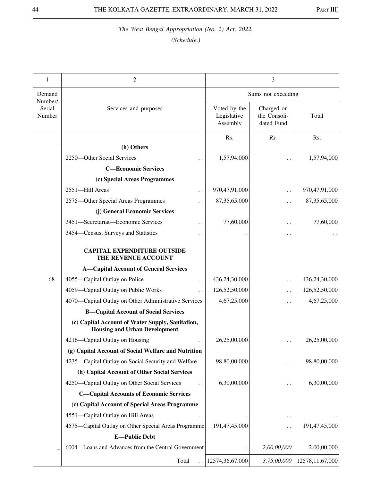| 1                 | 2                                                                                        |                                         | 3                                        |                    |
|-------------------|------------------------------------------------------------------------------------------|-----------------------------------------|------------------------------------------|--------------------|
| Demand<br>Number/ |                                                                                          |                                         | Sums not exceeding                       |                    |
| Serial<br>Number  | Services and purposes                                                                    | Voted by the<br>Legislative<br>Assembly | Charged on<br>the Consoli-<br>dated Fund | Total              |
|                   |                                                                                          | Rs.                                     | Rs.                                      | Rs.                |
|                   | (h) Others                                                                               |                                         |                                          |                    |
|                   | 2250-Other Social Services                                                               | 1,57,94,000                             |                                          | 1,57,94,000        |
|                   | <b>C-Economic Services</b>                                                               |                                         |                                          |                    |
|                   | (c) Special Areas Programmes                                                             |                                         |                                          |                    |
|                   | 2551-Hill Areas<br>$\ddot{\phantom{0}}$                                                  | 970,47,91,000                           | . .                                      | 970,47,91,000      |
|                   | 2575-Other Special Areas Programmes                                                      | 87, 35, 65, 000                         |                                          | 87, 35, 65, 000    |
|                   | (j) General Economic Services                                                            |                                         |                                          |                    |
|                   | 3451-Secretariat-Economic Services<br>$\ddot{\phantom{0}}$                               | 77,60,000                               | $\ddot{\phantom{1}}$                     | 77,60,000          |
|                   | 3454–Census, Surveys and Statistics<br>. .                                               |                                         | $\ddot{\phantom{1}}$                     |                    |
|                   | <b>CAPITAL EXPENDITURE OUTSIDE</b><br>THE REVENUE ACCOUNT                                |                                         |                                          |                    |
|                   | <b>A-Capital Account of General Services</b>                                             |                                         |                                          |                    |
| 68                | 4055-Capital Outlay on Police<br>$\ddot{\phantom{1}}$ .                                  | 436,24,30,000                           |                                          | 436,24,30,000      |
|                   | 4059-Capital Outlay on Public Works                                                      | 126,52,50,000                           | . .                                      | 126,52,50,000      |
|                   | 4070—Capital Outlay on Other Administrative Services                                     | 4,67,25,000                             |                                          | 4,67,25,000        |
|                   | <b>B-Capital Account of Social Services</b>                                              |                                         |                                          |                    |
|                   | (c) Capital Account of Water Supply, Sanitation,<br><b>Housing and Urban Development</b> |                                         |                                          |                    |
|                   | 4216-Capital Outlay on Housing<br>$\ddot{\phantom{1}}$                                   | 26,25,00,000                            |                                          | 26,25,00,000       |
|                   | (g) Capital Account of Social Welfare and Nutrition                                      |                                         |                                          |                    |
|                   | 4235—Capital Outlay on Social Security and Welfare                                       | 98,80,00,000                            | $\ddot{\phantom{0}}$                     | 98,80,00,000       |
|                   | (h) Capital Account of Other Social Services                                             |                                         |                                          |                    |
|                   | 4250—Capital Outlay on Other Social Services                                             | 6,30,00,000                             |                                          | 6,30,00,000        |
|                   | <b>C-Capital Accounts of Economic Services</b>                                           |                                         |                                          |                    |
|                   | (c) Capital Account of Special Areas Programme                                           |                                         |                                          |                    |
|                   | 4551-Capital Outlay on Hill Areas                                                        |                                         |                                          |                    |
|                   | 4575—Capital Outlay on Other Special Areas Programme                                     | 191,47,45,000                           | $\ddot{\phantom{0}}$                     | 191,47,45,000      |
|                   | <b>E-Public Debt</b>                                                                     |                                         |                                          |                    |
|                   | 6004-Loans and Advances from the Central Government                                      |                                         | 2,00,00,000                              | 2,00,00,000        |
|                   | Total                                                                                    | 12574,36,67,000                         | 3,75,00,000                              | 12578, 11, 67, 000 |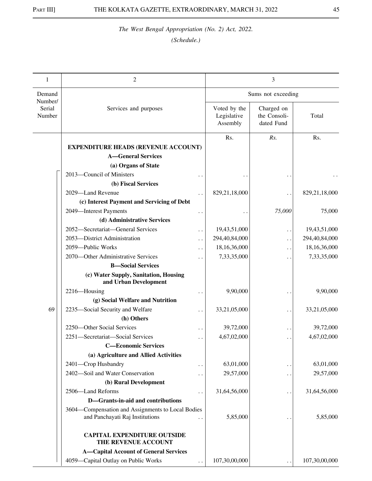| 1                           | 2                                                              |                                         | 3                                        |               |
|-----------------------------|----------------------------------------------------------------|-----------------------------------------|------------------------------------------|---------------|
| Demand                      |                                                                |                                         | Sums not exceeding                       |               |
| Number/<br>Serial<br>Number | Services and purposes                                          | Voted by the<br>Legislative<br>Assembly | Charged on<br>the Consoli-<br>dated Fund | Total         |
|                             |                                                                | Rs.                                     | Rs.                                      | Rs.           |
|                             | <b>EXPENDITURE HEADS (REVENUE ACCOUNT)</b>                     |                                         |                                          |               |
|                             | <b>A-General Services</b>                                      |                                         |                                          |               |
|                             | (a) Organs of State                                            |                                         |                                          |               |
|                             | 2013-Council of Ministers                                      |                                         |                                          |               |
|                             | (b) Fiscal Services                                            |                                         |                                          |               |
|                             | 2029-Land Revenue                                              | 829,21,18,000                           | $\ddot{\phantom{1}}$                     | 829,21,18,000 |
|                             | (c) Interest Payment and Servicing of Debt                     |                                         |                                          |               |
|                             | 2049-Interest Payments                                         |                                         | 75,000                                   | 75,000        |
|                             | (d) Administrative Services                                    |                                         |                                          |               |
|                             | 2052-Secretariat-General Services<br>. .                       | 19,43,51,000                            | . .                                      | 19,43,51,000  |
|                             | 2053-District Administration<br>. .                            | 294,40,84,000                           | . .                                      | 294,40,84,000 |
|                             | 2059-Public Works<br>. .                                       | 18,16,36,000                            | . .                                      | 18,16,36,000  |
|                             | 2070—Other Administrative Services<br>. .                      | 7,33,35,000                             | $\ddot{\phantom{1}}$                     | 7,33,35,000   |
|                             | <b>B</b> -Social Services                                      |                                         |                                          |               |
|                             | (c) Water Supply, Sanitation, Housing<br>and Urban Development |                                         |                                          |               |
|                             | 2216-Housing                                                   | 9,90,000                                | $\bullet$ .                              | 9,90,000      |
|                             | (g) Social Welfare and Nutrition                               |                                         |                                          |               |
| 69                          | 2235-Social Security and Welfare<br>. .                        | 33,21,05,000                            | $\ddot{\phantom{1}}$                     | 33,21,05,000  |
|                             | (h) Others                                                     |                                         |                                          |               |
|                             | 2250-Other Social Services                                     | 39,72,000                               | $\bullet$ .                              | 39,72,000     |
|                             | 2251-Secretariat-Social Services<br>$\ddot{\phantom{a}}$       | 4,67,02,000                             | $\ddot{\phantom{1}}$                     | 4,67,02,000   |
|                             | <b>C-Economic Services</b>                                     |                                         |                                          |               |
|                             | (a) Agriculture and Allied Activities                          |                                         |                                          |               |
|                             | 2401-Crop Husbandry<br>. .                                     | 63,01,000                               | $\ddot{\phantom{1}}$                     | 63,01,000     |
|                             | 2402-Soil and Water Conservation<br>. .                        | 29,57,000                               | . .                                      | 29,57,000     |
|                             | (b) Rural Development                                          |                                         |                                          |               |
|                             | 2506-Land Reforms                                              | 31,64,56,000                            | $\ddot{\phantom{1}}$                     | 31,64,56,000  |
|                             | D-Grants-in-aid and contributions                              |                                         |                                          |               |
|                             | 3604—Compensation and Assignments to Local Bodies              |                                         |                                          |               |
|                             | and Panchayati Raj Institutions                                | 5,85,000                                |                                          | 5,85,000      |
|                             | <b>CAPITAL EXPENDITURE OUTSIDE</b><br>THE REVENUE ACCOUNT      |                                         |                                          |               |
|                             | <b>A-Capital Account of General Services</b>                   |                                         |                                          |               |
|                             | 4059-Capital Outlay on Public Works<br>$\ddot{\phantom{0}}$    | 107,30,00,000                           |                                          | 107,30,00,000 |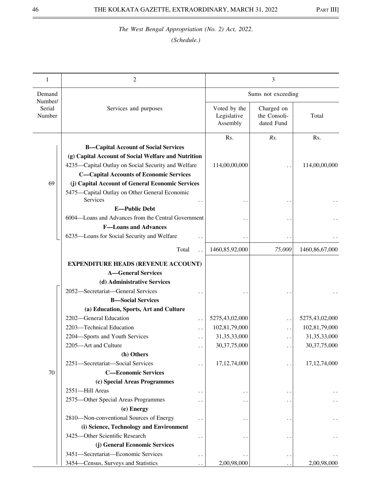| 1                           | $\overline{2}$                                              |                                         | 3                                        |                 |
|-----------------------------|-------------------------------------------------------------|-----------------------------------------|------------------------------------------|-----------------|
| Demand                      |                                                             |                                         | Sums not exceeding                       |                 |
| Number/<br>Serial<br>Number | Services and purposes                                       | Voted by the<br>Legislative<br>Assembly | Charged on<br>the Consoli-<br>dated Fund | Total           |
|                             |                                                             | Rs.                                     | Rs.                                      | Rs.             |
|                             | <b>B-Capital Account of Social Services</b>                 |                                         |                                          |                 |
|                             | (g) Capital Account of Social Welfare and Nutrition         |                                         |                                          |                 |
|                             | 4235-Capital Outlay on Social Security and Welfare          | 114,00,00,000                           |                                          | 114,00,00,000   |
|                             | <b>C-Capital Accounts of Economic Services</b>              |                                         |                                          |                 |
| 69                          | (j) Capital Account of General Economic Services            |                                         |                                          |                 |
|                             | 5475-Capital Outlay on Other General Economic<br>Services   |                                         |                                          |                 |
|                             | <b>E-Public Debt</b>                                        |                                         |                                          |                 |
|                             | 6004—Loans and Advances from the Central Government         |                                         |                                          |                 |
|                             | <b>F-Loans and Advances</b>                                 |                                         |                                          |                 |
|                             | 6235-Loans for Social Security and Welfare                  |                                         |                                          |                 |
|                             | Total                                                       | 1460,85,92,000                          | 75,000                                   | 1460,86,67,000  |
|                             |                                                             |                                         |                                          |                 |
|                             | <b>EXPENDITURE HEADS (REVENUE ACCOUNT)</b>                  |                                         |                                          |                 |
|                             | <b>A-General Services</b>                                   |                                         |                                          |                 |
|                             | (d) Administrative Services                                 |                                         |                                          |                 |
|                             | 2052-Secretariat-General Services                           |                                         |                                          |                 |
|                             | <b>B</b> -Social Services                                   |                                         |                                          |                 |
|                             | (a) Education, Sports, Art and Culture                      |                                         |                                          |                 |
|                             | 2202-General Education<br>$\ddot{\phantom{0}}$              | 5275,43,02,000                          | $\ddot{\phantom{0}}$                     | 5275,43,02,000  |
|                             | 2203-Technical Education<br>. .                             | 102,81,79,000                           |                                          | 102,81,79,000   |
|                             | 2204-Sports and Youth Services                              | 31, 35, 33, 000                         |                                          | 31, 35, 33, 000 |
|                             | 2205-Art and Culture<br>$\ddot{\phantom{0}}$                | 30, 37, 75, 000                         |                                          | 30, 37, 75, 000 |
|                             | (h) Others                                                  |                                         |                                          |                 |
|                             | 2251-Secretariat-Social Services                            | 17, 12, 74, 000                         | $\ddot{\phantom{1}}$                     | 17, 12, 74, 000 |
| 70                          | <b>C-Economic Services</b>                                  |                                         |                                          |                 |
|                             | (c) Special Areas Programmes                                |                                         |                                          |                 |
|                             | 2551-Hill Areas<br>$\ddot{\phantom{1}}$                     |                                         | $\ddot{\phantom{1}}$                     |                 |
|                             | 2575-Other Special Areas Programmes<br>$\ddot{\phantom{1}}$ |                                         |                                          |                 |
|                             | (e) Energy                                                  |                                         |                                          |                 |
|                             | 2810-Non-conventional Sources of Energy                     |                                         |                                          |                 |
|                             | (i) Science, Technology and Environment                     |                                         |                                          |                 |
|                             | 3425-Other Scientific Research<br>. .                       |                                         |                                          |                 |
|                             | (j) General Economic Services                               |                                         |                                          |                 |
|                             | 3451-Secretariat-Economic Services<br>$\ddot{\phantom{0}}$  |                                         | $\ddot{\phantom{1}}$                     |                 |
|                             | 3454–Census, Surveys and Statistics                         | 2,00,98,000                             |                                          | 2,00,98,000     |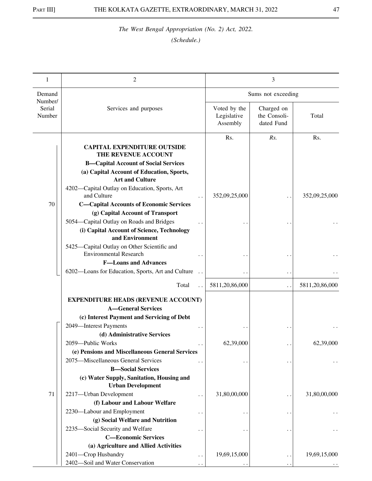| 1                           | 2                                                                                                                                                                                                                                                                                                                                                                                                                                                                                                                                  |                                         | 3                                            |                      |
|-----------------------------|------------------------------------------------------------------------------------------------------------------------------------------------------------------------------------------------------------------------------------------------------------------------------------------------------------------------------------------------------------------------------------------------------------------------------------------------------------------------------------------------------------------------------------|-----------------------------------------|----------------------------------------------|----------------------|
| Demand                      |                                                                                                                                                                                                                                                                                                                                                                                                                                                                                                                                    |                                         | Sums not exceeding                           |                      |
| Number/<br>Serial<br>Number | Services and purposes                                                                                                                                                                                                                                                                                                                                                                                                                                                                                                              | Voted by the<br>Legislative<br>Assembly | Charged on<br>the Consoli-<br>dated Fund     | Total                |
| 70                          | <b>CAPITAL EXPENDITURE OUTSIDE</b><br>THE REVENUE ACCOUNT<br><b>B-Capital Account of Social Services</b><br>(a) Capital Account of Education, Sports,<br><b>Art and Culture</b><br>4202-Capital Outlay on Education, Sports, Art<br>and Culture<br><b>C-Capital Accounts of Economic Services</b><br>(g) Capital Account of Transport<br>5054—Capital Outlay on Roads and Bridges<br>(i) Capital Account of Science, Technology<br>and Environment<br>5425—Capital Outlay on Other Scientific and<br><b>Environmental Research</b> | Rs.<br>352,09,25,000                    | Rs.                                          | Rs.<br>352,09,25,000 |
|                             | <b>F-Loans and Advances</b><br>6202-Loans for Education, Sports, Art and Culture                                                                                                                                                                                                                                                                                                                                                                                                                                                   |                                         |                                              |                      |
|                             | Total                                                                                                                                                                                                                                                                                                                                                                                                                                                                                                                              | 5811,20,86,000                          | . .                                          | 5811,20,86,000       |
|                             | <b>EXPENDITURE HEADS (REVENUE ACCOUNT)</b><br><b>A-General Services</b><br>(c) Interest Payment and Servicing of Debt<br>2049-Interest Payments                                                                                                                                                                                                                                                                                                                                                                                    |                                         |                                              |                      |
|                             | (d) Administrative Services<br>2059-Public Works<br>(e) Pensions and Miscellaneous General Services                                                                                                                                                                                                                                                                                                                                                                                                                                | 62,39,000                               | $\ddot{\phantom{0}}$                         | 62,39,000            |
|                             | 2075-Miscellaneous General Services<br><b>B-Social Services</b><br>(c) Water Supply, Sanitation, Housing and<br><b>Urban Development</b>                                                                                                                                                                                                                                                                                                                                                                                           | $\ddot{\phantom{0}}$                    | $\ddot{\phantom{0}}$                         |                      |
| 71                          | 2217-Urban Development<br>$\ddot{\phantom{0}}$<br>(f) Labour and Labour Welfare<br>2230-Labour and Employment<br>(g) Social Welfare and Nutrition                                                                                                                                                                                                                                                                                                                                                                                  | 31,80,00,000<br>$\cdot$ .               | $\ddot{\phantom{0}}$<br>$\ddot{\phantom{1}}$ | 31,80,00,000         |
|                             | 2235-Social Security and Welfare<br><b>C-Economic Services</b><br>(a) Agriculture and Allied Activities<br>2401-Crop Husbandry<br>$\ddotsc$                                                                                                                                                                                                                                                                                                                                                                                        | 19,69,15,000                            | $\ddot{\phantom{1}}$<br>$\ddot{\phantom{0}}$ | 19,69,15,000         |
|                             | 2402-Soil and Water Conservation                                                                                                                                                                                                                                                                                                                                                                                                                                                                                                   |                                         |                                              |                      |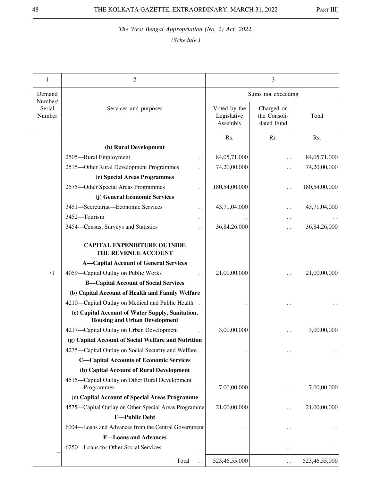| 1                 | $\overline{2}$                                                                           |                                         | 3                                        |               |
|-------------------|------------------------------------------------------------------------------------------|-----------------------------------------|------------------------------------------|---------------|
| Demand<br>Number/ |                                                                                          |                                         | Sums not exceeding                       |               |
| Serial<br>Number  | Services and purposes                                                                    | Voted by the<br>Legislative<br>Assembly | Charged on<br>the Consoli-<br>dated Fund | Total         |
|                   |                                                                                          | Rs.                                     | Rs.                                      | Rs.           |
|                   | (b) Rural Development                                                                    |                                         |                                          |               |
|                   | 2505-Rural Employment<br>. .                                                             | 84,05,71,000                            | $\ddot{\phantom{0}}$                     | 84,05,71,000  |
|                   | 2515-Other Rural Development Programmes                                                  | 74,20,00,000                            | $\ddot{\phantom{1}}$                     | 74,20,00,000  |
|                   | (c) Special Areas Programmes                                                             |                                         |                                          |               |
|                   | 2575-Other Special Areas Programmes                                                      | 180,54,00,000                           |                                          | 180,54,00,000 |
|                   | (j) General Economic Services                                                            |                                         |                                          |               |
|                   | 3451-Secretariat-Economic Services                                                       | 43,71,04,000                            | . .                                      | 43,71,04,000  |
|                   | 3452-Tourism<br>. .                                                                      |                                         | $\ddot{\phantom{1}}$                     |               |
|                   | 3454–Census, Surveys and Statistics                                                      | 36,84,26,000                            | . .                                      | 36,84,26,000  |
|                   | <b>CAPITAL EXPENDITURE OUTSIDE</b><br>THE REVENUE ACCOUNT                                |                                         |                                          |               |
|                   | <b>A-Capital Account of General Services</b>                                             |                                         |                                          |               |
| 71                | 4059-Capital Outlay on Public Works                                                      | 21,00,00,000                            |                                          | 21,00,00,000  |
|                   | <b>B-Capital Account of Social Services</b>                                              |                                         |                                          |               |
|                   | (b) Capital Account of Health and Family Welfare                                         |                                         |                                          |               |
|                   | 4210—Capital Outlay on Medical and Public Health                                         |                                         |                                          |               |
|                   | (c) Capital Account of Water Supply, Sanitation,<br><b>Housing and Urban Development</b> |                                         |                                          |               |
|                   | 4217-Capital Outlay on Urban Development                                                 | 3,00,00,000                             |                                          | 3,00,00,000   |
|                   | (g) Capital Account of Social Welfare and Nutrition                                      |                                         |                                          |               |
|                   | 4235—Capital Outlay on Social Security and Welfare                                       |                                         |                                          |               |
|                   | <b>C-Capital Accounts of Economic Services</b>                                           |                                         |                                          |               |
|                   | (b) Capital Account of Rural Development                                                 |                                         |                                          |               |
|                   | 4515-Capital Outlay on Other Rural Development                                           |                                         |                                          |               |
|                   | Programmes                                                                               | 7,00,00,000                             |                                          | 7,00,00,000   |
|                   | (c) Capital Account of Special Areas Programme                                           |                                         |                                          |               |
|                   | 4575—Capital Outlay on Other Special Areas Programme                                     | 21,00,00,000                            | . .                                      | 21,00,00,000  |
|                   | <b>E-Public Debt</b>                                                                     |                                         |                                          |               |
|                   | 6004-Loans and Advances from the Central Government                                      |                                         |                                          |               |
|                   | <b>F-Loans and Advances</b>                                                              |                                         |                                          |               |
|                   | 6250-Loans for Other Social Services<br>. .                                              |                                         | $\ddot{\phantom{0}}$                     |               |
|                   | Total                                                                                    | 523,46,55,000                           | $\ddot{\phantom{1}}$                     | 523,46,55,000 |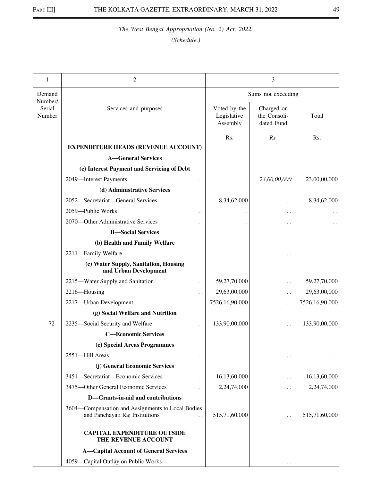| 1                           | 2                                                                                                            |                                         | 3                                        |                |
|-----------------------------|--------------------------------------------------------------------------------------------------------------|-----------------------------------------|------------------------------------------|----------------|
| Demand                      |                                                                                                              |                                         | Sums not exceeding                       |                |
| Number/<br>Serial<br>Number | Services and purposes                                                                                        | Voted by the<br>Legislative<br>Assembly | Charged on<br>the Consoli-<br>dated Fund | Total          |
|                             | <b>EXPENDITURE HEADS (REVENUE ACCOUNT)</b>                                                                   | Rs.                                     | Rs.                                      | Rs.            |
|                             | <b>A</b> —General Services                                                                                   |                                         |                                          |                |
|                             | (c) Interest Payment and Servicing of Debt                                                                   |                                         |                                          |                |
|                             | 2049-Interest Payments                                                                                       |                                         | 23,00,00,000                             | 23,00,00,000   |
|                             | (d) Administrative Services                                                                                  |                                         |                                          |                |
|                             | 2052-Secretariat-General Services<br>$\ddot{\phantom{0}}$                                                    | 8,34,62,000                             | $\ddot{\phantom{0}}$                     | 8,34,62,000    |
|                             | 2059-Public Works<br>. .                                                                                     |                                         | $\ddot{\phantom{0}}$                     |                |
|                             | 2070—Other Administrative Services                                                                           |                                         |                                          |                |
|                             | <b>B</b> -Social Services                                                                                    |                                         |                                          |                |
|                             | (b) Health and Family Welfare                                                                                |                                         |                                          |                |
|                             | 2211-Family Welfare                                                                                          |                                         |                                          |                |
|                             | (c) Water Supply, Sanitation, Housing<br>and Urban Development                                               |                                         |                                          |                |
|                             | 2215-Water Supply and Sanitation<br>$\ddot{\phantom{0}}$                                                     | 59,27,70,000                            | . .                                      | 59,27,70,000   |
|                             | 2216-Housing<br>$\ddot{\phantom{0}}$                                                                         | 29,63,00,000                            | $\ddot{\phantom{1}}$                     | 29,63,00,000   |
|                             | 2217-Urban Development                                                                                       | 7526,16,90,000                          | . .                                      | 7526,16,90,000 |
|                             | (g) Social Welfare and Nutrition                                                                             |                                         |                                          |                |
| 72                          | 2235-Social Security and Welfare                                                                             | 133,90,00,000                           |                                          | 133,90,00,000  |
|                             | <b>C-Economic Services</b>                                                                                   |                                         |                                          |                |
|                             | (c) Special Areas Programmes                                                                                 |                                         |                                          |                |
|                             | 2551-Hill Areas                                                                                              |                                         | $\ddot{\phantom{0}}$                     |                |
|                             | (j) General Economic Services                                                                                |                                         |                                          |                |
|                             | 3451-Secretariat-Economic Services<br>$\ddot{\phantom{0}}$                                                   | 16,13,60,000                            | . .                                      | 16,13,60,000   |
|                             | 3475-Other General Economic Services                                                                         | 2,24,74,000                             | . .                                      | 2,24,74,000    |
|                             | D-Grants-in-aid and contributions                                                                            |                                         |                                          |                |
|                             | 3604—Compensation and Assignments to Local Bodies<br>and Panchayati Raj Institutions<br>$\ddot{\phantom{0}}$ | 515,71,60,000                           | $\ddot{\phantom{1}}$                     | 515,71,60,000  |
|                             | <b>CAPITAL EXPENDITURE OUTSIDE</b><br>THE REVENUE ACCOUNT                                                    |                                         |                                          |                |
|                             | <b>A-Capital Account of General Services</b>                                                                 |                                         |                                          |                |
|                             | 4059-Capital Outlay on Public Works                                                                          |                                         |                                          |                |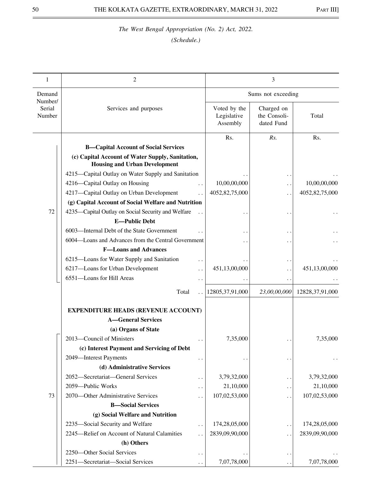| 1                           | 2                                                                                        | 3                                       |                                          |                    |
|-----------------------------|------------------------------------------------------------------------------------------|-----------------------------------------|------------------------------------------|--------------------|
| Demand                      |                                                                                          | Sums not exceeding                      |                                          |                    |
| Number/<br>Serial<br>Number | Services and purposes                                                                    | Voted by the<br>Legislative<br>Assembly | Charged on<br>the Consoli-<br>dated Fund | Total              |
|                             |                                                                                          | Rs.                                     | Rs.                                      | Rs.                |
|                             | <b>B-Capital Account of Social Services</b>                                              |                                         |                                          |                    |
|                             | (c) Capital Account of Water Supply, Sanitation,<br><b>Housing and Urban Development</b> |                                         |                                          |                    |
|                             | 4215-Capital Outlay on Water Supply and Sanitation                                       |                                         |                                          |                    |
|                             | 4216-Capital Outlay on Housing                                                           | 10,00,00,000                            | $\ddot{\phantom{0}}$                     | 10,00,00,000       |
|                             | 4217-Capital Outlay on Urban Development                                                 | 4052,82,75,000                          | $\ddot{\phantom{1}}$                     | 4052,82,75,000     |
|                             | (g) Capital Account of Social Welfare and Nutrition                                      |                                         |                                          |                    |
| 72                          | 4235-Capital Outlay on Social Security and Welfare<br><b>E-Public Debt</b>               |                                         |                                          |                    |
|                             | 6003-Internal Debt of the State Government                                               |                                         |                                          |                    |
|                             | 6004—Loans and Advances from the Central Government                                      |                                         |                                          |                    |
|                             | <b>F-Loans and Advances</b>                                                              |                                         |                                          |                    |
|                             | 6215-Loans for Water Supply and Sanitation<br>. .                                        |                                         |                                          |                    |
|                             | 6217-Loans for Urban Development<br>. .                                                  | 451,13,00,000                           | $\ddot{\phantom{1}}$                     | 451,13,00,000      |
|                             | 6551-Loans for Hill Areas<br>$\ddot{\phantom{1}}$                                        |                                         | $\ddot{\phantom{1}}$                     |                    |
|                             | Total                                                                                    | 12805, 37, 91, 000                      | 23,00,00,000                             | 12828, 37, 91, 000 |
|                             |                                                                                          |                                         |                                          |                    |
|                             | <b>EXPENDITURE HEADS (REVENUE ACCOUNT)</b><br><b>A-General Services</b>                  |                                         |                                          |                    |
|                             | (a) Organs of State                                                                      |                                         |                                          |                    |
|                             | 2013-Council of Ministers                                                                | 7,35,000                                |                                          | 7,35,000           |
|                             | . .<br>(c) Interest Payment and Servicing of Debt                                        |                                         |                                          |                    |
|                             | 2049-Interest Payments                                                                   |                                         |                                          |                    |
|                             | . .<br>(d) Administrative Services                                                       |                                         | $\ddot{\phantom{1}}$                     |                    |
|                             | 2052-Secretariat-General Services                                                        | 3,79,32,000                             |                                          | 3,79,32,000        |
|                             | . .<br>2059-Public Works                                                                 | 21,10,000                               | $\ddot{\phantom{0}}$                     | 21,10,000          |
| 73                          | . .<br>2070-Other Administrative Services                                                | 107,02,53,000                           | $\ddot{\phantom{1}}$                     | 107,02,53,000      |
|                             | . .<br><b>B-Social Services</b>                                                          |                                         | $\ddot{\phantom{0}}$                     |                    |
|                             | (g) Social Welfare and Nutrition                                                         |                                         |                                          |                    |
|                             | 2235-Social Security and Welfare                                                         | 174,28,05,000                           |                                          | 174,28,05,000      |
|                             | . .<br>2245-Relief on Account of Natural Calamities                                      | 2839,09,90,000                          | $\ddot{\phantom{0}}$                     | 2839,09,90,000     |
|                             | (h) Others                                                                               |                                         | $\ddot{\phantom{0}}$                     |                    |
|                             | 2250-Other Social Services                                                               |                                         |                                          |                    |
|                             | . .<br>2251-Secretariat-Social Services                                                  | 7,07,78,000                             |                                          | 7,07,78,000        |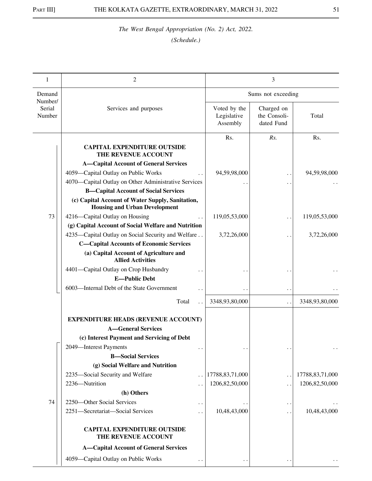| 1                           | 2                                                                                                         | 3                                       |                                          |                    |
|-----------------------------|-----------------------------------------------------------------------------------------------------------|-----------------------------------------|------------------------------------------|--------------------|
| Demand                      |                                                                                                           | Sums not exceeding                      |                                          |                    |
| Number/<br>Serial<br>Number | Services and purposes                                                                                     | Voted by the<br>Legislative<br>Assembly | Charged on<br>the Consoli-<br>dated Fund | Total              |
|                             | <b>CAPITAL EXPENDITURE OUTSIDE</b><br>THE REVENUE ACCOUNT                                                 | Rs.                                     | Rs.                                      | Rs.                |
|                             | <b>A-Capital Account of General Services</b>                                                              |                                         |                                          |                    |
|                             | 4059-Capital Outlay on Public Works                                                                       | 94,59,98,000                            |                                          | 94,59,98,000       |
|                             | 4070—Capital Outlay on Other Administrative Services                                                      |                                         | $\cdot$ .                                |                    |
|                             | <b>B-Capital Account of Social Services</b>                                                               |                                         | . .                                      |                    |
|                             | (c) Capital Account of Water Supply, Sanitation,                                                          |                                         |                                          |                    |
|                             | <b>Housing and Urban Development</b>                                                                      |                                         |                                          |                    |
| 73                          | 4216-Capital Outlay on Housing                                                                            | 119,05,53,000                           | $\ddot{\phantom{0}}$                     | 119,05,53,000      |
|                             | (g) Capital Account of Social Welfare and Nutrition<br>4235—Capital Outlay on Social Security and Welfare |                                         |                                          |                    |
|                             | <b>C-Capital Accounts of Economic Services</b>                                                            | 3,72,26,000                             | $\ddot{\phantom{0}}$                     | 3,72,26,000        |
|                             | (a) Capital Account of Agriculture and<br><b>Allied Activities</b>                                        |                                         |                                          |                    |
|                             |                                                                                                           |                                         |                                          |                    |
|                             | 4401-Capital Outlay on Crop Husbandry<br><b>E-Public Debt</b>                                             |                                         |                                          |                    |
|                             | 6003-Internal Debt of the State Government                                                                |                                         |                                          |                    |
|                             |                                                                                                           |                                         | $\ddot{\phantom{0}}$                     |                    |
|                             | Total                                                                                                     | 3348,93,80,000                          | $\ddot{\phantom{0}}$                     | 3348,93,80,000     |
|                             | <b>EXPENDITURE HEADS (REVENUE ACCOUNT)</b>                                                                |                                         |                                          |                    |
|                             | <b>A</b> —General Services                                                                                |                                         |                                          |                    |
|                             | (c) Interest Payment and Servicing of Debt                                                                |                                         |                                          |                    |
|                             | 2049-Interest Payments                                                                                    |                                         | $\ddot{\phantom{0}}$                     | $\ddotsc$          |
|                             | <b>B</b> -Social Services                                                                                 |                                         |                                          |                    |
|                             | (g) Social Welfare and Nutrition                                                                          |                                         |                                          |                    |
|                             | 2235-Social Security and Welfare                                                                          | 17788, 83, 71, 000                      | $\ddot{\phantom{0}}$                     | 17788, 83, 71, 000 |
|                             | 2236-Nutrition                                                                                            | 1206, 82, 50, 000                       | . .                                      | 1206,82,50,000     |
|                             | (h) Others                                                                                                |                                         |                                          |                    |
| 74                          | 2250-Other Social Services                                                                                |                                         | . .                                      |                    |
|                             | 2251-Secretariat-Social Services                                                                          | 10,48,43,000                            | . .                                      | 10,48,43,000       |
|                             | <b>CAPITAL EXPENDITURE OUTSIDE</b><br>THE REVENUE ACCOUNT                                                 |                                         |                                          |                    |
|                             | <b>A-Capital Account of General Services</b>                                                              |                                         |                                          |                    |
|                             | 4059-Capital Outlay on Public Works                                                                       |                                         |                                          |                    |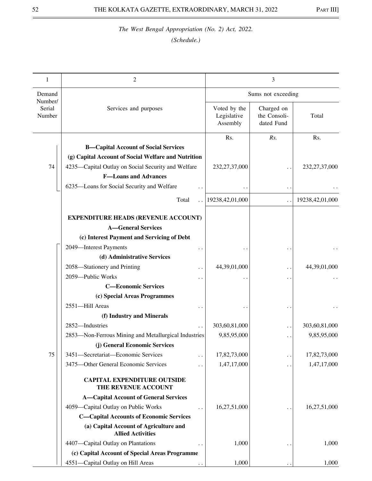| 1                           | $\mathfrak{2}$                                                     | 3                                       |                                          |                  |
|-----------------------------|--------------------------------------------------------------------|-----------------------------------------|------------------------------------------|------------------|
| Demand                      |                                                                    | Sums not exceeding                      |                                          |                  |
| Number/<br>Serial<br>Number | Services and purposes                                              | Voted by the<br>Legislative<br>Assembly | Charged on<br>the Consoli-<br>dated Fund | Total            |
|                             |                                                                    | Rs.                                     | Rs.                                      | Rs.              |
|                             | <b>B-Capital Account of Social Services</b>                        |                                         |                                          |                  |
|                             | (g) Capital Account of Social Welfare and Nutrition                |                                         |                                          |                  |
| 74                          | 4235—Capital Outlay on Social Security and Welfare                 | 232, 27, 37, 000                        |                                          | 232, 27, 37, 000 |
|                             | <b>F-Loans and Advances</b>                                        |                                         |                                          |                  |
|                             | 6235-Loans for Social Security and Welfare<br>$\ddot{\phantom{0}}$ |                                         | $\ddot{\phantom{0}}$                     |                  |
|                             | Total                                                              | 19238,42,01,000                         |                                          | 19238,42,01,000  |
|                             |                                                                    |                                         |                                          |                  |
|                             | <b>EXPENDITURE HEADS (REVENUE ACCOUNT)</b>                         |                                         |                                          |                  |
|                             | <b>A</b> —General Services                                         |                                         |                                          |                  |
|                             | (c) Interest Payment and Servicing of Debt                         |                                         |                                          |                  |
|                             | 2049-Interest Payments                                             |                                         |                                          |                  |
|                             | (d) Administrative Services                                        |                                         |                                          |                  |
|                             | 2058-Stationery and Printing                                       | 44,39,01,000                            |                                          | 44,39,01,000     |
|                             | 2059-Public Works                                                  |                                         |                                          |                  |
|                             | <b>C-Economic Services</b>                                         |                                         |                                          |                  |
|                             | (c) Special Areas Programmes                                       |                                         |                                          |                  |
|                             | 2551-Hill Areas                                                    |                                         |                                          |                  |
|                             | (f) Industry and Minerals                                          |                                         |                                          |                  |
|                             | 2852-Industries                                                    | 303,60,81,000                           | $\ddot{\phantom{0}}$                     | 303,60,81,000    |
|                             | 2853-Non-Ferrous Mining and Metallurgical Industries               | 9,85,95,000                             |                                          | 9,85,95,000      |
|                             | (j) General Economic Services                                      |                                         |                                          |                  |
| 75                          | 3451-Secretariat-Economic Services                                 | 17,82,73,000                            | $\ddot{\phantom{0}}$                     | 17,82,73,000     |
|                             | 3475-Other General Economic Services                               | 1,47,17,000                             |                                          | 1,47,17,000      |
|                             | <b>CAPITAL EXPENDITURE OUTSIDE</b><br>THE REVENUE ACCOUNT          |                                         |                                          |                  |
|                             | <b>A-Capital Account of General Services</b>                       |                                         |                                          |                  |
|                             | 4059-Capital Outlay on Public Works                                | 16,27,51,000                            |                                          | 16,27,51,000     |
|                             | <b>C-Capital Accounts of Economic Services</b>                     |                                         |                                          |                  |
|                             | (a) Capital Account of Agriculture and<br><b>Allied Activities</b> |                                         |                                          |                  |
|                             | 4407-Capital Outlay on Plantations                                 | 1,000                                   |                                          | 1,000            |
|                             | (c) Capital Account of Special Areas Programme                     |                                         |                                          |                  |
|                             | 4551-Capital Outlay on Hill Areas                                  | 1,000                                   |                                          | 1,000            |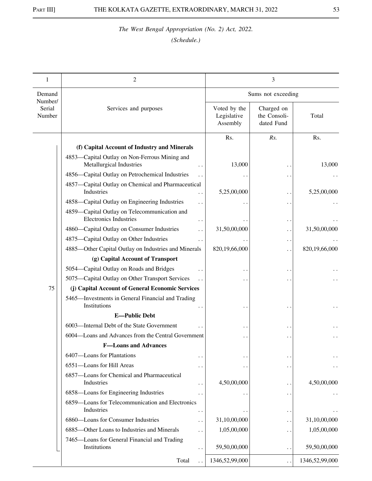| 1                 | 2                                                                                    | 3                                       |                                          |                |
|-------------------|--------------------------------------------------------------------------------------|-----------------------------------------|------------------------------------------|----------------|
| Demand<br>Number/ |                                                                                      | Sums not exceeding                      |                                          |                |
| Serial<br>Number  | Services and purposes                                                                | Voted by the<br>Legislative<br>Assembly | Charged on<br>the Consoli-<br>dated Fund | Total          |
|                   |                                                                                      | Rs.                                     | Rs.                                      | Rs.            |
|                   | (f) Capital Account of Industry and Minerals                                         |                                         |                                          |                |
|                   | 4853-Capital Outlay on Non-Ferrous Mining and<br>Metallurgical Industries            | 13,000                                  |                                          | 13,000         |
|                   | 4856-Capital Outlay on Petrochemical Industries                                      |                                         |                                          |                |
|                   | 4857-Capital Outlay on Chemical and Pharmaceutical<br>Industries                     | 5,25,00,000                             | $\ddot{\phantom{0}}$                     | 5,25,00,000    |
|                   | 4858—Capital Outlay on Engineering Industries                                        |                                         | . .                                      |                |
|                   | 4859—Capital Outlay on Telecommunication and<br><b>Electronics Industries</b>        |                                         | $\ddot{\phantom{1}}$                     |                |
|                   | 4860-Capital Outlay on Consumer Industries                                           | 31,50,00,000                            | $\ddot{\phantom{1}}$                     | 31,50,00,000   |
|                   | 4875—Capital Outlay on Other Industries                                              |                                         | $\ddot{\phantom{1}}$                     |                |
|                   | 4885-Other Capital Outlay on Industries and Minerals                                 | 820,19,66,000                           | $\ddot{\phantom{0}}$                     | 820,19,66,000  |
|                   | (g) Capital Account of Transport                                                     |                                         |                                          |                |
|                   | 5054-Capital Outlay on Roads and Bridges                                             |                                         |                                          |                |
|                   | 5075-Capital Outlay on Other Transport Services                                      |                                         |                                          |                |
| 75                | (j) Capital Account of General Economic Services                                     |                                         |                                          |                |
|                   | 5465-Investments in General Financial and Trading<br>Institutions                    |                                         |                                          |                |
|                   | <b>E-Public Debt</b>                                                                 |                                         |                                          |                |
|                   | 6003-Internal Debt of the State Government                                           |                                         |                                          |                |
|                   | 6004—Loans and Advances from the Central Government                                  |                                         |                                          |                |
|                   | <b>F-Loans and Advances</b>                                                          |                                         |                                          |                |
|                   | 6407-Loans for Plantations                                                           |                                         | $\ddot{\phantom{1}}$                     |                |
|                   | 6551-Loans for Hill Areas                                                            |                                         | $\ddot{\phantom{0}}$                     |                |
|                   | 6857-Loans for Chemical and Pharmaceutical<br>Industries                             | 4,50,00,000                             |                                          | 4,50,00,000    |
|                   | 6858-Loans for Engineering Industries                                                |                                         | $\ddot{\phantom{0}}$                     |                |
|                   | 6859—Loans for Telecommunication and Electronics<br>Industries                       |                                         | $\ddot{\phantom{0}}$                     |                |
|                   | 6860-Loans for Consumer Industries                                                   | 31,10,00,000                            | . .                                      | 31,10,00,000   |
|                   | 6885-Other Loans to Industries and Minerals                                          | 1,05,00,000                             | $\ddot{\phantom{0}}$                     | 1,05,00,000    |
|                   | 7465-Loans for General Financial and Trading<br>Institutions<br>$\ddot{\phantom{0}}$ | 59,50,00,000                            | . .                                      | 59,50,00,000   |
|                   | Total                                                                                | 1346,52,99,000                          | $\ddot{\phantom{0}}$                     | 1346,52,99,000 |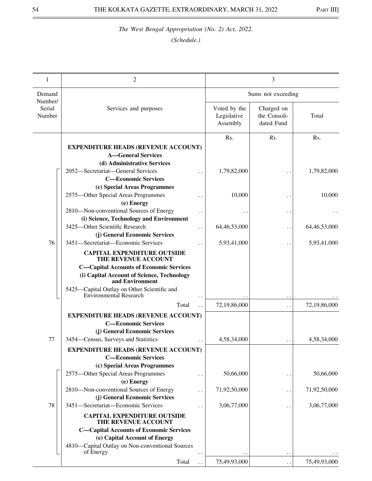| 1                           | $\mathfrak{2}$                                                                                   | 3                                       |                                          |              |
|-----------------------------|--------------------------------------------------------------------------------------------------|-----------------------------------------|------------------------------------------|--------------|
| Demand                      |                                                                                                  | Sums not exceeding                      |                                          |              |
| Number/<br>Serial<br>Number | Services and purposes                                                                            | Voted by the<br>Legislative<br>Assembly | Charged on<br>the Consoli-<br>dated Fund | Total        |
|                             |                                                                                                  | Rs.                                     | Rs.                                      | Rs.          |
|                             | <b>EXPENDITURE HEADS (REVENUE ACCOUNT)</b><br><b>A-General Services</b>                          |                                         |                                          |              |
|                             | (d) Administrative Services                                                                      |                                         |                                          |              |
|                             | 2052-Secretariat-General Services                                                                | 1,79,82,000                             |                                          | 1,79,82,000  |
|                             | <b>C-Economic Services</b>                                                                       |                                         |                                          |              |
|                             | (c) Special Areas Programmes                                                                     |                                         |                                          |              |
|                             | 2575-Other Special Areas Programmes<br>. .                                                       | 10,000                                  | $\bullet$ .                              | 10,000       |
|                             | (e) Energy                                                                                       |                                         |                                          |              |
|                             | 2810-Non-conventional Sources of Energy<br>. .                                                   |                                         | $\bullet$ .                              |              |
|                             | (i) Science, Technology and Environment<br>3425-Other Scientific Research                        |                                         |                                          |              |
|                             | (j) General Economic Services                                                                    | 64, 46, 53, 000                         | $\ddot{\phantom{1}}$                     | 64,46,53,000 |
| 76                          | 3451-Secretariat-Economic Services                                                               | 5,93,41,000                             | $\ddot{\phantom{1}}$                     | 5,93,41,000  |
|                             | <b>CAPITAL EXPENDITURE OUTSIDE</b><br>THE REVENUE ACCOUNT                                        |                                         |                                          |              |
|                             | <b>C-Capital Accounts of Economic Services</b>                                                   |                                         |                                          |              |
|                             | (i) Capital Account of Science, Technology<br>and Environment                                    |                                         |                                          |              |
|                             | 5425-Capital Outlay on Other Scientific and<br><b>Environmental Research</b>                     |                                         |                                          |              |
|                             | Total                                                                                            | 72,19,86,000                            | $\ddot{\phantom{0}}$                     | 72,19,86,000 |
|                             | <b>EXPENDITURE HEADS (REVENUE ACCOUNT)</b>                                                       |                                         |                                          |              |
|                             | <b>C-Economic Services</b>                                                                       |                                         |                                          |              |
|                             | (j) General Economic Services                                                                    |                                         |                                          |              |
| 77                          | 3454–Census, Surveys and Statistics<br>$\ddotsc$                                                 | 4,58,34,000                             |                                          | 4,58,34,000  |
|                             | <b>EXPENDITURE HEADS (REVENUE ACCOUNT)</b><br><b>C-Economic Services</b>                         |                                         |                                          |              |
|                             | (c) Special Areas Programmes                                                                     |                                         |                                          |              |
|                             | 2575-Other Special Areas Programmes<br>$\ddot{\phantom{0}}$<br>(e) Energy                        | 50,66,000                               | $\ddot{\phantom{1}}$                     | 50,66,000    |
|                             | 2810-Non-conventional Sources of Energy<br>$\ddot{\phantom{1}}$<br>(j) General Economic Services | 71,92,50,000                            | $\cdot$ .                                | 71,92,50,000 |
| 78                          | 3451-Secretariat-Economic Services                                                               | 3,06,77,000                             |                                          | 3,06,77,000  |
|                             | <b>CAPITAL EXPENDITURE OUTSIDE</b>                                                               |                                         | $\ddot{\phantom{1}}$                     |              |
|                             | THE REVENUE ACCOUNT                                                                              |                                         |                                          |              |
|                             | <b>C-Capital Accounts of Economic Services</b>                                                   |                                         |                                          |              |
|                             | (e) Capital Account of Energy                                                                    |                                         |                                          |              |
|                             | 4810-Capital Outlay on Non-conventional Sources<br>of Energy                                     |                                         |                                          |              |
|                             | Total                                                                                            | 75,49,93,000                            |                                          | 75,49,93,000 |